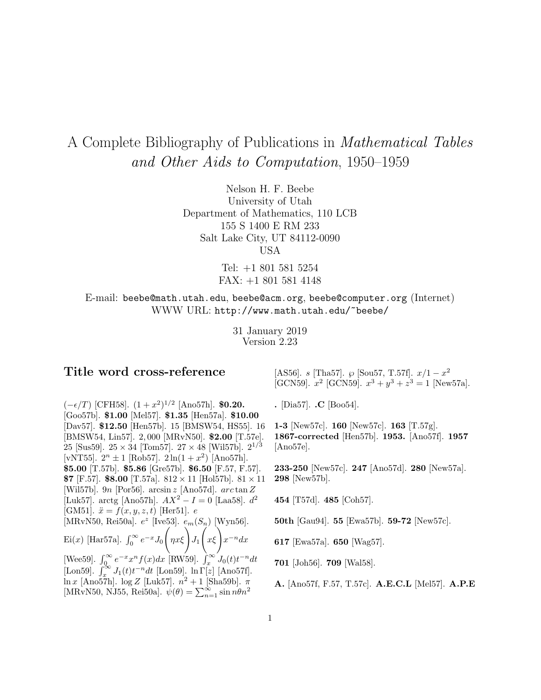# A Complete Bibliography of Publications in Mathematical Tables and Other Aids to Computation, 1950–1959

Nelson H. F. Beebe University of Utah Department of Mathematics, 110 LCB 155 S 1400 E RM 233 Salt Lake City, UT 84112-0090 USA

> Tel: +1 801 581 5254 FAX: +1 801 581 4148

E-mail: beebe@math.utah.edu, beebe@acm.org, beebe@computer.org (Internet) WWW URL: http://www.math.utah.edu/~beebe/

> 31 January 2019 Version 2.23

# **Title word cross-reference**

 $(-\epsilon/T)$  [CFH58].  $(1+x^2)^{1/2}$  [Ano57h]. **\$0.20.** [Goo57b]. **\$1.00** [Mel57]. **\$1.35** [Hen57a]. **\$10.00** [Dav57]. **\$12.50** [Hen57b]. 15 [BMSW54, HS55]. 16 [BMSW54, Lin57]. 2, 000 [MRvN50]. **\$2.00** [T.57e]. 25 [Sus59].  $25 \times 34$  [Tom57].  $27 \times 48$  [Wil57b].  $2^{1/3}$ [vNT55].  $2^{n} \pm 1$  [Rob57].  $2 \ln(1 + x^{2})$  [Ano57h]. **\$5.00** [T.57b]. **\$5.86** [Gre57b]. **\$6.50** [F.57, F.57]. **\$7** [F.57]. **\$8.00** [T.57a].  $812 \times 11$  [Hol57b].  $81 \times 11$ [Wil57b]. 9n [Por56]. arcsin z [Ano57d]. arc tanZ [Luk57]. arctg [Ano57h].  $AX^2 - I = 0$  [Laa58].  $d^2$ [GM51].  $\ddot{x} = f(x, y, z, t)$  [Her51]. e [MRvN50, Rei50a].  $e^z$  [Ive53].  $e_m(S_n)$  [Wyn56]. Ei(x) [Har57a].  $\int_0^\infty e^{-x} J_0$  $\left(\frac{\partial}{\partial x}\xi\right)J_1$  $\int_{x\xi}$ <sub>x</sub>−ndx [Wee59].  $\int_0^\infty e^{-x} x^n f(x) dx$  [RW59].  $\int_x^\infty J_0(t) t^{-n} dt$ [Lon59].  $\int_x^{\infty} J_1(t)t^{-n}dt$  [Lon59]. ln  $\Gamma[z]$  [Ano57f]. ln x [Ano57h]. log Z [Luk57].  $n^2 + 1$  [Sha59b].  $\pi$ [MRvN50, NJ55, Rei50a].  $\psi(\theta) = \sum_{n=1}^{\infty} \sin n\theta n^2$ 

[AS56]. s [Tha57].  $\wp$  [Sou57, T.57f].  $x/1 - x^2$ [GCN59].  $x^2$  [GCN59].  $x^3 + y^3 + z^3 = 1$  [New57a].

**.** [Dia57]. **.C** [Boo54].

**1-3** [New57c]. **160** [New57c]. **163** [T.57g]. **1867-corrected** [Hen57b]. **1953.** [Ano57f]. **1957** [Ano57e].

**233-250** [New57c]. **247** [Ano57d]. **280** [New57a]. **298** [New57b].

**454** [T57d]. **485** [Coh57].

**50th** [Gau94]. **55** [Ewa57b]. **59-72** [New57c].

**617** [Ewa57a]. **650** [Wag57].

**701** [Joh56]. **709** [Wal58].

**A.** [Ano57f, F.57, T.57c]. **A.E.C.L** [Mel57]. **A.P.E**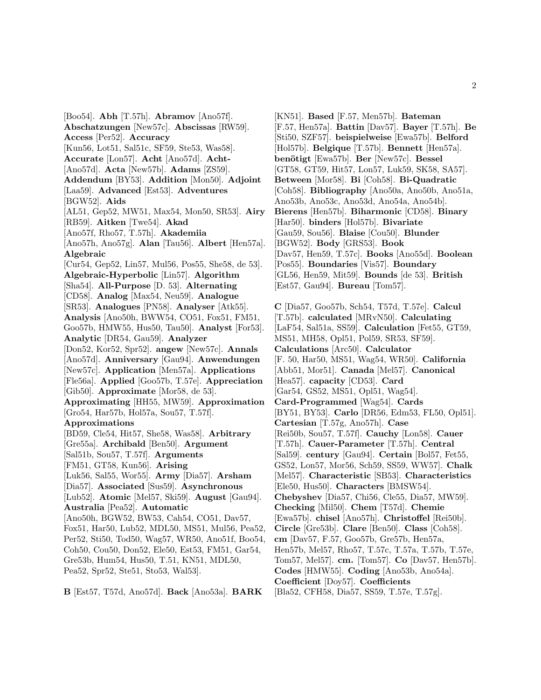[Boo54]. **Abh** [T.57h]. **Abramov** [Ano57f]. **Abschatzungen** [New57c]. **Abscissas** [RW59]. **Access** [Per52]. **Accuracy** [Kun56, Lot51, Sal51c, SF59, Ste53, Was58]. **Accurate** [Lon57]. **Acht** [Ano57d]. **Acht-** [Ano57d]. **Acta** [New57b]. **Adams** [ZS59]. **Addendum** [BY53]. **Addition** [Mon50]. **Adjoint** [Laa59]. **Advanced** [Est53]. **Adventures** [BGW52]. **Aids** [AL51, Gep52, MW51, Max54, Mon50, SR53]. **Airy** [RB59]. **Aitken** [Twe54]. **Akad** [Ano57f, Rho57, T.57h]. **Akademiia** [Ano57h, Ano57g]. **Alan** [Tau56]. **Albert** [Hen57a]. **Algebraic** [Cur54, Gep52, Lin57, Mul56, Pos55, She58, de 53]. **Algebraic-Hyperbolic** [Lin57]. **Algorithm** [Sha54]. **All-Purpose** [D. 53]. **Alternating** [CD58]. **Analog** [Max54, Neu59]. **Analogue** [SR53]. **Analogues** [PN58]. **Analyser** [Atk55]. **Analysis** [Ano50h, BWW54, CO51, Fox51, FM51, Goo57b, HMW55, Hus50, Tau50]. **Analyst** [For53]. **Analytic** [DR54, Gau59]. **Analyzer** [Don52, Kor52, Spr52]. **angew** [New57c]. **Annals** [Ano57d]. **Anniversary** [Gau94]. **Anwendungen** [New57c]. **Application** [Men57a]. **Applications** [Fle56a]. **Applied** [Goo57b, T.57e]. **Appreciation** [Gib50]. **Approximate** [Mor58, de 53]. **Approximating** [HH55, MW59]. **Approximation** [Gro54, Har57b, Hol57a, Sou57, T.57f]. **Approximations** [BD59, Cle54, Hit57, She58, Was58]. **Arbitrary** [Gre55a]. **Archibald** [Ben50]. **Argument** [Sal51b, Sou57, T.57f]. **Arguments** [FM51, GT58, Kun56]. **Arising** [Luk56, Sal55, Wor55]. **Army** [Dia57]. **Arsham** [Dia57]. **Associated** [Sus59]. **Asynchronous** [Lub52]. **Atomic** [Mel57, Ski59]. **August** [Gau94]. **Australia** [Pea52]. **Automatic** [Ano50h, BGW52, BW53, Cah54, CO51, Dav57, Fox51, Har50, Lub52, MDL50, MS51, Mul56, Pea52, Per52, Sti50, Tod50, Wag57, WR50, Ano51f, Boo54, Coh50, Cou50, Don52, Ele50, Est53, FM51, Gar54, Gre53b, Hum54, Hus50, T.51, KN51, MDL50, Pea52, Spr52, Ste51, Sto53, Wal53].

**B** [Est57, T57d, Ano57d]. **Back** [Ano53a]. **BARK**

[KN51]. **Based** [F.57, Men57b]. **Bateman**

[F.57, Hen57a]. **Battin** [Dav57]. **Bayer** [T.57h]. **Be** [Sti50, SZF57]. **beispielweise** [Ewa57b]. **Belford** [Hol57b]. **Belgique** [T.57b]. **Bennett** [Hen57a]. **ben¨otigt** [Ewa57b]. **Ber** [New57c]. **Bessel** [GT58, GT59, Hit57, Lon57, Luk59, SK58, SA57]. **Between** [Mor58]. **Bi** [Coh58]. **Bi-Quadratic** [Coh58]. **Bibliography** [Ano50a, Ano50b, Ano51a, Ano53b, Ano53c, Ano53d, Ano54a, Ano54b]. **Bierens** [Hen57b]. **Biharmonic** [CD58]. **Binary** [Har50]. **binders** [Hol57b]. **Bivariate** [Gau59, Sou56]. **Blaise** [Cou50]. **Blunder** [BGW52]. **Body** [GRS53]. **Book** [Dav57, Hen59, T.57c]. **Books** [Ano55d]. **Boolean** [Pos55]. **Boundaries** [Vis57]. **Boundary** [GL56, Hen59, Mit59]. **Bounds** [de 53]. **British** [Est57, Gau94]. **Bureau** [Tom57].

**C** [Dia57, Goo57b, Sch54, T57d, T.57e]. **Calcul** [T.57b]. **calculated** [MRvN50]. **Calculating** [LaF54, Sal51a, SS59]. **Calculation** [Fet55, GT59, MS51, MH58, Opl51, Pol59, SR53, SF59]. **Calculations** [Arc50]. **Calculator** [F. 50, Har50, MS51, Wag54, WR50]. **California** [Abb51, Mor51]. **Canada** [Mel57]. **Canonical** [Hea57]. **capacity** [CD53]. **Card** [Gar54, GS52, MS51, Opl51, Wag54]. **Card-Programmed** [Wag54]. **Cards** [BY51, BY53]. **Carlo** [DR56, Edm53, FL50, Opl51]. **Cartesian** [T.57g, Ano57h]. **Case** [Rei50b, Sou57, T.57f]. **Cauchy** [Lon58]. **Cauer** [T.57h]. **Cauer-Parameter** [T.57h]. **Central** [Sal59]. **century** [Gau94]. **Certain** [Bol57, Fet55, GS52, Lon57, Mor56, Sch59, SS59, WW57]. **Chalk** [Mel57]. **Characteristic** [SB53]. **Characteristics** [Ele50, Hus50]. **Characters** [BMSW54]. **Chebyshev** [Dia57, Chi56, Cle55, Dia57, MW59]. **Checking** [Mil50]. **Chem** [T57d]. **Chemie** [Ewa57b]. **chisel** [Ano57h]. **Christoffel** [Rei50b]. **Circle** [Gre53b]. **Clare** [Ben50]. **Class** [Coh58]. **cm** [Dav57, F.57, Goo57b, Gre57b, Hen57a, Hen57b, Mel57, Rho57, T.57c, T.57a, T.57b, T.57e, Tom57, Mel57]. **cm.** [Tom57]. **Co** [Dav57, Hen57b]. **Codes** [HMW55]. **Coding** [Ano53b, Ano54a]. **Coefficient** [Doy57]. **Coefficients** [Bla52, CFH58, Dia57, SS59, T.57e, T.57g].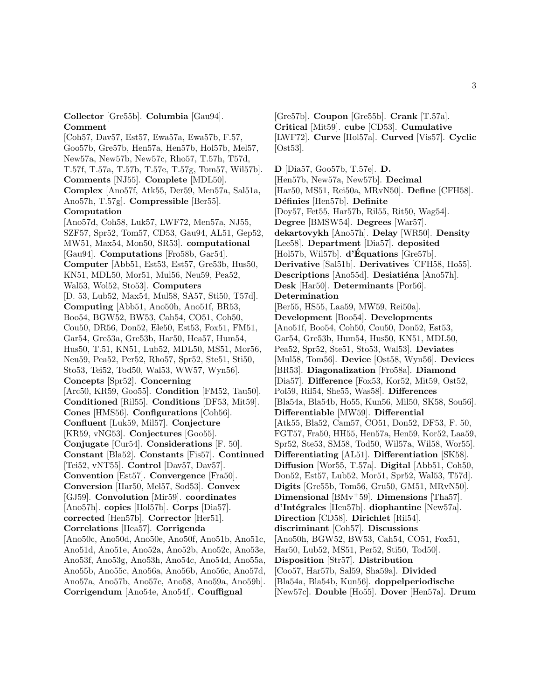**Collector** [Gre55b]. **Columbia** [Gau94]. **Comment**

[Coh57, Dav57, Est57, Ewa57a, Ewa57b, F.57, Goo57b, Gre57b, Hen57a, Hen57b, Hol57b, Mel57, New57a, New57b, New57c, Rho57, T.57h, T57d, T.57f, T.57a, T.57b, T.57e, T.57g, Tom57, Wil57b]. **Comments** [NJ55]. **Complete** [MDL50]. **Complex** [Ano57f, Atk55, Der59, Men57a, Sal51a, Ano57h, T.57g]. **Compressible** [Ber55]. **Computation** [Ano57d, Coh58, Luk57, LWF72, Men57a, NJ55, SZF57, Spr52, Tom57, CD53, Gau94, AL51, Gep52, MW51, Max54, Mon50, SR53]. **computational** [Gau94]. **Computations** [Fro58b, Gar54]. **Computer** [Abb51, Est53, Est57, Gre53b, Hus50, KN51, MDL50, Mor51, Mul56, Neu59, Pea52, Wal53, Wol52, Sto53]. **Computers** [D. 53, Lub52, Max54, Mul58, SA57, Sti50, T57d]. **Computing** [Abb51, Ano50h, Ano51f, BR53, Boo54, BGW52, BW53, Cah54, CO51, Coh50, Cou50, DR56, Don52, Ele50, Est53, Fox51, FM51, Gar54, Gre53a, Gre53b, Har50, Hea57, Hum54, Hus50, T.51, KN51, Lub52, MDL50, MS51, Mor56, Neu59, Pea52, Per52, Rho57, Spr52, Ste51, Sti50, Sto53, Tei52, Tod50, Wal53, WW57, Wyn56]. **Concepts** [Spr52]. **Concerning** [Arc50, KR59, Goo55]. **Condition** [FM52, Tau50]. **Conditioned** [Ril55]. **Conditions** [DF53, Mit59]. **Cones** [HMS56]. **Configurations** [Coh56]. **Confluent** [Luk59, Mil57]. **Conjecture** [KR59, vNG53]. **Conjectures** [Goo55]. **Conjugate** [Cur54]. **Considerations** [F. 50]. **Constant** [Bla52]. **Constants** [Fis57]. **Continued** [Tei52, vNT55]. **Control** [Dav57, Dav57]. **Convention** [Est57]. **Convergence** [Fra50]. **Conversion** [Har50, Mel57, Sod53]. **Convex** [GJ59]. **Convolution** [Mir59]. **coordinates** [Ano57h]. **copies** [Hol57b]. **Corps** [Dia57]. **corrected** [Hen57b]. **Corrector** [Her51]. **Correlations** [Hea57]. **Corrigenda** [Ano50c, Ano50d, Ano50e, Ano50f, Ano51b, Ano51c, Ano51d, Ano51e, Ano52a, Ano52b, Ano52c, Ano53e, Ano53f, Ano53g, Ano53h, Ano54c, Ano54d, Ano55a, Ano55b, Ano55c, Ano56a, Ano56b, Ano56c, Ano57d, Ano57a, Ano57b, Ano57c, Ano58, Ano59a, Ano59b]. **Corrigendum** [Ano54e, Ano54f]. **Couffignal**

[Gre57b]. **Coupon** [Gre55b]. **Crank** [T.57a]. **Critical** [Mit59]. **cube** [CD53]. **Cumulative** [LWF72]. **Curve** [Hol57a]. **Curved** [Vis57]. **Cyclic** [Ost53].

**D** [Dia57, Goo57b, T.57e]. **D.** [Hen57b, New57a, New57b]. **Decimal** [Har50, MS51, Rei50a, MRvN50]. **Define** [CFH58]. **D´efinies** [Hen57b]. **Definite** [Doy57, Fet55, Har57b, Ril55, Rit50, Wag54]. **Degree** [BMSW54]. **Degrees** [War57]. **dekartovykh** [Ano57h]. **Delay** [WR50]. **Density** [Lee58]. **Department** [Dia57]. **deposited** [Hol57b, Wil57b]. **d'Equations ´** [Gre57b]. **Derivative** [Sal51b]. **Derivatives** [CFH58, Ho55]. **Descriptions** [Ano55d]. **Desiatiéna** [Ano57h]. **Desk** [Har50]. **Determinants** [Por56]. **Determination** [Ber55, HS55, Laa59, MW59, Rei50a]. **Development** [Boo54]. **Developments** [Ano51f, Boo54, Coh50, Cou50, Don52, Est53, Gar54, Gre53b, Hum54, Hus50, KN51, MDL50, Pea52, Spr52, Ste51, Sto53, Wal53]. **Deviates** [Mul58, Tom56]. **Device** [Ost58, Wyn56]. **Devices** [BR53]. **Diagonalization** [Fro58a]. **Diamond** [Dia57]. **Difference** [Fox53, Kor52, Mit59, Ost52, Pol59, Ril54, She55, Was58]. **Differences** [Bla54a, Bla54b, Ho55, Kun56, Mil50, SK58, Sou56]. **Differentiable** [MW59]. **Differential** [Atk55, Bla52, Cam57, CO51, Don52, DF53, F. 50, FGT57, Fra50, HH55, Hen57a, Hen59, Kor52, Laa59, Spr52, Ste53, SM58, Tod50, Wil57a, Wil58, Wor55]. **Differentiating** [AL51]. **Differentiation** [SK58]. **Diffusion** [Wor55, T.57a]. **Digital** [Abb51, Coh50, Don52, Est57, Lub52, Mor51, Spr52, Wal53, T57d]. **Digits** [Gre55b, Tom56, Gru50, GM51, MRvN50]. **Dimensional** [BMv<sup>+</sup>59]. **Dimensions** [Tha57]. **d'Int´egrales** [Hen57b]. **diophantine** [New57a]. **Direction** [CD58]. **Dirichlet** [Ril54]. **discriminant** [Coh57]. **Discussions** [Ano50h, BGW52, BW53, Cah54, CO51, Fox51, Har50, Lub52, MS51, Per52, Sti50, Tod50]. **Disposition** [Str57]. **Distribution** [Coo57, Har57b, Sal59, Sha59a]. **Divided** [Bla54a, Bla54b, Kun56]. **doppelperiodische** [New57c]. **Double** [Ho55]. **Dover** [Hen57a]. **Drum**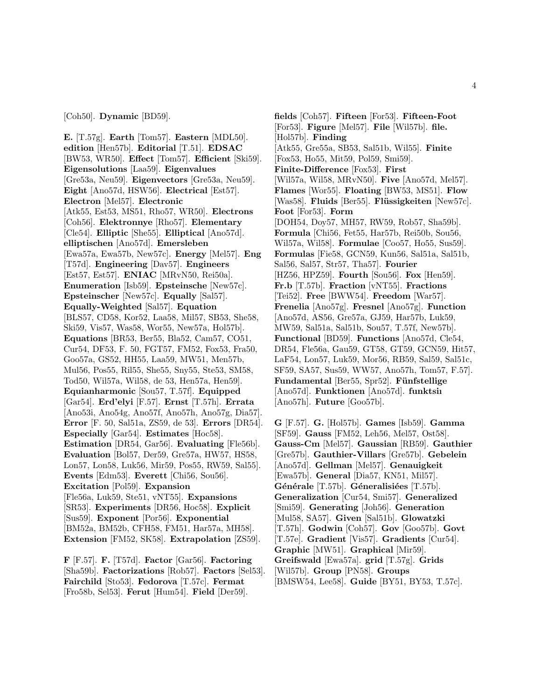[Coh50]. **Dynamic** [BD59].

**E.** [T.57g]. **Earth** [Tom57]. **Eastern** [MDL50]. **edition** [Hen57b]. **Editorial** [T.51]. **EDSAC** [BW53, WR50]. **Effect** [Tom57]. **Efficient** [Ski59]. **Eigensolutions** [Laa59]. **Eigenvalues** [Gre53a, Neu59]. **Eigenvectors** [Gre53a, Neu59]. **Eight** [Ano57d, HSW56]. **Electrical** [Est57]. **Electron** [Mel57]. **Electronic** [Atk55, Est53, MS51, Rho57, WR50]. **Electrons** [Coh56]. **Elektronnye** [Rho57]. **Elementary** [Cle54]. **Elliptic** [She55]. **Elliptical** [Ano57d]. **elliptischen** [Ano57d]. **Emersleben** [Ewa57a, Ewa57b, New57c]. **Energy** [Mel57]. **Eng** [T57d]. **Engineering** [Dav57]. **Engineers** [Est57, Est57]. **ENIAC** [MRvN50, Rei50a]. **Enumeration** [Isb59]. **Epsteinsche** [New57c]. **Epsteinscher** [New57c]. **Equally** [Sal57]. **Equally-Weighted** [Sal57]. **Equation** [BLS57, CD58, Kor52, Laa58, Mil57, SB53, She58, Ski59, Vis57, Was58, Wor55, New57a, Hol57b]. **Equations** [BR53, Ber55, Bla52, Cam57, CO51, Cur54, DF53, F. 50, FGT57, FM52, Fox53, Fra50, Goo57a, GS52, HH55, Laa59, MW51, Men57b, Mul56, Pos55, Ril55, She55, Sny55, Ste53, SM58, Tod50, Wil57a, Wil58, de 53, Hen57a, Hen59]. **Equianharmonic** [Sou57, T.57f]. **Equipped** [Gar54]. **Erd'elyi** [F.57]. **Ernst** [T.57h]. **Errata** [Ano53i, Ano54g, Ano57f, Ano57h, Ano57g, Dia57]. **Error** [F. 50, Sal51a, ZS59, de 53]. **Errors** [DR54]. **Especially** [Gar54]. **Estimates** [Hoc58]. **Estimation** [DR54, Gar56]. **Evaluating** [Fle56b]. **Evaluation** [Bol57, Der59, Gre57a, HW57, HS58, Lon57, Lon58, Luk56, Mir59, Pos55, RW59, Sal55]. **Events** [Edm53]. **Everett** [Chi56, Sou56]. **Excitation** [Pol59]. **Expansion** [Fle56a, Luk59, Ste51, vNT55]. **Expansions** [SR53]. **Experiments** [DR56, Hoc58]. **Explicit** [Sus59]. **Exponent** [Por56]. **Exponential** [BM52a, BM52b, CFH58, FM51, Har57a, MH58]. **Extension** [FM52, SK58]. **Extrapolation** [ZS59].

**F** [F.57]. **F.** [T57d]. **Factor** [Gar56]. **Factoring** [Sha59b]. **Factorizations** [Rob57]. **Factors** [Sel53]. **Fairchild** [Sto53]. **Fedorova** [T.57c]. **Fermat** [Fro58b, Sel53]. **Ferut** [Hum54]. **Field** [Der59].

**fields** [Coh57]. **Fifteen** [For53]. **Fifteen-Foot** [For53]. **Figure** [Mel57]. **File** [Wil57b]. **file.** [Hol57b]. **Finding** [Atk55, Gre55a, SB53, Sal51b, Wil55]. **Finite** [Fox53, Ho55, Mit59, Pol59, Smi59]. **Finite-Difference** [Fox53]. **First** [Wil57a, Wil58, MRvN50]. **Five** [Ano57d, Mel57]. **Flames** [Wor55]. **Floating** [BW53, MS51]. **Flow** [Was58]. **Fluids** [Ber55]. **Flüssigkeiten** [New57c]. **Foot** [For53]. **Form** [DOH54, Doy57, MH57, RW59, Rob57, Sha59b]. **Formula** [Chi56, Fet55, Har57b, Rei50b, Sou56, Wil57a, Wil58]. **Formulae** [Coo57, Ho55, Sus59]. **Formulas** [Fie58, GCN59, Kun56, Sal51a, Sal51b, Sal56, Sal57, Str57, Tha57]. **Fourier** [HZ56, HPZ59]. **Fourth** [Sou56]. **Fox** [Hen59]. **Fr.b** [T.57b]. **Fraction** [vNT55]. **Fractions** [Tei52]. **Free** [BWW54]. **Freedom** [War57]. **Frenelia** [Ano57g]. **Fresnel** [Ano57g]. **Function** [Ano57d, AS56, Gre57a, GJ59, Har57b, Luk59, MW59, Sal51a, Sal51b, Sou57, T.57f, New57b]. **Functional** [BD59]. **Functions** [Ano57d, Cle54, DR54, Fle56a, Gau59, GT58, GT59, GCN59, Hit57, LaF54, Lon57, Luk59, Mor56, RB59, Sal59, Sal51c, SF59, SA57, Sus59, WW57, Ano57h, Tom57, F.57]. **Fundamental** [Ber55, Spr52]. **Fünfstellige** [Ano57d]. **Funktionen** [Ano57d]. **funktsiı** [Ano57h]. **Future** [Goo57b].

**G** [F.57]. **G.** [Hol57b]. **Games** [Isb59]. **Gamma** [SF59]. **Gauss** [FM52, Leh56, Mel57, Ost58]. **Gauss-Cm** [Mel57]. **Gaussian** [RB59]. **Gauthier** [Gre57b]. **Gauthier-Villars** [Gre57b]. **Gebelein** [Ano57d]. **Gellman** [Mel57]. **Genauigkeit** [Ewa57b]. **General** [Dia57, KN51, Mil57]. Générale [T.57b]. Géneralisiées [T.57b]. **Generalization** [Cur54, Smi57]. **Generalized** [Smi59]. **Generating** [Joh56]. **Generation** [Mul58, SA57]. **Given** [Sal51b]. **Glowatzki** [T.57h]. **Godwin** [Coh57]. **Gov** [Goo57b]. **Govt** [T.57e]. **Gradient** [Vis57]. **Gradients** [Cur54]. **Graphic** [MW51]. **Graphical** [Mir59]. **Greifswald** [Ewa57a]. **grid** [T.57g]. **Grids** [Wil57b]. **Group** [PN58]. **Groups** [BMSW54, Lee58]. **Guide** [BY51, BY53, T.57c].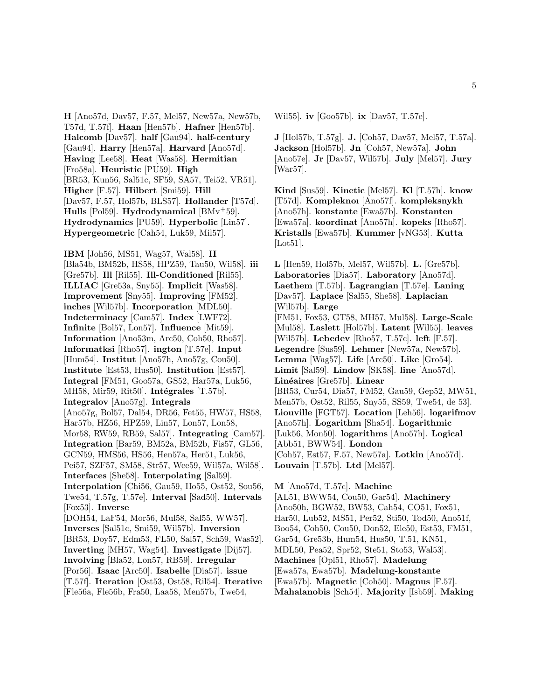**H** [Ano57d, Dav57, F.57, Mel57, New57a, New57b, T57d, T.57f]. **Haan** [Hen57b]. **Hafner** [Hen57b]. **Halcomb** [Dav57]. **half** [Gau94]. **half-century** [Gau94]. **Harry** [Hen57a]. **Harvard** [Ano57d]. **Having** [Lee58]. **Heat** [Was58]. **Hermitian** [Fro58a]. **Heuristic** [PU59]. **High** [BR53, Kun56, Sal51c, SF59, SA57, Tei52, VR51]. **Higher** [F.57]. **Hilbert** [Smi59]. **Hill** [Dav57, F.57, Hol57b, BLS57]. **Hollander** [T57d]. **Hulls** [Pol59]. **Hydrodynamical** [BMv<sup>+</sup>59]. **Hydrodynamics** [PU59]. **Hyperbolic** [Lin57]. **Hypergeometric** [Cah54, Luk59, Mil57].

**IBM** [Joh56, MS51, Wag57, Wal58]. **II** [Bla54b, BM52b, HS58, HPZ59, Tau50, Wil58]. **iii** [Gre57b]. **Ill** [Ril55]. **Ill-Conditioned** [Ril55]. **ILLIAC** [Gre53a, Sny55]. **Implicit** [Was58]. **Improvement** [Sny55]. **Improving** [FM52]. **inches** [Wil57b]. **Incorporation** [MDL50]. **Indeterminacy** [Cam57]. **Index** [LWF72]. **Infinite** [Bol57, Lon57]. **Influence** [Mit59]. **Information** [Ano53m, Arc50, Coh50, Rho57]. **Informatksi** [Rho57]. **ington** [T.57e]. **Input** [Hum54]. **Institut** [Ano57h, Ano57g, Cou50]. **Institute** [Est53, Hus50]. **Institution** [Est57]. **Integral** [FM51, Goo57a, GS52, Har57a, Luk56, MH58, Mir59, Rit50. **Intégrales** [T.57b]. **Integralov** [Ano57g]. **Integrals** [Ano57g, Bol57, Dal54, DR56, Fet55, HW57, HS58, Har57b, HZ56, HPZ59, Lin57, Lon57, Lon58, Mor58, RW59, RB59, Sal57]. **Integrating** [Cam57]. **Integration** [Bar59, BM52a, BM52b, Fis57, GL56, GCN59, HMS56, HS56, Hen57a, Her51, Luk56, Pei57, SZF57, SM58, Str57, Wee59, Wil57a, Wil58]. **Interfaces** [She58]. **Interpolating** [Sal59]. **Interpolation** [Chi56, Gau59, Ho55, Ost52, Sou56, Twe54, T.57g, T.57e]. **Interval** [Sad50]. **Intervals** [Fox53]. **Inverse** [DOH54, LaF54, Mor56, Mul58, Sal55, WW57]. **Inverses** [Sal51c, Smi59, Wil57b]. **Inversion** [BR53, Doy57, Edm53, FL50, Sal57, Sch59, Was52]. **Inverting** [MH57, Wag54]. **Investigate** [Dij57]. **Involving** [Bla52, Lon57, RB59]. **Irregular** [Por56]. **Isaac** [Arc50]. **Isabelle** [Dia57]. **issue** [T.57f]. **Iteration** [Ost53, Ost58, Ril54]. **Iterative** [Fle56a, Fle56b, Fra50, Laa58, Men57b, Twe54,

Wil55]. **iv** [Goo57b]. **ix** [Dav57, T.57e].

**J** [Hol57b, T.57g]. **J.** [Coh57, Dav57, Mel57, T.57a]. **Jackson** [Hol57b]. **Jn** [Coh57, New57a]. **John** [Ano57e]. **Jr** [Dav57, Wil57b]. **July** [Mel57]. **Jury** [War57].

**Kind** [Sus59]. **Kinetic** [Mel57]. **Kl** [T.57h]. **know** [T57d]. **Kompleknoı** [Ano57f]. **kompleksnykh** [Ano57h]. **konstante** [Ewa57b]. **Konstanten** [Ewa57a]. **koordinat** [Ano57h]. **kopeks** [Rho57]. **Kristalls** [Ewa57b]. **Kummer** [vNG53]. **Kutta** [Lot51].

**L** [Hen59, Hol57b, Mel57, Wil57b]. **L.** [Gre57b]. **Laboratories** [Dia57]. **Laboratory** [Ano57d]. **Laethem** [T.57b]. **Lagrangian** [T.57e]. **Laning** [Dav57]. **Laplace** [Sal55, She58]. **Laplacian** [Wil57b]. **Large** [FM51, Fox53, GT58, MH57, Mul58]. **Large-Scale** [Mul58]. **Laslett** [Hol57b]. **Latent** [Wil55]. **leaves** [Wil57b]. **Lebedev** [Rho57, T.57c]. **left** [F.57]. **Legendre** [Sus59]. **Lehmer** [New57a, New57b]. **Lemma** [Wag57]. **Life** [Arc50]. **Like** [Gro54]. **Limit** [Sal59]. **Lindow** [SK58]. **line** [Ano57d]. **Lin´eaires** [Gre57b]. **Linear** [BR53, Cur54, Dia57, FM52, Gau59, Gep52, MW51, Men57b, Ost52, Ril55, Sny55, SS59, Twe54, de 53]. **Liouville** [FGT57]. **Location** [Leh56]. **logarifmov** [Ano57h]. **Logarithm** [Sha54]. **Logarithmic** [Luk56, Mon50]. **logarithms** [Ano57h]. **Logical** [Abb51, BWW54]. **London** [Coh57, Est57, F.57, New57a]. **Lotkin** [Ano57d]. **Louvain** [T.57b]. **Ltd** [Mel57].

**M** [Ano57d, T.57c]. **Machine** [AL51, BWW54, Cou50, Gar54]. **Machinery** [Ano50h, BGW52, BW53, Cah54, CO51, Fox51, Har50, Lub52, MS51, Per52, Sti50, Tod50, Ano51f, Boo54, Coh50, Cou50, Don52, Ele50, Est53, FM51, Gar54, Gre53b, Hum54, Hus50, T.51, KN51, MDL50, Pea52, Spr52, Ste51, Sto53, Wal53]. **Machines** [Opl51, Rho57]. **Madelung** [Ewa57a, Ewa57b]. **Madelung-konstante** [Ewa57b]. **Magnetic** [Coh50]. **Magnus** [F.57]. **Mahalanobis** [Sch54]. **Majority** [Isb59]. **Making**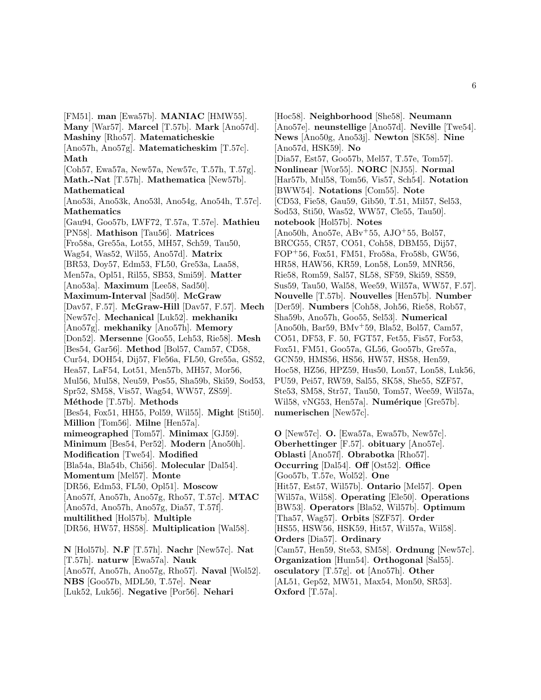[FM51]. **man** [Ewa57b]. **MANIAC** [HMW55]. **Many** [War57]. **Marcel** [T.57b]. **Mark** [Ano57d]. **Mashiny** [Rho57]. **Matematicheskie** [Ano57h, Ano57g]. **Matematicheskim** [T.57c]. **Math** [Coh57, Ewa57a, New57a, New57c, T.57h, T.57g]. **Math.-Nat** [T.57h]. **Mathematica** [New57b]. **Mathematical** [Ano53i, Ano53k, Ano53l, Ano54g, Ano54h, T.57c]. **Mathematics** [Gau94, Goo57b, LWF72, T.57a, T.57e]. **Mathieu** [PN58]. **Mathison** [Tau56]. **Matrices** [Fro58a, Gre55a, Lot55, MH57, Sch59, Tau50, Wag54, Was52, Wil55, Ano57d]. **Matrix** [BR53, Doy57, Edm53, FL50, Gre53a, Laa58, Men57a, Opl51, Ril55, SB53, Smi59]. **Matter** [Ano53a]. **Maximum** [Lee58, Sad50]. **Maximum-Interval** [Sad50]. **McGraw** [Dav57, F.57]. **McGraw-Hill** [Dav57, F.57]. **Mech** [New57c]. **Mechanical** [Luk52]. **mekhanikı** [Ano57g]. **mekhaniky** [Ano57h]. **Memory** [Don52]. **Mersenne** [Goo55, Leh53, Rie58]. **Mesh** [Bes54, Gar56]. **Method** [Bol57, Cam57, CD58, Cur54, DOH54, Dij57, Fle56a, FL50, Gre55a, GS52, Hea57, LaF54, Lot51, Men57b, MH57, Mor56, Mul56, Mul58, Neu59, Pos55, Sha59b, Ski59, Sod53, Spr52, SM58, Vis57, Wag54, WW57, ZS59]. **M´ethode** [T.57b]. **Methods** [Bes54, Fox51, HH55, Pol59, Wil55]. **Might** [Sti50]. **Million** [Tom56]. **Milne** [Hen57a]. **mimeographed** [Tom57]. **Minimax** [GJ59]. **Minimum** [Bes54, Per52]. **Modern** [Ano50h]. **Modification** [Twe54]. **Modified** [Bla54a, Bla54b, Chi56]. **Molecular** [Dal54]. **Momentum** [Mel57]. **Monte** [DR56, Edm53, FL50, Opl51]. **Moscow** [Ano57f, Ano57h, Ano57g, Rho57, T.57c]. **MTAC** [Ano57d, Ano57h, Ano57g, Dia57, T.57f]. **multilithed** [Hol57b]. **Multiple** [DR56, HW57, HS58]. **Multiplication** [Wal58]. **N** [Hol57b]. **N.F** [T.57h]. **Nachr** [New57c]. **Nat** [T.57h]. **naturw** [Ewa57a]. **Nauk** [Ano57f, Ano57h, Ano57g, Rho57]. **Naval** [Wol52].

**NBS** [Goo57b, MDL50, T.57e]. **Near**

[Luk52, Luk56]. **Negative** [Por56]. **Nehari**

[Hoc58]. **Neighborhood** [She58]. **Neumann** [Ano57e]. **neunstellige** [Ano57d]. **Neville** [Twe54]. **News** [Ano50g, Ano53j]. **Newton** [SK58]. **Nine** [Ano57d, HSK59]. **No** [Dia57, Est57, Goo57b, Mel57, T.57e, Tom57]. **Nonlinear** [Wor55]. **NORC** [NJ55]. **Normal** [Har57b, Mul58, Tom56, Vis57, Sch54]. **Notation** [BWW54]. **Notations** [Com55]. **Note** [CD53, Fie58, Gau59, Gib50, T.51, Mil57, Sel53, Sod53, Sti50, Was52, WW57, Cle55, Tau50]. **notebook** [Hol57b]. **Notes** [Ano50h, Ano57e, ABv<sup>+</sup>55, AJO<sup>+</sup>55, Bol57, BRCG55, CR57, CO51, Coh58, DBM55, Dij57, FOP<sup>+</sup>56, Fox51, FM51, Fro58a, Fro58b, GW56, HR58, HAW56, KR59, Lon58, Lon59, MNR56, Rie58, Rom59, Sal57, SL58, SF59, Ski59, SS59, Sus59, Tau50, Wal58, Wee59, Wil57a, WW57, F.57]. **Nouvelle** [T.57b]. **Nouvelles** [Hen57b]. **Number** [Der59]. **Numbers** [Coh58, Joh56, Rie58, Rob57, Sha59b, Ano57h, Goo55, Sel53]. **Numerical** [Ano50h, Bar59, BMv<sup>+</sup>59, Bla52, Bol57, Cam57, CO51, DF53, F. 50, FGT57, Fet55, Fis57, For53, Fox51, FM51, Goo57a, GL56, Goo57b, Gre57a, GCN59, HMS56, HS56, HW57, HS58, Hen59, Hoc58, HZ56, HPZ59, Hus50, Lon57, Lon58, Luk56, PU59, Pei57, RW59, Sal55, SK58, She55, SZF57, Ste53, SM58, Str57, Tau50, Tom57, Wee59, Wil57a, Wil58, vNG53, Hen57a]. **Numérique** [Gre57b]. **numerischen** [New57c].

**O** [New57c]. **O.** [Ewa57a, Ewa57b, New57c]. **Oberhettinger** [F.57]. **obituary** [Ano57e]. **Oblasti** [Ano57f]. **Obrabotka** [Rho57]. **Occurring** [Dal54]. **Off** [Ost52]. **Office** [Goo57b, T.57e, Wol52]. **One** [Hit57, Est57, Wil57b]. **Ontario** [Mel57]. **Open** [Wil57a, Wil58]. **Operating** [Ele50]. **Operations** [BW53]. **Operators** [Bla52, Wil57b]. **Optimum** [Tha57, Wag57]. **Orbits** [SZF57]. **Order** [HS55, HSW56, HSK59, Hit57, Wil57a, Wil58]. **Orders** [Dia57]. **Ordinary** [Cam57, Hen59, Ste53, SM58]. **Ordnung** [New57c]. **Organization** [Hum54]. **Orthogonal** [Sal55]. **osculatory** [T.57g]. **ot** [Ano57h]. **Other** [AL51, Gep52, MW51, Max54, Mon50, SR53]. **Oxford** [T.57a].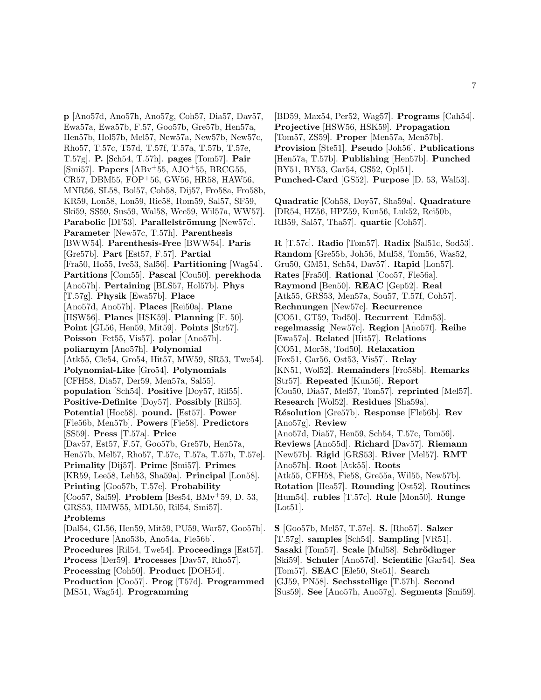**p** [Ano57d, Ano57h, Ano57g, Coh57, Dia57, Dav57, Ewa57a, Ewa57b, F.57, Goo57b, Gre57b, Hen57a, Hen57b, Hol57b, Mel57, New57a, New57b, New57c, Rho57, T.57c, T57d, T.57f, T.57a, T.57b, T.57e, T.57g]. **P.** [Sch54, T.57h]. **pages** [Tom57]. **Pair** [Smi57]. **Papers** [ABv<sup>+</sup>55, AJO<sup>+</sup>55, BRCG55, CR57, DBM55, FOP<sup>+</sup>56, GW56, HR58, HAW56, MNR56, SL58, Bol57, Coh58, Dij57, Fro58a, Fro58b, KR59, Lon58, Lon59, Rie58, Rom59, Sal57, SF59, Ski59, SS59, Sus59, Wal58, Wee59, Wil57a, WW57]. **Parabolic** [DF53]. **Parallelströmung** [New57c]. **Parameter** [New57c, T.57h]. **Parenthesis** [BWW54]. **Parenthesis-Free** [BWW54]. **Paris** [Gre57b]. **Part** [Est57, F.57]. **Partial** [Fra50, Ho55, Ive53, Sal56]. **Partitioning** [Wag54]. **Partitions** [Com55]. **Pascal** [Cou50]. **perekhoda** [Ano57h]. **Pertaining** [BLS57, Hol57b]. **Phys** [T.57g]. **Physik** [Ewa57b]. **Place** [Ano57d, Ano57h]. **Places** [Rei50a]. **Plane** [HSW56]. **Planes** [HSK59]. **Planning** [F. 50]. **Point** [GL56, Hen59, Mit59]. **Points** [Str57]. **Poisson** [Fet55, Vis57]. **polar** [Ano57h]. **poliarnym** [Ano57h]. **Polynomial** [Atk55, Cle54, Gro54, Hit57, MW59, SR53, Twe54]. **Polynomial-Like** [Gro54]. **Polynomials** [CFH58, Dia57, Der59, Men57a, Sal55]. **population** [Sch54]. **Positive** [Doy57, Ril55]. **Positive-Definite** [Doy57]. **Possibly** [Ril55]. **Potential** [Hoc58]. **pound.** [Est57]. **Power** [Fle56b, Men57b]. **Powers** [Fie58]. **Predictors** [SS59]. **Press** [T.57a]. **Price** [Dav57, Est57, F.57, Goo57b, Gre57b, Hen57a, Hen57b, Mel57, Rho57, T.57c, T.57a, T.57b, T.57e]. **Primality** [Dij57]. **Prime** [Smi57]. **Primes** [KR59, Lee58, Leh53, Sha59a]. **Principal** [Lon58]. **Printing** [Goo57b, T.57e]. **Probability** [Coo57, Sal59]. **Problem** [Bes54, BMv<sup>+</sup>59, D. 53, GRS53, HMW55, MDL50, Ril54, Smi57]. **Problems** [Dal54, GL56, Hen59, Mit59, PU59, War57, Goo57b]. **Procedure** [Ano53b, Ano54a, Fle56b]. **Procedures** [Ril54, Twe54]. **Proceedings** [Est57]. **Process** [Der59]. **Processes** [Dav57, Rho57]. **Processing** [Coh50]. **Product** [DOH54]. **Production** [Coo57]. **Prog** [T57d]. **Programmed** [MS51, Wag54]. **Programming**

[BD59, Max54, Per52, Wag57]. **Programs** [Cah54]. **Projective** [HSW56, HSK59]. **Propagation** [Tom57, ZS59]. **Proper** [Men57a, Men57b]. **Provision** [Ste51]. **Pseudo** [Joh56]. **Publications** [Hen57a, T.57b]. **Publishing** [Hen57b]. **Punched** [BY51, BY53, Gar54, GS52, Opl51]. **Punched-Card** [GS52]. **Purpose** [D. 53, Wal53].

**Quadratic** [Coh58, Doy57, Sha59a]. **Quadrature** [DR54, HZ56, HPZ59, Kun56, Luk52, Rei50b, RB59, Sal57, Tha57]. **quartic** [Coh57].

**R** [T.57c]. **Radio** [Tom57]. **Radix** [Sal51c, Sod53]. **Random** [Gre55b, Joh56, Mul58, Tom56, Was52, Gru50, GM51, Sch54, Dav57]. **Rapid** [Lon57]. **Rates** [Fra50]. **Rational** [Coo57, Fle56a]. **Raymond** [Ben50]. **REAC** [Gep52]. **Real** [Atk55, GRS53, Men57a, Sou57, T.57f, Coh57]. **Rechnungen** [New57c]. **Recurrence** [CO51, GT59, Tod50]. **Recurrent** [Edm53]. **regelmassig** [New57c]. **Region** [Ano57f]. **Reihe** [Ewa57a]. **Related** [Hit57]. **Relations** [CO51, Mor58, Tod50]. **Relaxation** [Fox51, Gar56, Ost53, Vis57]. **Relay** [KN51, Wol52]. **Remainders** [Fro58b]. **Remarks** [Str57]. **Repeated** [Kun56]. **Report** [Cou50, Dia57, Mel57, Tom57]. **reprinted** [Mel57]. **Research** [Wol52]. **Residues** [Sha59a]. **R´esolution** [Gre57b]. **Response** [Fle56b]. **Rev** [Ano57g]. **Review** [Ano57d, Dia57, Hen59, Sch54, T.57c, Tom56]. **Reviews** [Ano55d]. **Richard** [Dav57]. **Riemann** [New57b]. **Rigid** [GRS53]. **River** [Mel57]. **RMT** [Ano57h]. **Root** [Atk55]. **Roots** [Atk55, CFH58, Fie58, Gre55a, Wil55, New57b]. **Rotation** [Hea57]. **Rounding** [Ost52]. **Routines** [Hum54]. **rubles** [T.57c]. **Rule** [Mon50]. **Runge** [Lot51].

**S** [Goo57b, Mel57, T.57e]. **S.** [Rho57]. **Salzer** [T.57g]. **samples** [Sch54]. **Sampling** [VR51]. **Sasaki** [Tom57]. **Scale** [Mul58]. **Schrödinger** [Ski59]. **Schuler** [Ano57d]. **Scientific** [Gar54]. **Sea** [Tom57]. **SEAC** [Ele50, Ste51]. **Search** [GJ59, PN58]. **Sechsstellige** [T.57h]. **Second** [Sus59]. **See** [Ano57h, Ano57g]. **Segments** [Smi59].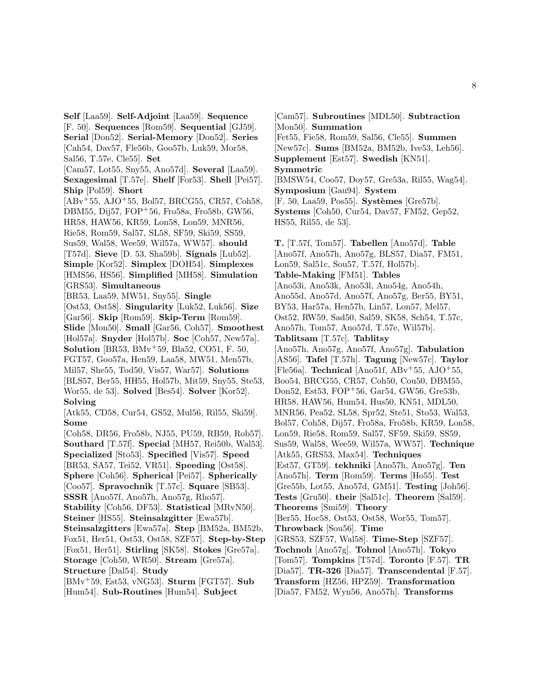**Self** [Laa59]. **Self-Adjoint** [Laa59]. **Sequence** [F. 50]. **Sequences** [Rom59]. **Sequential** [GJ59]. **Serial** [Don52]. **Serial-Memory** [Don52]. **Series** [Cah54, Dav57, Fle56b, Goo57b, Luk59, Mor58, Sal56, T.57e, Cle55]. **Set** [Cam57, Lot55, Sny55, Ano57d]. **Several** [Laa59]. **Sexagesimal** [T.57e]. **Shelf** [For53]. **Shell** [Pei57]. **Ship** [Pol59]. **Short** [ABv<sup>+</sup>55, AJO<sup>+</sup>55, Bol57, BRCG55, CR57, Coh58, DBM55, Dij57, FOP<sup>+</sup>56, Fro58a, Fro58b, GW56, HR58, HAW56, KR59, Lon58, Lon59, MNR56, Rie58, Rom59, Sal57, SL58, SF59, Ski59, SS59, Sus59, Wal58, Wee59, Wil57a, WW57]. **should** [T57d]. **Sieve** [D. 53, Sha59b]. **Signals** [Lub52]. **Simple** [Kor52]. **Simplex** [DOH54]. **Simplexes** [HMS56, HS56]. **Simplified** [MH58]. **Simulation** [GRS53]. **Simultaneous** [BR53, Laa59, MW51, Sny55]. **Single** [Ost53, Ost58]. **Singularity** [Luk52, Luk56]. **Size** [Gar56]. **Skip** [Rom59]. **Skip-Term** [Rom59]. **Slide** [Mon50]. **Small** [Gar56, Coh57]. **Smoothest** [Hol57a]. **Snyder** [Hol57b]. **Soc** [Coh57, New57a]. **Solution** [BR53, BMv<sup>+</sup>59, Bla52, CO51, F. 50, FGT57, Goo57a, Hen59, Laa58, MW51, Men57b, Mil57, She55, Tod50, Vis57, War57]. **Solutions** [BLS57, Ber55, HH55, Hol57b, Mit59, Sny55, Ste53, Wor55, de 53]. **Solved** [Bes54]. **Solver** [Kor52]. **Solving** [Atk55, CD58, Cur54, GS52, Mul56, Ril55, Ski59]. **Some** [Coh58, DR56, Fro58b, NJ55, PU59, RB59, Rob57]. **Southard** [T.57f]. **Special** [MH57, Rei50b, Wal53]. **Specialized** [Sto53]. **Specified** [Vis57]. **Speed** [BR53, SA57, Tei52, VR51]. **Speeding** [Ost58]. **Sphere** [Coh56]. **Spherical** [Pei57]. **Spherically** [Coo57]. **Spravochnik** [T.57c]. **Square** [SB53]. **SSSR** [Ano57f, Ano57h, Ano57g, Rho57]. **Stability** [Coh56, DF53]. **Statistical** [MRvN50]. **Steiner** [HS55]. **Steinsalzgitter** [Ewa57b]. **Steinsalzgitters** [Ewa57a]. **Step** [BM52a, BM52b, Fox51, Her51, Ost53, Ost58, SZF57]. **Step-by-Step** [Fox51, Her51]. **Stirling** [SK58]. **Stokes** [Gre57a]. **Storage** [Coh50, WR50]. **Stream** [Gre57a]. **Structure** [Dal54]. **Study** [BMv<sup>+</sup>59, Est53, vNG53]. **Sturm** [FGT57]. **Sub** [Hum54]. **Sub-Routines** [Hum54]. **Subject**

[Cam57]. **Subroutines** [MDL50]. **Subtraction** [Mon50]. **Summation**

[Fet55, Fie58, Rom59, Sal56, Cle55]. **Summen** [New57c]. **Sums** [BM52a, BM52b, Ive53, Leh56]. **Supplement** [Est57]. **Swedish** [KN51].

**Symmetric**

[BMSW54, Coo57, Doy57, Gre53a, Ril55, Wag54]. **Symposium** [Gau94]. **System** [F. 50, Laa59, Pos55]. **Systèmes** [Gre57b].

**Systems** [Coh50, Cur54, Dav57, FM52, Gep52, HS55, Ril55, de 53].

**T.** [T.57f, Tom57]. **Tabellen** [Ano57d]. **Table** [Ano57f, Ano57h, Ano57g, BLS57, Dia57, FM51, Lon59, Sal51c, Sou57, T.57f, Hol57b]. **Table-Making** [FM51]. **Tables** [Ano53i, Ano53k, Ano53l, Ano54g, Ano54h, Ano55d, Ano57d, Ano57f, Ano57g, Ber55, BY51, BY53, Har57a, Hen57b, Lin57, Lon57, Mel57, Ost52, RW59, Sad50, Sal59, SK58, Sch54, T.57c, Ano57h, Tom57, Ano57d, T.57e, Wil57b]. **Tablitsam** [T.57c]. **Tablitsy** [Ano57h, Ano57g, Ano57f, Ano57g]. **Tabulation** [AS56]. **Tafel** [T.57h]. **Tagung** [New57c]. **Taylor** [Fle56a]. **Technical** [Ano51f, ABv<sup>+</sup>55, AJO<sup>+</sup>55, Boo54, BRCG55, CR57, Coh50, Cou50, DBM55, Don52, Est53, FOP<sup>+</sup>56, Gar54, GW56, Gre53b, HR58, HAW56, Hum54, Hus50, KN51, MDL50, MNR56, Pea52, SL58, Spr52, Ste51, Sto53, Wal53, Bol57, Coh58, Dij57, Fro58a, Fro58b, KR59, Lon58, Lon59, Rie58, Rom59, Sal57, SF59, Ski59, SS59, Sus59, Wal58, Wee59, Wil57a, WW57]. **Technique** [Atk55, GRS53, Max54]. **Techniques** [Est57, GT59]. **tekhniki** [Ano57h, Ano57g]. **Ten** [Ano57h]. **Term** [Rom59]. **Terms** [Ho55]. **Test** [Gre55b, Lot55, Ano57d, GM51]. **Testing** [Joh56]. **Tests** [Gru50]. **their** [Sal51c]. **Theorem** [Sal59]. **Theorems** [Smi59]. **Theory** [Ber55, Hoc58, Ost53, Ost58, Wor55, Tom57]. **Throwback** [Sou56]. **Time** [GRS53, SZF57, Wal58]. **Time-Step** [SZF57]. **Tochnolı** [Ano57g]. **Tohnol** [Ano57h]. **Tokyo** [Tom57]. **Tompkins** [T57d]. **Toronto** [F.57]. **TR** [Dia57]. **TR-326** [Dia57]. **Transcendental** [F.57]. **Transform** [HZ56, HPZ59]. **Transformation** [Dia57, FM52, Wyn56, Ano57h]. **Transforms**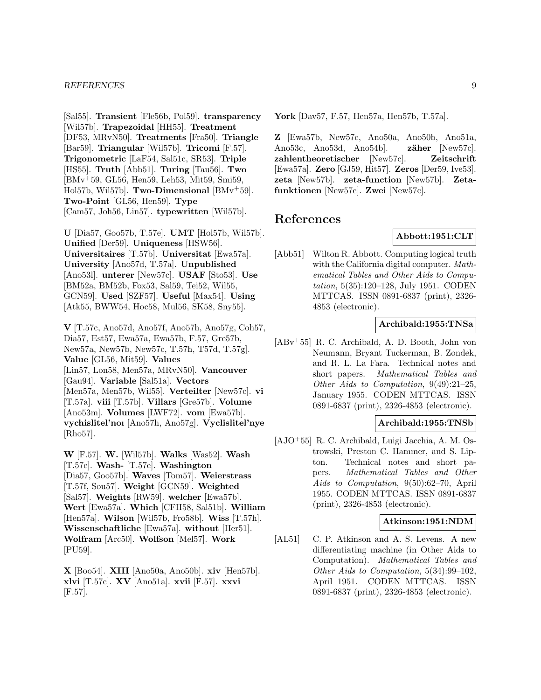[Sal55]. **Transient** [Fle56b, Pol59]. **transparency** [Wil57b]. **Trapezoidal** [HH55]. **Treatment** [DF53, MRvN50]. **Treatments** [Fra50]. **Triangle** [Bar59]. **Triangular** [Wil57b]. **Tricomi** [F.57]. **Trigonometric** [LaF54, Sal51c, SR53]. **Triple** [HS55]. **Truth** [Abb51]. **Turing** [Tau56]. **Two** [BMv<sup>+</sup>59, GL56, Hen59, Leh53, Mit59, Smi59, Hol57b, Wil57b]. **Two-Dimensional** [BMv<sup>+</sup>59]. **Two-Point** [GL56, Hen59]. **Type** [Cam57, Joh56, Lin57]. **typewritten** [Wil57b].

**U** [Dia57, Goo57b, T.57e]. **UMT** [Hol57b, Wil57b]. **Unified** [Der59]. **Uniqueness** [HSW56]. **Universitaires** [T.57b]. **Universitat** [Ewa57a]. **University** [Ano57d, T.57a]. **Unpublished** [Ano53l]. **unterer** [New57c]. **USAF** [Sto53]. **Use** [BM52a, BM52b, Fox53, Sal59, Tei52, Wil55, GCN59]. **Used** [SZF57]. **Useful** [Max54]. **Using** [Atk55, BWW54, Hoc58, Mul56, SK58, Sny55].

**V** [T.57c, Ano57d, Ano57f, Ano57h, Ano57g, Coh57, Dia57, Est57, Ewa57a, Ewa57b, F.57, Gre57b, New57a, New57b, New57c, T.57h, T57d, T.57g]. **Value** [GL56, Mit59]. **Values** [Lin57, Lon58, Men57a, MRvN50]. **Vancouver** [Gau94]. **Variable** [Sal51a]. **Vectors** [Men57a, Men57b, Wil55]. **Verteilter** [New57c]. **vi** [T.57a]. **viii** [T.57b]. **Villars** [Gre57b]. **Volume** [Ano53m]. **Volumes** [LWF72]. **vom** [Ewa57b]. **vychislitel'noı** [Ano57h, Ano57g]. **Vyclislitel'nye** [Rho57].

**W** [F.57]. **W.** [Wil57b]. **Walks** [Was52]. **Wash** [T.57e]. **Wash-** [T.57e]. **Washington** [Dia57, Goo57b]. **Waves** [Tom57]. **Weierstrass** [T.57f, Sou57]. **Weight** [GCN59]. **Weighted** [Sal57]. **Weights** [RW59]. **welcher** [Ewa57b]. **Wert** [Ewa57a]. **Which** [CFH58, Sal51b]. **William** [Hen57a]. **Wilson** [Wil57b, Fro58b]. **Wiss** [T.57h]. **Wissenschaftliche** [Ewa57a]. **without** [Her51]. **Wolfram** [Arc50]. **Wolfson** [Mel57]. **Work** [PU59].

**X** [Boo54]. **XIII** [Ano50a, Ano50b]. **xiv** [Hen57b]. **xlvi** [T.57c]. **XV** [Ano51a]. **xvii** [F.57]. **xxvi** [F.57].

**York** [Dav57, F.57, Hen57a, Hen57b, T.57a].

**Z** [Ewa57b, New57c, Ano50a, Ano50b, Ano51a, Ano53c, Ano53d, Ano54b. **zäher** [New57c]. **zahlentheoretischer** [New57c]. **Zeitschrift** [Ewa57a]. **Zero** [GJ59, Hit57]. **Zeros** [Der59, Ive53]. **zeta** [New57b]. **zeta-function** [New57b]. **Zetafunktionen** [New57c]. **Zwei** [New57c].

# **References**

# **Abbott:1951:CLT**

[Abb51] Wilton R. Abbott. Computing logical truth with the California digital computer. Mathematical Tables and Other Aids to Computation, 5(35):120–128, July 1951. CODEN MTTCAS. ISSN 0891-6837 (print), 2326- 4853 (electronic).

# **Archibald:1955:TNSa**

[ABv<sup>+</sup>55] R. C. Archibald, A. D. Booth, John von Neumann, Bryant Tuckerman, B. Zondek, and R. L. La Fara. Technical notes and short papers. Mathematical Tables and Other Aids to Computation, 9(49):21–25, January 1955. CODEN MTTCAS. ISSN 0891-6837 (print), 2326-4853 (electronic).

# **Archibald:1955:TNSb**

[AJO<sup>+</sup>55] R. C. Archibald, Luigi Jacchia, A. M. Ostrowski, Preston C. Hammer, and S. Lipton. Technical notes and short papers. Mathematical Tables and Other Aids to Computation, 9(50):62–70, April 1955. CODEN MTTCAS. ISSN 0891-6837 (print), 2326-4853 (electronic).

### **Atkinson:1951:NDM**

[AL51] C. P. Atkinson and A. S. Levens. A new differentiating machine (in Other Aids to Computation). Mathematical Tables and Other Aids to Computation, 5(34):99–102, April 1951. CODEN MTTCAS. ISSN 0891-6837 (print), 2326-4853 (electronic).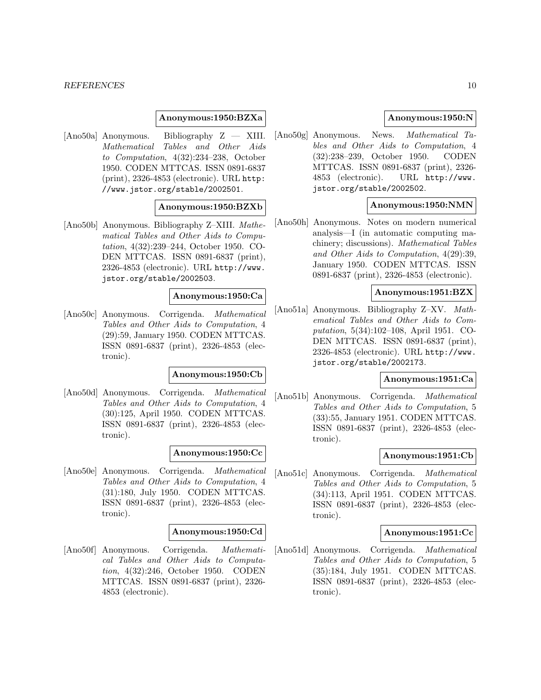#### **Anonymous:1950:BZXa**

[Ano50a] Anonymous. Bibliography Z — XIII. Mathematical Tables and Other Aids to Computation, 4(32):234–238, October 1950. CODEN MTTCAS. ISSN 0891-6837 (print), 2326-4853 (electronic). URL http: //www.jstor.org/stable/2002501.

### **Anonymous:1950:BZXb**

[Ano50b] Anonymous. Bibliography Z–XIII. Mathematical Tables and Other Aids to Computation, 4(32):239–244, October 1950. CO-DEN MTTCAS. ISSN 0891-6837 (print), 2326-4853 (electronic). URL http://www. jstor.org/stable/2002503.

#### **Anonymous:1950:Ca**

[Ano50c] Anonymous. Corrigenda. Mathematical Tables and Other Aids to Computation, 4 (29):59, January 1950. CODEN MTTCAS. ISSN 0891-6837 (print), 2326-4853 (electronic).

#### **Anonymous:1950:Cb**

[Ano50d] Anonymous. Corrigenda. Mathematical Tables and Other Aids to Computation, 4 (30):125, April 1950. CODEN MTTCAS. ISSN 0891-6837 (print), 2326-4853 (electronic).

#### **Anonymous:1950:Cc**

[Ano50e] Anonymous. Corrigenda. Mathematical Tables and Other Aids to Computation, 4 (31):180, July 1950. CODEN MTTCAS. ISSN 0891-6837 (print), 2326-4853 (electronic).

#### **Anonymous:1950:Cd**

[Ano50f] Anonymous. Corrigenda. Mathematical Tables and Other Aids to Computation, 4(32):246, October 1950. CODEN MTTCAS. ISSN 0891-6837 (print), 2326- 4853 (electronic).

### **Anonymous:1950:N**

[Ano50g] Anonymous. News. Mathematical Tables and Other Aids to Computation, 4 (32):238–239, October 1950. CODEN MTTCAS. ISSN 0891-6837 (print), 2326- 4853 (electronic). URL http://www. jstor.org/stable/2002502.

# **Anonymous:1950:NMN**

[Ano50h] Anonymous. Notes on modern numerical analysis—I (in automatic computing machinery; discussions). Mathematical Tables and Other Aids to Computation, 4(29):39, January 1950. CODEN MTTCAS. ISSN 0891-6837 (print), 2326-4853 (electronic).

# **Anonymous:1951:BZX**

[Ano51a] Anonymous. Bibliography Z–XV. Mathematical Tables and Other Aids to Computation, 5(34):102–108, April 1951. CO-DEN MTTCAS. ISSN 0891-6837 (print), 2326-4853 (electronic). URL http://www. jstor.org/stable/2002173.

# **Anonymous:1951:Ca**

[Ano51b] Anonymous. Corrigenda. Mathematical Tables and Other Aids to Computation, 5 (33):55, January 1951. CODEN MTTCAS. ISSN 0891-6837 (print), 2326-4853 (electronic).

#### **Anonymous:1951:Cb**

[Ano51c] Anonymous. Corrigenda. Mathematical Tables and Other Aids to Computation, 5 (34):113, April 1951. CODEN MTTCAS. ISSN 0891-6837 (print), 2326-4853 (electronic).

#### **Anonymous:1951:Cc**

[Ano51d] Anonymous. Corrigenda. Mathematical Tables and Other Aids to Computation, 5 (35):184, July 1951. CODEN MTTCAS. ISSN 0891-6837 (print), 2326-4853 (electronic).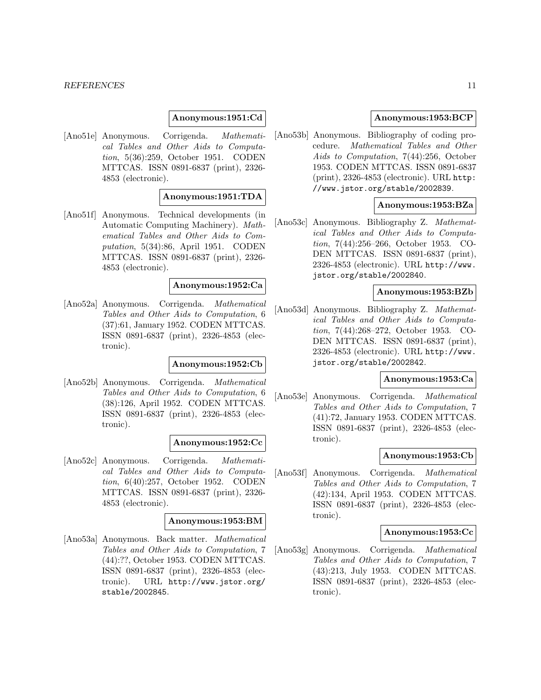#### **Anonymous:1951:Cd**

[Ano51e] Anonymous. Corrigenda. Mathematical Tables and Other Aids to Computation, 5(36):259, October 1951. CODEN MTTCAS. ISSN 0891-6837 (print), 2326- 4853 (electronic).

#### **Anonymous:1951:TDA**

[Ano51f] Anonymous. Technical developments (in Automatic Computing Machinery). Mathematical Tables and Other Aids to Computation, 5(34):86, April 1951. CODEN MTTCAS. ISSN 0891-6837 (print), 2326- 4853 (electronic).

#### **Anonymous:1952:Ca**

[Ano52a] Anonymous. Corrigenda. Mathematical Tables and Other Aids to Computation, 6 (37):61, January 1952. CODEN MTTCAS. ISSN 0891-6837 (print), 2326-4853 (electronic).

#### **Anonymous:1952:Cb**

[Ano52b] Anonymous. Corrigenda. Mathematical Tables and Other Aids to Computation, 6 (38):126, April 1952. CODEN MTTCAS. ISSN 0891-6837 (print), 2326-4853 (electronic).

#### **Anonymous:1952:Cc**

[Ano52c] Anonymous. Corrigenda. Mathematical Tables and Other Aids to Computation, 6(40):257, October 1952. CODEN MTTCAS. ISSN 0891-6837 (print), 2326- 4853 (electronic).

#### **Anonymous:1953:BM**

[Ano53a] Anonymous. Back matter. Mathematical Tables and Other Aids to Computation, 7 (44):??, October 1953. CODEN MTTCAS. ISSN 0891-6837 (print), 2326-4853 (electronic). URL http://www.jstor.org/ stable/2002845.

#### **Anonymous:1953:BCP**

[Ano53b] Anonymous. Bibliography of coding procedure. Mathematical Tables and Other Aids to Computation, 7(44):256, October 1953. CODEN MTTCAS. ISSN 0891-6837 (print), 2326-4853 (electronic). URL http: //www.jstor.org/stable/2002839.

# **Anonymous:1953:BZa**

[Ano53c] Anonymous. Bibliography Z. Mathematical Tables and Other Aids to Computation, 7(44):256–266, October 1953. CO-DEN MTTCAS. ISSN 0891-6837 (print), 2326-4853 (electronic). URL http://www. jstor.org/stable/2002840.

# **Anonymous:1953:BZb**

[Ano53d] Anonymous. Bibliography Z. Mathematical Tables and Other Aids to Computation, 7(44):268–272, October 1953. CO-DEN MTTCAS. ISSN 0891-6837 (print), 2326-4853 (electronic). URL http://www. jstor.org/stable/2002842.

# **Anonymous:1953:Ca**

[Ano53e] Anonymous. Corrigenda. Mathematical Tables and Other Aids to Computation, 7 (41):72, January 1953. CODEN MTTCAS. ISSN 0891-6837 (print), 2326-4853 (electronic).

#### **Anonymous:1953:Cb**

[Ano53f] Anonymous. Corrigenda. Mathematical Tables and Other Aids to Computation, 7 (42):134, April 1953. CODEN MTTCAS. ISSN 0891-6837 (print), 2326-4853 (electronic).

### **Anonymous:1953:Cc**

[Ano53g] Anonymous. Corrigenda. Mathematical Tables and Other Aids to Computation, 7 (43):213, July 1953. CODEN MTTCAS. ISSN 0891-6837 (print), 2326-4853 (electronic).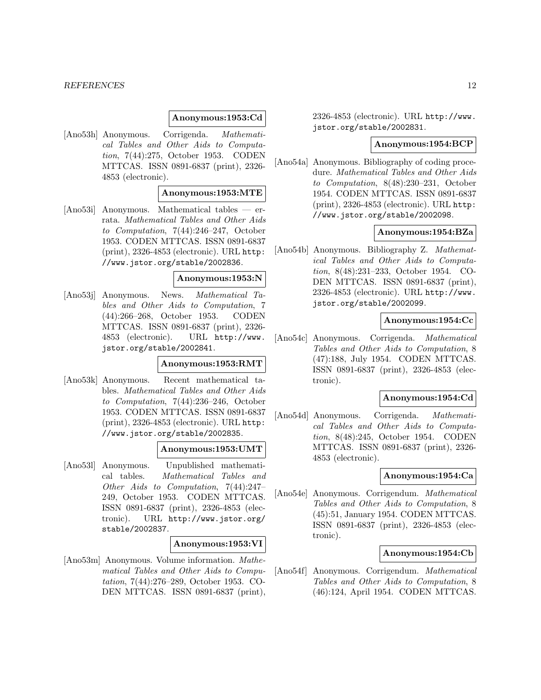#### **Anonymous:1953:Cd**

[Ano53h] Anonymous. Corrigenda. Mathematical Tables and Other Aids to Computation, 7(44):275, October 1953. CODEN MTTCAS. ISSN 0891-6837 (print), 2326- 4853 (electronic).

#### **Anonymous:1953:MTE**

[Ano53i] Anonymous. Mathematical tables — errata. Mathematical Tables and Other Aids to Computation, 7(44):246–247, October 1953. CODEN MTTCAS. ISSN 0891-6837 (print), 2326-4853 (electronic). URL http: //www.jstor.org/stable/2002836.

### **Anonymous:1953:N**

[Ano53j] Anonymous. News. Mathematical Tables and Other Aids to Computation, 7 (44):266–268, October 1953. CODEN MTTCAS. ISSN 0891-6837 (print), 2326- 4853 (electronic). URL http://www. jstor.org/stable/2002841.

# **Anonymous:1953:RMT**

[Ano53k] Anonymous. Recent mathematical tables. Mathematical Tables and Other Aids to Computation, 7(44):236–246, October 1953. CODEN MTTCAS. ISSN 0891-6837 (print), 2326-4853 (electronic). URL http: //www.jstor.org/stable/2002835.

#### **Anonymous:1953:UMT**

[Ano53l] Anonymous. Unpublished mathematical tables. Mathematical Tables and Other Aids to Computation, 7(44):247– 249, October 1953. CODEN MTTCAS. ISSN 0891-6837 (print), 2326-4853 (electronic). URL http://www.jstor.org/ stable/2002837.

#### **Anonymous:1953:VI**

[Ano53m] Anonymous. Volume information. Mathematical Tables and Other Aids to Computation, 7(44):276–289, October 1953. CO-DEN MTTCAS. ISSN 0891-6837 (print),

2326-4853 (electronic). URL http://www. jstor.org/stable/2002831.

#### **Anonymous:1954:BCP**

[Ano54a] Anonymous. Bibliography of coding procedure. Mathematical Tables and Other Aids to Computation, 8(48):230–231, October 1954. CODEN MTTCAS. ISSN 0891-6837 (print), 2326-4853 (electronic). URL http: //www.jstor.org/stable/2002098.

# **Anonymous:1954:BZa**

[Ano54b] Anonymous. Bibliography Z. Mathematical Tables and Other Aids to Computation, 8(48):231–233, October 1954. CO-DEN MTTCAS. ISSN 0891-6837 (print), 2326-4853 (electronic). URL http://www. jstor.org/stable/2002099.

#### **Anonymous:1954:Cc**

[Ano54c] Anonymous. Corrigenda. Mathematical Tables and Other Aids to Computation, 8 (47):188, July 1954. CODEN MTTCAS. ISSN 0891-6837 (print), 2326-4853 (electronic).

### **Anonymous:1954:Cd**

[Ano54d] Anonymous. Corrigenda. Mathematical Tables and Other Aids to Computation, 8(48):245, October 1954. CODEN MTTCAS. ISSN 0891-6837 (print), 2326- 4853 (electronic).

#### **Anonymous:1954:Ca**

[Ano54e] Anonymous. Corrigendum. Mathematical Tables and Other Aids to Computation, 8 (45):51, January 1954. CODEN MTTCAS. ISSN 0891-6837 (print), 2326-4853 (electronic).

### **Anonymous:1954:Cb**

[Ano54f] Anonymous. Corrigendum. Mathematical Tables and Other Aids to Computation, 8 (46):124, April 1954. CODEN MTTCAS.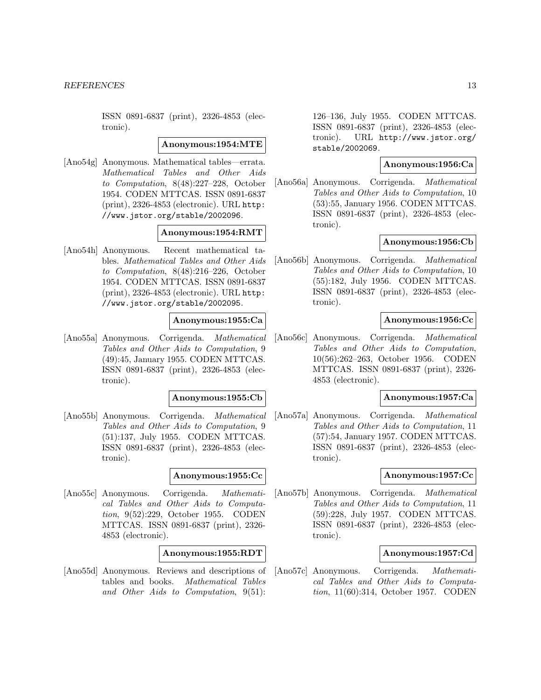ISSN 0891-6837 (print), 2326-4853 (electronic).

#### **Anonymous:1954:MTE**

[Ano54g] Anonymous. Mathematical tables—errata. Mathematical Tables and Other Aids to Computation, 8(48):227–228, October 1954. CODEN MTTCAS. ISSN 0891-6837 (print), 2326-4853 (electronic). URL http: //www.jstor.org/stable/2002096.

### **Anonymous:1954:RMT**

[Ano54h] Anonymous. Recent mathematical tables. Mathematical Tables and Other Aids to Computation, 8(48):216–226, October 1954. CODEN MTTCAS. ISSN 0891-6837 (print), 2326-4853 (electronic). URL http: //www.jstor.org/stable/2002095.

# **Anonymous:1955:Ca**

[Ano55a] Anonymous. Corrigenda. Mathematical Tables and Other Aids to Computation, 9 (49):45, January 1955. CODEN MTTCAS. ISSN 0891-6837 (print), 2326-4853 (electronic).

#### **Anonymous:1955:Cb**

[Ano55b] Anonymous. Corrigenda. Mathematical Tables and Other Aids to Computation, 9 (51):137, July 1955. CODEN MTTCAS. ISSN 0891-6837 (print), 2326-4853 (electronic).

#### **Anonymous:1955:Cc**

[Ano55c] Anonymous. Corrigenda. Mathematical Tables and Other Aids to Computation, 9(52):229, October 1955. CODEN MTTCAS. ISSN 0891-6837 (print), 2326- 4853 (electronic).

# **Anonymous:1955:RDT**

[Ano55d] Anonymous. Reviews and descriptions of tables and books. Mathematical Tables and Other Aids to Computation, 9(51):

126–136, July 1955. CODEN MTTCAS. ISSN 0891-6837 (print), 2326-4853 (electronic). URL http://www.jstor.org/ stable/2002069.

# **Anonymous:1956:Ca**

[Ano56a] Anonymous. Corrigenda. Mathematical Tables and Other Aids to Computation, 10 (53):55, January 1956. CODEN MTTCAS. ISSN 0891-6837 (print), 2326-4853 (electronic).

#### **Anonymous:1956:Cb**

[Ano56b] Anonymous. Corrigenda. Mathematical Tables and Other Aids to Computation, 10 (55):182, July 1956. CODEN MTTCAS. ISSN 0891-6837 (print), 2326-4853 (electronic).

#### **Anonymous:1956:Cc**

[Ano56c] Anonymous. Corrigenda. Mathematical Tables and Other Aids to Computation, 10(56):262–263, October 1956. CODEN MTTCAS. ISSN 0891-6837 (print), 2326- 4853 (electronic).

# **Anonymous:1957:Ca**

[Ano57a] Anonymous. Corrigenda. Mathematical Tables and Other Aids to Computation, 11 (57):54, January 1957. CODEN MTTCAS. ISSN 0891-6837 (print), 2326-4853 (electronic).

#### **Anonymous:1957:Cc**

[Ano57b] Anonymous. Corrigenda. Mathematical Tables and Other Aids to Computation, 11 (59):228, July 1957. CODEN MTTCAS. ISSN 0891-6837 (print), 2326-4853 (electronic).

# **Anonymous:1957:Cd**

[Ano57c] Anonymous. Corrigenda. Mathematical Tables and Other Aids to Computation, 11(60):314, October 1957. CODEN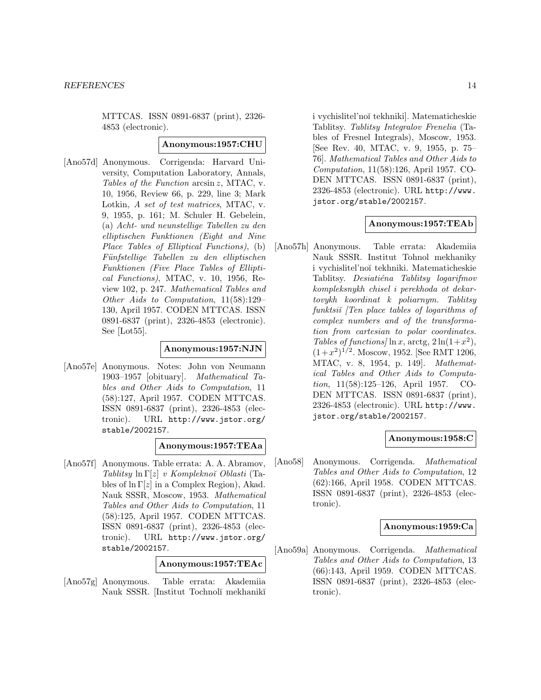MTTCAS. ISSN 0891-6837 (print), 2326- 4853 (electronic).

### **Anonymous:1957:CHU**

[Ano57d] Anonymous. Corrigenda: Harvard University, Computation Laboratory, Annals, Tables of the Function arcsin z, MTAC, v. 10, 1956, Review 66, p. 229, line 3; Mark Lotkin, A set of test matrices, MTAC, v. 9, 1955, p. 161; M. Schuler H. Gebelein, (a) Acht- und neunstellige Tabellen zu den elliptischen Funktionen (Eight and Nine Place Tables of Elliptical Functions), (b) Fünfstellige Tabellen zu den elliptischen Funktionen (Five Place Tables of Elliptical Functions), MTAC, v. 10, 1956, Review 102, p. 247. Mathematical Tables and Other Aids to Computation, 11(58):129– 130, April 1957. CODEN MTTCAS. ISSN 0891-6837 (print), 2326-4853 (electronic). See [Lot55].

# **Anonymous:1957:NJN**

[Ano57e] Anonymous. Notes: John von Neumann 1903–1957 [obituary]. Mathematical Tables and Other Aids to Computation, 11 (58):127, April 1957. CODEN MTTCAS. ISSN 0891-6837 (print), 2326-4853 (electronic). URL http://www.jstor.org/ stable/2002157.

### **Anonymous:1957:TEAa**

[Ano57f] Anonymous. Table errata: A. A. Abramov, Tablitsy  $\ln \Gamma[z]$  v Kompleknoï Oblasti (Tables of  $\ln \Gamma[z]$  in a Complex Region), Akad. Nauk SSSR, Moscow, 1953. Mathematical Tables and Other Aids to Computation, 11 (58):125, April 1957. CODEN MTTCAS. ISSN 0891-6837 (print), 2326-4853 (electronic). URL http://www.jstor.org/ stable/2002157.

### **Anonymous:1957:TEAc**

[Ano57g] Anonymous. Table errata: Akademiia Nauk SSSR. [Institut Tochnol˘ı mekhanik˘ı i vychislitel'no˘ı tekhniki]. Matematicheskie Tablitsy. Tablitsy Integralov Frenelia (Tables of Fresnel Integrals), Moscow, 1953. [See Rev. 40, MTAC, v. 9, 1955, p. 75– 76]. Mathematical Tables and Other Aids to Computation, 11(58):126, April 1957. CO-DEN MTTCAS. ISSN 0891-6837 (print), 2326-4853 (electronic). URL http://www. jstor.org/stable/2002157.

### **Anonymous:1957:TEAb**

[Ano57h] Anonymous. Table errata: Akademiia Nauk SSSR. Institut Tohnol mekhaniky i vychislitel'no˘ı tekhniki. Matematicheskie Tablitsy. Desiatiéna Tablitsy logarifmov kompleksnykh chisel i perekhoda ot dekartovykh koordinat k poliarnym. Tablitsy funktsi $\check{i}$  [Ten place tables of logarithms of complex numbers and of the transformation from cartesian to polar coordinates. Tables of functions/ $\ln x$ , arctg,  $2 \ln(1+x^2)$ ,  $(1+x^2)^{1/2}$ . Moscow, 1952. [See RMT 1206, MTAC, v. 8, 1954, p. 149]. Mathematical Tables and Other Aids to Computation, 11(58):125–126, April 1957. CO-DEN MTTCAS. ISSN 0891-6837 (print), 2326-4853 (electronic). URL http://www. jstor.org/stable/2002157.

### **Anonymous:1958:C**

[Ano58] Anonymous. Corrigenda. Mathematical Tables and Other Aids to Computation, 12 (62):166, April 1958. CODEN MTTCAS. ISSN 0891-6837 (print), 2326-4853 (electronic).

### **Anonymous:1959:Ca**

[Ano59a] Anonymous. Corrigenda. Mathematical Tables and Other Aids to Computation, 13 (66):143, April 1959. CODEN MTTCAS. ISSN 0891-6837 (print), 2326-4853 (electronic).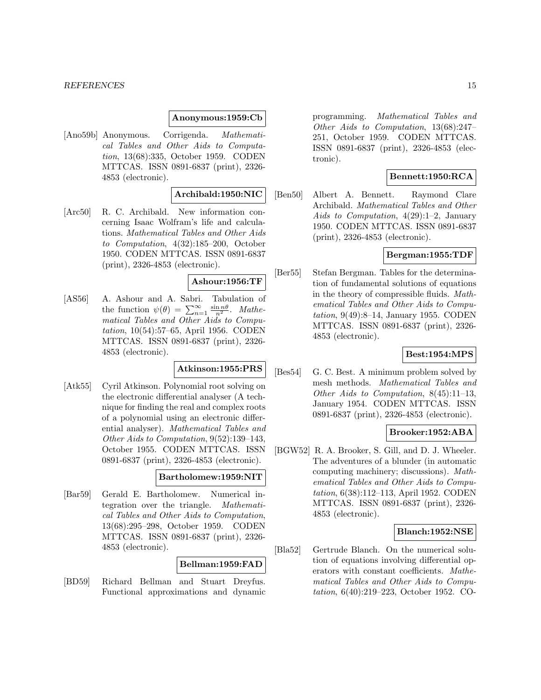#### **Anonymous:1959:Cb**

[Ano59b] Anonymous. Corrigenda. Mathematical Tables and Other Aids to Computation, 13(68):335, October 1959. CODEN MTTCAS. ISSN 0891-6837 (print), 2326- 4853 (electronic).

#### **Archibald:1950:NIC**

[Arc50] R. C. Archibald. New information concerning Isaac Wolfram's life and calculations. Mathematical Tables and Other Aids to Computation, 4(32):185–200, October 1950. CODEN MTTCAS. ISSN 0891-6837 (print), 2326-4853 (electronic).

### **Ashour:1956:TF**

[AS56] A. Ashour and A. Sabri. Tabulation of the function  $\psi(\theta) = \sum_{n=1}^{\infty} \frac{\sin n\theta}{n^2}$ . *Mathe*matical Tables and Other Aids to Computation, 10(54):57–65, April 1956. CODEN MTTCAS. ISSN 0891-6837 (print), 2326- 4853 (electronic).

# **Atkinson:1955:PRS**

[Atk55] Cyril Atkinson. Polynomial root solving on the electronic differential analyser (A technique for finding the real and complex roots of a polynomial using an electronic differential analyser). Mathematical Tables and Other Aids to Computation, 9(52):139–143, October 1955. CODEN MTTCAS. ISSN 0891-6837 (print), 2326-4853 (electronic).

#### **Bartholomew:1959:NIT**

[Bar59] Gerald E. Bartholomew. Numerical integration over the triangle. Mathematical Tables and Other Aids to Computation, 13(68):295–298, October 1959. CODEN MTTCAS. ISSN 0891-6837 (print), 2326- 4853 (electronic).

#### **Bellman:1959:FAD**

[BD59] Richard Bellman and Stuart Dreyfus. Functional approximations and dynamic

programming. Mathematical Tables and Other Aids to Computation, 13(68):247– 251, October 1959. CODEN MTTCAS. ISSN 0891-6837 (print), 2326-4853 (electronic).

#### **Bennett:1950:RCA**

[Ben50] Albert A. Bennett. Raymond Clare Archibald. Mathematical Tables and Other Aids to Computation, 4(29):1–2, January 1950. CODEN MTTCAS. ISSN 0891-6837 (print), 2326-4853 (electronic).

### **Bergman:1955:TDF**

[Ber55] Stefan Bergman. Tables for the determination of fundamental solutions of equations in the theory of compressible fluids. Mathematical Tables and Other Aids to Computation, 9(49):8–14, January 1955. CODEN MTTCAS. ISSN 0891-6837 (print), 2326- 4853 (electronic).

### **Best:1954:MPS**

[Bes54] G. C. Best. A minimum problem solved by mesh methods. Mathematical Tables and Other Aids to Computation, 8(45):11–13, January 1954. CODEN MTTCAS. ISSN 0891-6837 (print), 2326-4853 (electronic).

# **Brooker:1952:ABA**

[BGW52] R. A. Brooker, S. Gill, and D. J. Wheeler. The adventures of a blunder (in automatic computing machinery; discussions). Mathematical Tables and Other Aids to Computation, 6(38):112–113, April 1952. CODEN MTTCAS. ISSN 0891-6837 (print), 2326- 4853 (electronic).

#### **Blanch:1952:NSE**

[Bla52] Gertrude Blanch. On the numerical solution of equations involving differential operators with constant coefficients. Mathematical Tables and Other Aids to Computation, 6(40):219–223, October 1952. CO-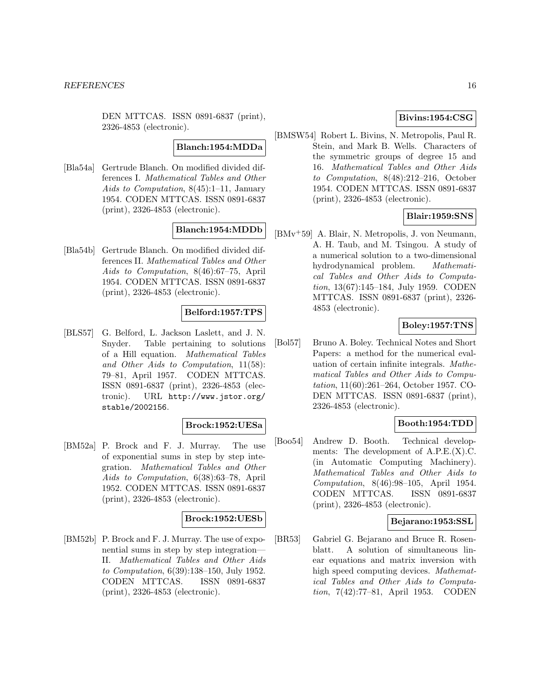DEN MTTCAS. ISSN 0891-6837 (print), 2326-4853 (electronic).

#### **Blanch:1954:MDDa**

[Bla54a] Gertrude Blanch. On modified divided differences I. Mathematical Tables and Other Aids to Computation, 8(45):1–11, January 1954. CODEN MTTCAS. ISSN 0891-6837 (print), 2326-4853 (electronic).

# **Blanch:1954:MDDb**

[Bla54b] Gertrude Blanch. On modified divided differences II. Mathematical Tables and Other Aids to Computation, 8(46):67–75, April 1954. CODEN MTTCAS. ISSN 0891-6837 (print), 2326-4853 (electronic).

#### **Belford:1957:TPS**

[BLS57] G. Belford, L. Jackson Laslett, and J. N. Snyder. Table pertaining to solutions of a Hill equation. Mathematical Tables and Other Aids to Computation, 11(58): 79–81, April 1957. CODEN MTTCAS. ISSN 0891-6837 (print), 2326-4853 (electronic). URL http://www.jstor.org/ stable/2002156.

### **Brock:1952:UESa**

[BM52a] P. Brock and F. J. Murray. The use of exponential sums in step by step integration. Mathematical Tables and Other Aids to Computation, 6(38):63–78, April 1952. CODEN MTTCAS. ISSN 0891-6837 (print), 2326-4853 (electronic).

#### **Brock:1952:UESb**

[BM52b] P. Brock and F. J. Murray. The use of exponential sums in step by step integration— II. Mathematical Tables and Other Aids to Computation, 6(39):138–150, July 1952. CODEN MTTCAS. ISSN 0891-6837 (print), 2326-4853 (electronic).

### **Bivins:1954:CSG**

[BMSW54] Robert L. Bivins, N. Metropolis, Paul R. Stein, and Mark B. Wells. Characters of the symmetric groups of degree 15 and 16. Mathematical Tables and Other Aids to Computation, 8(48):212–216, October 1954. CODEN MTTCAS. ISSN 0891-6837 (print), 2326-4853 (electronic).

#### **Blair:1959:SNS**

[BMv<sup>+</sup>59] A. Blair, N. Metropolis, J. von Neumann, A. H. Taub, and M. Tsingou. A study of a numerical solution to a two-dimensional hydrodynamical problem. Mathematical Tables and Other Aids to Computation, 13(67):145–184, July 1959. CODEN MTTCAS. ISSN 0891-6837 (print), 2326- 4853 (electronic).

### **Boley:1957:TNS**

[Bol57] Bruno A. Boley. Technical Notes and Short Papers: a method for the numerical evaluation of certain infinite integrals. Mathematical Tables and Other Aids to Computation, 11(60):261–264, October 1957. CO-DEN MTTCAS. ISSN 0891-6837 (print), 2326-4853 (electronic).

# **Booth:1954:TDD**

[Boo54] Andrew D. Booth. Technical developments: The development of A.P.E.(X).C. (in Automatic Computing Machinery). Mathematical Tables and Other Aids to Computation, 8(46):98–105, April 1954. CODEN MTTCAS. ISSN 0891-6837 (print), 2326-4853 (electronic).

#### **Bejarano:1953:SSL**

[BR53] Gabriel G. Bejarano and Bruce R. Rosenblatt. A solution of simultaneous linear equations and matrix inversion with high speed computing devices. Mathematical Tables and Other Aids to Computation, 7(42):77–81, April 1953. CODEN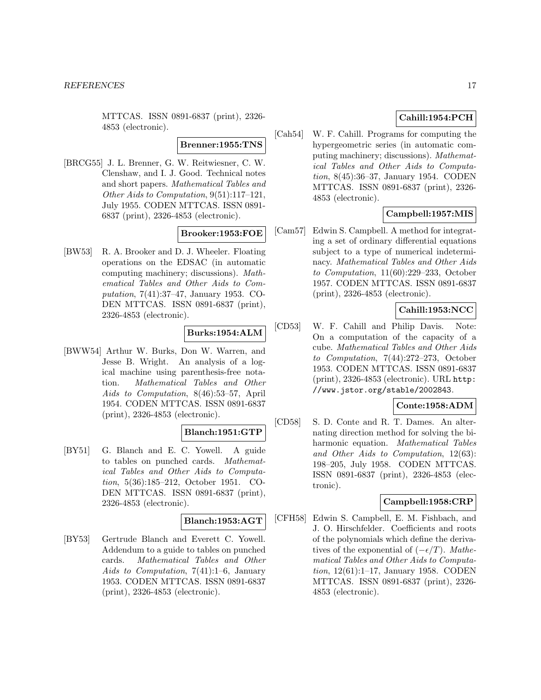MTTCAS. ISSN 0891-6837 (print), 2326- 4853 (electronic).

#### **Brenner:1955:TNS**

[BRCG55] J. L. Brenner, G. W. Reitwiesner, C. W. Clenshaw, and I. J. Good. Technical notes and short papers. Mathematical Tables and Other Aids to Computation, 9(51):117–121, July 1955. CODEN MTTCAS. ISSN 0891- 6837 (print), 2326-4853 (electronic).

### **Brooker:1953:FOE**

[BW53] R. A. Brooker and D. J. Wheeler. Floating operations on the EDSAC (in automatic computing machinery; discussions). Mathematical Tables and Other Aids to Computation, 7(41):37–47, January 1953. CO-DEN MTTCAS. ISSN 0891-6837 (print), 2326-4853 (electronic).

# **Burks:1954:ALM**

[BWW54] Arthur W. Burks, Don W. Warren, and Jesse B. Wright. An analysis of a logical machine using parenthesis-free notation. Mathematical Tables and Other Aids to Computation, 8(46):53–57, April 1954. CODEN MTTCAS. ISSN 0891-6837 (print), 2326-4853 (electronic).

# **Blanch:1951:GTP**

[BY51] G. Blanch and E. C. Yowell. A guide to tables on punched cards. Mathematical Tables and Other Aids to Computation, 5(36):185–212, October 1951. CO-DEN MTTCAS. ISSN 0891-6837 (print), 2326-4853 (electronic).

#### **Blanch:1953:AGT**

[BY53] Gertrude Blanch and Everett C. Yowell. Addendum to a guide to tables on punched cards. Mathematical Tables and Other Aids to Computation, 7(41):1–6, January 1953. CODEN MTTCAS. ISSN 0891-6837 (print), 2326-4853 (electronic).

# **Cahill:1954:PCH**

[Cah54] W. F. Cahill. Programs for computing the hypergeometric series (in automatic computing machinery; discussions). Mathematical Tables and Other Aids to Computation, 8(45):36–37, January 1954. CODEN MTTCAS. ISSN 0891-6837 (print), 2326- 4853 (electronic).

# **Campbell:1957:MIS**

[Cam57] Edwin S. Campbell. A method for integrating a set of ordinary differential equations subject to a type of numerical indeterminacy. Mathematical Tables and Other Aids to Computation, 11(60):229–233, October 1957. CODEN MTTCAS. ISSN 0891-6837 (print), 2326-4853 (electronic).

# **Cahill:1953:NCC**

[CD53] W. F. Cahill and Philip Davis. Note: On a computation of the capacity of a cube. Mathematical Tables and Other Aids to Computation, 7(44):272–273, October 1953. CODEN MTTCAS. ISSN 0891-6837 (print), 2326-4853 (electronic). URL http: //www.jstor.org/stable/2002843.

### **Conte:1958:ADM**

[CD58] S. D. Conte and R. T. Dames. An alternating direction method for solving the biharmonic equation. Mathematical Tables and Other Aids to Computation, 12(63): 198–205, July 1958. CODEN MTTCAS. ISSN 0891-6837 (print), 2326-4853 (electronic).

### **Campbell:1958:CRP**

[CFH58] Edwin S. Campbell, E. M. Fishbach, and J. O. Hirschfelder. Coefficients and roots of the polynomials which define the derivatives of the exponential of  $(-\epsilon/T)$ . Mathematical Tables and Other Aids to Computation, 12(61):1–17, January 1958. CODEN MTTCAS. ISSN 0891-6837 (print), 2326- 4853 (electronic).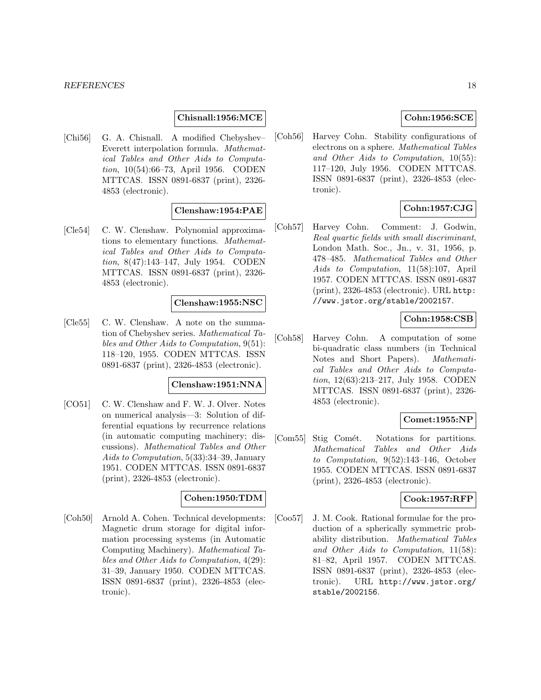### **Chisnall:1956:MCE**

[Chi56] G. A. Chisnall. A modified Chebyshev– Everett interpolation formula. Mathematical Tables and Other Aids to Computation, 10(54):66–73, April 1956. CODEN MTTCAS. ISSN 0891-6837 (print), 2326- 4853 (electronic).

#### **Clenshaw:1954:PAE**

[Cle54] C. W. Clenshaw. Polynomial approximations to elementary functions. Mathematical Tables and Other Aids to Computation, 8(47):143–147, July 1954. CODEN MTTCAS. ISSN 0891-6837 (print), 2326- 4853 (electronic).

#### **Clenshaw:1955:NSC**

[Cle55] C. W. Clenshaw. A note on the summation of Chebyshev series. Mathematical Tables and Other Aids to Computation, 9(51): 118–120, 1955. CODEN MTTCAS. ISSN 0891-6837 (print), 2326-4853 (electronic).

#### **Clenshaw:1951:NNA**

[CO51] C. W. Clenshaw and F. W. J. Olver. Notes on numerical analysis—3: Solution of differential equations by recurrence relations (in automatic computing machinery; discussions). Mathematical Tables and Other Aids to Computation, 5(33):34–39, January 1951. CODEN MTTCAS. ISSN 0891-6837 (print), 2326-4853 (electronic).

# **Cohen:1950:TDM**

[Coh50] Arnold A. Cohen. Technical developments: Magnetic drum storage for digital information processing systems (in Automatic Computing Machinery). Mathematical Tables and Other Aids to Computation, 4(29): 31–39, January 1950. CODEN MTTCAS. ISSN 0891-6837 (print), 2326-4853 (electronic).

# **Cohn:1956:SCE**

[Coh56] Harvey Cohn. Stability configurations of electrons on a sphere. Mathematical Tables and Other Aids to Computation, 10(55): 117–120, July 1956. CODEN MTTCAS. ISSN 0891-6837 (print), 2326-4853 (electronic).

# **Cohn:1957:CJG**

[Coh57] Harvey Cohn. Comment: J. Godwin, Real quartic fields with small discriminant, London Math. Soc., Jn., v. 31, 1956, p. 478–485. Mathematical Tables and Other Aids to Computation, 11(58):107, April 1957. CODEN MTTCAS. ISSN 0891-6837 (print), 2326-4853 (electronic). URL http: //www.jstor.org/stable/2002157.

### **Cohn:1958:CSB**

[Coh58] Harvey Cohn. A computation of some bi-quadratic class numbers (in Technical Notes and Short Papers). Mathematical Tables and Other Aids to Computation, 12(63):213–217, July 1958. CODEN MTTCAS. ISSN 0891-6837 (print), 2326- 4853 (electronic).

### **Comet:1955:NP**

[Com55] Stig Comét. Notations for partitions. Mathematical Tables and Other Aids to Computation, 9(52):143–146, October 1955. CODEN MTTCAS. ISSN 0891-6837 (print), 2326-4853 (electronic).

### **Cook:1957:RFP**

[Coo57] J. M. Cook. Rational formulae for the production of a spherically symmetric probability distribution. Mathematical Tables and Other Aids to Computation, 11(58): 81–82, April 1957. CODEN MTTCAS. ISSN 0891-6837 (print), 2326-4853 (electronic). URL http://www.jstor.org/ stable/2002156.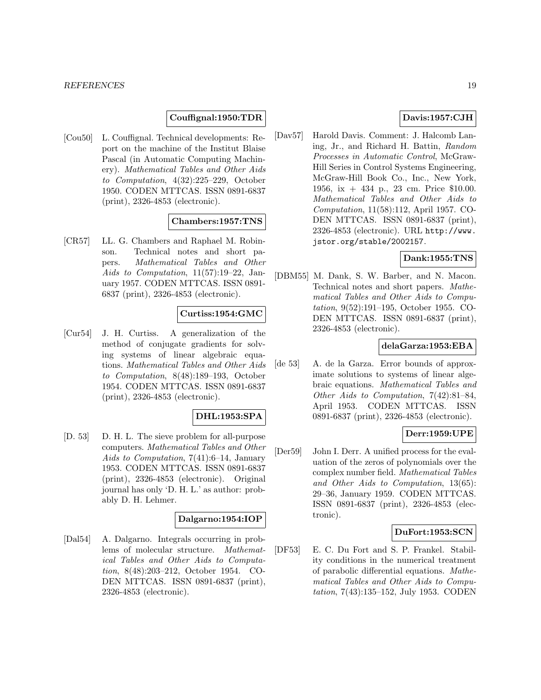# **Couffignal:1950:TDR**

[Cou50] L. Couffignal. Technical developments: Report on the machine of the Institut Blaise Pascal (in Automatic Computing Machinery). Mathematical Tables and Other Aids to Computation, 4(32):225–229, October 1950. CODEN MTTCAS. ISSN 0891-6837 (print), 2326-4853 (electronic).

#### **Chambers:1957:TNS**

[CR57] LL. G. Chambers and Raphael M. Robinson. Technical notes and short papers. Mathematical Tables and Other Aids to Computation, 11(57):19–22, January 1957. CODEN MTTCAS. ISSN 0891- 6837 (print), 2326-4853 (electronic).

#### **Curtiss:1954:GMC**

[Cur54] J. H. Curtiss. A generalization of the method of conjugate gradients for solving systems of linear algebraic equations. Mathematical Tables and Other Aids to Computation, 8(48):189–193, October 1954. CODEN MTTCAS. ISSN 0891-6837 (print), 2326-4853 (electronic).

#### **DHL:1953:SPA**

[D. 53] D. H. L. The sieve problem for all-purpose computers. Mathematical Tables and Other Aids to Computation, 7(41):6–14, January 1953. CODEN MTTCAS. ISSN 0891-6837 (print), 2326-4853 (electronic). Original journal has only 'D. H. L.' as author: probably D. H. Lehmer.

### **Dalgarno:1954:IOP**

[Dal54] A. Dalgarno. Integrals occurring in problems of molecular structure. Mathematical Tables and Other Aids to Computation, 8(48):203–212, October 1954. CO-DEN MTTCAS. ISSN 0891-6837 (print), 2326-4853 (electronic).

# **Davis:1957:CJH**

[Dav57] Harold Davis. Comment: J. Halcomb Laning, Jr., and Richard H. Battin, Random Processes in Automatic Control, McGraw-Hill Series in Control Systems Engineering, McGraw-Hill Book Co., Inc., New York, 1956, ix + 434 p., 23 cm. Price \$10.00. Mathematical Tables and Other Aids to Computation, 11(58):112, April 1957. CO-DEN MTTCAS. ISSN 0891-6837 (print), 2326-4853 (electronic). URL http://www. jstor.org/stable/2002157.

#### **Dank:1955:TNS**

[DBM55] M. Dank, S. W. Barber, and N. Macon. Technical notes and short papers. Mathematical Tables and Other Aids to Computation, 9(52):191–195, October 1955. CO-DEN MTTCAS. ISSN 0891-6837 (print), 2326-4853 (electronic).

### **delaGarza:1953:EBA**

[de 53] A. de la Garza. Error bounds of approximate solutions to systems of linear algebraic equations. Mathematical Tables and Other Aids to Computation, 7(42):81–84, April 1953. CODEN MTTCAS. ISSN 0891-6837 (print), 2326-4853 (electronic).

#### **Derr:1959:UPE**

[Der59] John I. Derr. A unified process for the evaluation of the zeros of polynomials over the complex number field. Mathematical Tables and Other Aids to Computation, 13(65): 29–36, January 1959. CODEN MTTCAS. ISSN 0891-6837 (print), 2326-4853 (electronic).

### **DuFort:1953:SCN**

[DF53] E. C. Du Fort and S. P. Frankel. Stability conditions in the numerical treatment of parabolic differential equations. Mathematical Tables and Other Aids to Computation, 7(43):135–152, July 1953. CODEN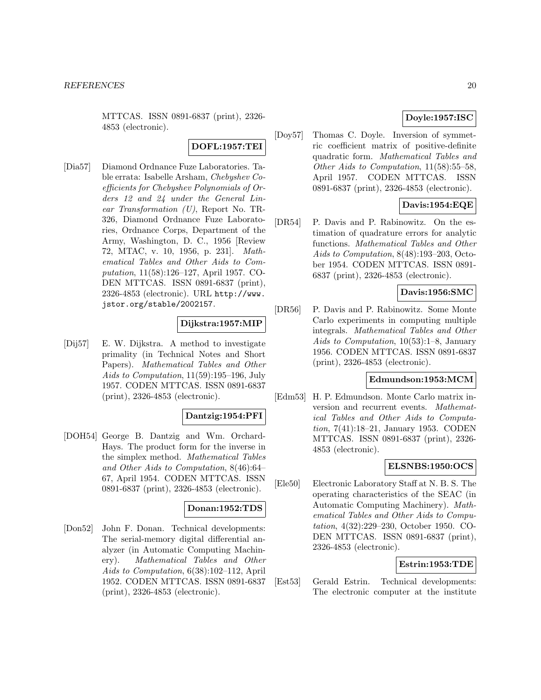MTTCAS. ISSN 0891-6837 (print), 2326- 4853 (electronic).

# **DOFL:1957:TEI**

[Dia57] Diamond Ordnance Fuze Laboratories. Table errata: Isabelle Arsham, Chebyshev Coefficients for Chebyshev Polynomials of Orders 12 and 24 under the General Linear Transformation (U), Report No. TR-326, Diamond Ordnance Fuze Laboratories, Ordnance Corps, Department of the Army, Washington, D. C., 1956 [Review 72, MTAC, v. 10, 1956, p. 231]. Mathematical Tables and Other Aids to Computation, 11(58):126–127, April 1957. CO-DEN MTTCAS. ISSN 0891-6837 (print), 2326-4853 (electronic). URL http://www. jstor.org/stable/2002157.

# **Dijkstra:1957:MIP**

[Dij57] E. W. Dijkstra. A method to investigate primality (in Technical Notes and Short Papers). Mathematical Tables and Other Aids to Computation, 11(59):195–196, July 1957. CODEN MTTCAS. ISSN 0891-6837 (print), 2326-4853 (electronic).

### **Dantzig:1954:PFI**

[DOH54] George B. Dantzig and Wm. Orchard-Hays. The product form for the inverse in the simplex method. Mathematical Tables and Other Aids to Computation, 8(46):64– 67, April 1954. CODEN MTTCAS. ISSN 0891-6837 (print), 2326-4853 (electronic).

#### **Donan:1952:TDS**

[Don52] John F. Donan. Technical developments: The serial-memory digital differential analyzer (in Automatic Computing Machinery). Mathematical Tables and Other Aids to Computation, 6(38):102–112, April 1952. CODEN MTTCAS. ISSN 0891-6837 (print), 2326-4853 (electronic).

# **Doyle:1957:ISC**

[Doy57] Thomas C. Doyle. Inversion of symmetric coefficient matrix of positive-definite quadratic form. Mathematical Tables and Other Aids to Computation, 11(58):55–58, April 1957. CODEN MTTCAS. ISSN 0891-6837 (print), 2326-4853 (electronic).

# **Davis:1954:EQE**

[DR54] P. Davis and P. Rabinowitz. On the estimation of quadrature errors for analytic functions. Mathematical Tables and Other Aids to Computation, 8(48):193–203, October 1954. CODEN MTTCAS. ISSN 0891- 6837 (print), 2326-4853 (electronic).

# **Davis:1956:SMC**

[DR56] P. Davis and P. Rabinowitz. Some Monte Carlo experiments in computing multiple integrals. Mathematical Tables and Other Aids to Computation, 10(53):1–8, January 1956. CODEN MTTCAS. ISSN 0891-6837 (print), 2326-4853 (electronic).

#### **Edmundson:1953:MCM**

[Edm53] H. P. Edmundson. Monte Carlo matrix inversion and recurrent events. Mathematical Tables and Other Aids to Computation, 7(41):18–21, January 1953. CODEN MTTCAS. ISSN 0891-6837 (print), 2326- 4853 (electronic).

### **ELSNBS:1950:OCS**

[Ele50] Electronic Laboratory Staff at N. B. S. The operating characteristics of the SEAC (in Automatic Computing Machinery). Mathematical Tables and Other Aids to Computation, 4(32):229–230, October 1950. CO-DEN MTTCAS. ISSN 0891-6837 (print), 2326-4853 (electronic).

### **Estrin:1953:TDE**

[Est53] Gerald Estrin. Technical developments: The electronic computer at the institute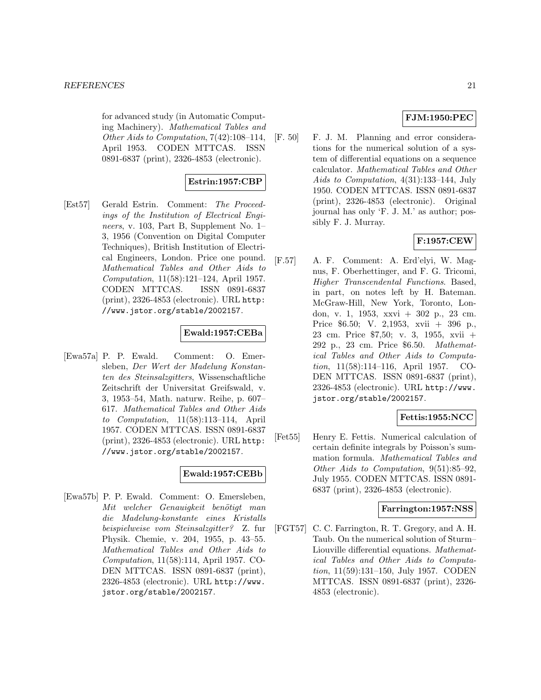for advanced study (in Automatic Computing Machinery). Mathematical Tables and Other Aids to Computation, 7(42):108–114, April 1953. CODEN MTTCAS. ISSN 0891-6837 (print), 2326-4853 (electronic).

### **Estrin:1957:CBP**

[Est57] Gerald Estrin. Comment: The Proceedings of the Institution of Electrical Engineers, v. 103, Part B, Supplement No. 1– 3, 1956 (Convention on Digital Computer Techniques), British Institution of Electrical Engineers, London. Price one pound. Mathematical Tables and Other Aids to Computation, 11(58):121–124, April 1957. CODEN MTTCAS. ISSN 0891-6837 (print), 2326-4853 (electronic). URL http: //www.jstor.org/stable/2002157.

# **Ewald:1957:CEBa**

[Ewa57a] P. P. Ewald. Comment: O. Emersleben, Der Wert der Madelung Konstanten des Steinsalzgitters, Wissenschaftliche Zeitschrift der Universitat Greifswald, v. 3, 1953–54, Math. naturw. Reihe, p. 607– 617. Mathematical Tables and Other Aids to Computation, 11(58):113–114, April 1957. CODEN MTTCAS. ISSN 0891-6837 (print), 2326-4853 (electronic). URL http: //www.jstor.org/stable/2002157.

### **Ewald:1957:CEBb**

[Ewa57b] P. P. Ewald. Comment: O. Emersleben, Mit welcher Genauigkeit benötigt man die Madelung-konstante eines Kristalls beispielweise vom Steinsalzgitter? Z. fur Physik. Chemie, v. 204, 1955, p. 43–55. Mathematical Tables and Other Aids to Computation, 11(58):114, April 1957. CO-DEN MTTCAS. ISSN 0891-6837 (print), 2326-4853 (electronic). URL http://www. jstor.org/stable/2002157.

# **FJM:1950:PEC**

[F. 50] F. J. M. Planning and error considerations for the numerical solution of a system of differential equations on a sequence calculator. Mathematical Tables and Other Aids to Computation, 4(31):133–144, July 1950. CODEN MTTCAS. ISSN 0891-6837 (print), 2326-4853 (electronic). Original journal has only 'F. J. M.' as author; possibly F. J. Murray.

# **F:1957:CEW**

[F.57] A. F. Comment: A. Erd'elyi, W. Magnus, F. Oberhettinger, and F. G. Tricomi, Higher Transcendental Functions. Based, in part, on notes left by H. Bateman. McGraw-Hill, New York, Toronto, London, v. 1, 1953, xxvi + 302 p., 23 cm. Price \$6.50; V. 2,1953, xvii + 396 p., 23 cm. Price \$7,50; v. 3, 1955, xvii + 292 p., 23 cm. Price \$6.50. Mathematical Tables and Other Aids to Computation, 11(58):114–116, April 1957. CO-DEN MTTCAS. ISSN 0891-6837 (print), 2326-4853 (electronic). URL http://www. jstor.org/stable/2002157.

### **Fettis:1955:NCC**

[Fet55] Henry E. Fettis. Numerical calculation of certain definite integrals by Poisson's summation formula. Mathematical Tables and Other Aids to Computation, 9(51):85–92, July 1955. CODEN MTTCAS. ISSN 0891- 6837 (print), 2326-4853 (electronic).

### **Farrington:1957:NSS**

[FGT57] C. C. Farrington, R. T. Gregory, and A. H. Taub. On the numerical solution of Sturm– Liouville differential equations. Mathematical Tables and Other Aids to Computation, 11(59):131–150, July 1957. CODEN MTTCAS. ISSN 0891-6837 (print), 2326- 4853 (electronic).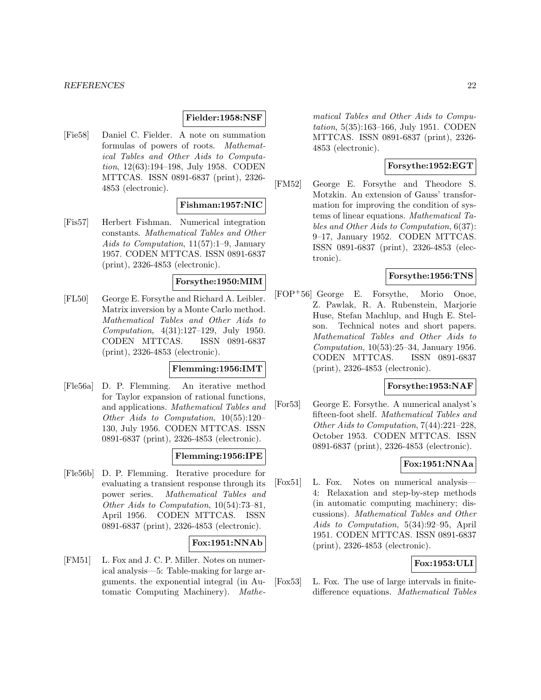#### **Fielder:1958:NSF**

[Fie58] Daniel C. Fielder. A note on summation formulas of powers of roots. Mathematical Tables and Other Aids to Computation, 12(63):194–198, July 1958. CODEN MTTCAS. ISSN 0891-6837 (print), 2326- 4853 (electronic).

### **Fishman:1957:NIC**

[Fis57] Herbert Fishman. Numerical integration constants. Mathematical Tables and Other Aids to Computation, 11(57):1–9, January 1957. CODEN MTTCAS. ISSN 0891-6837 (print), 2326-4853 (electronic).

#### **Forsythe:1950:MIM**

[FL50] George E. Forsythe and Richard A. Leibler. Matrix inversion by a Monte Carlo method. Mathematical Tables and Other Aids to Computation, 4(31):127–129, July 1950. CODEN MTTCAS. ISSN 0891-6837 (print), 2326-4853 (electronic).

#### **Flemming:1956:IMT**

[Fle56a] D. P. Flemming. An iterative method for Taylor expansion of rational functions, and applications. Mathematical Tables and Other Aids to Computation, 10(55):120– 130, July 1956. CODEN MTTCAS. ISSN 0891-6837 (print), 2326-4853 (electronic).

#### **Flemming:1956:IPE**

[Fle56b] D. P. Flemming. Iterative procedure for evaluating a transient response through its power series. Mathematical Tables and Other Aids to Computation, 10(54):73–81, April 1956. CODEN MTTCAS. ISSN 0891-6837 (print), 2326-4853 (electronic).

#### **Fox:1951:NNAb**

[FM51] L. Fox and J. C. P. Miller. Notes on numerical analysis—5: Table-making for large arguments. the exponential integral (in Automatic Computing Machinery). Mathe-

matical Tables and Other Aids to Computation, 5(35):163–166, July 1951. CODEN MTTCAS. ISSN 0891-6837 (print), 2326- 4853 (electronic).

# **Forsythe:1952:EGT**

[FM52] George E. Forsythe and Theodore S. Motzkin. An extension of Gauss' transformation for improving the condition of systems of linear equations. Mathematical Tables and Other Aids to Computation, 6(37): 9–17, January 1952. CODEN MTTCAS. ISSN 0891-6837 (print), 2326-4853 (electronic).

# **Forsythe:1956:TNS**

[FOP<sup>+</sup>56] George E. Forsythe, Morio Onoe, Z. Pawlak, R. A. Rubenstein, Marjorie Huse, Stefan Machlup, and Hugh E. Stelson. Technical notes and short papers. Mathematical Tables and Other Aids to Computation, 10(53):25–34, January 1956. CODEN MTTCAS. ISSN 0891-6837 (print), 2326-4853 (electronic).

### **Forsythe:1953:NAF**

[For53] George E. Forsythe. A numerical analyst's fifteen-foot shelf. Mathematical Tables and Other Aids to Computation, 7(44):221–228, October 1953. CODEN MTTCAS. ISSN 0891-6837 (print), 2326-4853 (electronic).

#### **Fox:1951:NNAa**

[Fox51] L. Fox. Notes on numerical analysis— 4: Relaxation and step-by-step methods (in automatic computing machinery; discussions). Mathematical Tables and Other Aids to Computation, 5(34):92–95, April 1951. CODEN MTTCAS. ISSN 0891-6837 (print), 2326-4853 (electronic).

# **Fox:1953:ULI**

[Fox53] L. Fox. The use of large intervals in finitedifference equations. Mathematical Tables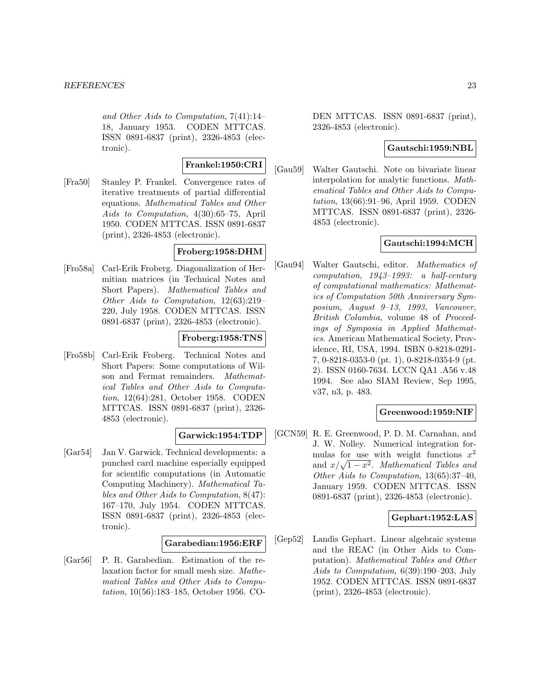and Other Aids to Computation, 7(41):14– 18, January 1953. CODEN MTTCAS. ISSN 0891-6837 (print), 2326-4853 (electronic).

# **Frankel:1950:CRI**

[Fra50] Stanley P. Frankel. Convergence rates of iterative treatments of partial differential equations. Mathematical Tables and Other Aids to Computation, 4(30):65–75, April 1950. CODEN MTTCAS. ISSN 0891-6837 (print), 2326-4853 (electronic).

# **Froberg:1958:DHM**

[Fro58a] Carl-Erik Froberg. Diagonalization of Hermitian matrices (in Technical Notes and Short Papers). Mathematical Tables and Other Aids to Computation, 12(63):219– 220, July 1958. CODEN MTTCAS. ISSN 0891-6837 (print), 2326-4853 (electronic).

### **Froberg:1958:TNS**

[Fro58b] Carl-Erik Froberg. Technical Notes and Short Papers: Some computations of Wilson and Fermat remainders. Mathematical Tables and Other Aids to Computation, 12(64):281, October 1958. CODEN MTTCAS. ISSN 0891-6837 (print), 2326- 4853 (electronic).

### **Garwick:1954:TDP**

[Gar54] Jan V. Garwick. Technical developments: a punched card machine especially equipped for scientific computations (in Automatic Computing Machinery). Mathematical Tables and Other Aids to Computation, 8(47): 167–170, July 1954. CODEN MTTCAS. ISSN 0891-6837 (print), 2326-4853 (electronic).

### **Garabedian:1956:ERF**

[Gar56] P. R. Garabedian. Estimation of the relaxation factor for small mesh size. Mathematical Tables and Other Aids to Computation, 10(56):183–185, October 1956. CO- DEN MTTCAS. ISSN 0891-6837 (print), 2326-4853 (electronic).

### **Gautschi:1959:NBL**

[Gau59] Walter Gautschi. Note on bivariate linear interpolation for analytic functions. Mathematical Tables and Other Aids to Computation, 13(66):91–96, April 1959. CODEN MTTCAS. ISSN 0891-6837 (print), 2326- 4853 (electronic).

# **Gautschi:1994:MCH**

[Gau94] Walter Gautschi, editor. Mathematics of computation, 1943–1993: a half-century of computational mathematics: Mathematics of Computation 50th Anniversary Symposium, August 9–13, 1993, Vancouver, British Columbia, volume 48 of Proceedings of Symposia in Applied Mathematics. American Mathematical Society, Providence, RI, USA, 1994. ISBN 0-8218-0291- 7, 0-8218-0353-0 (pt. 1), 0-8218-0354-9 (pt. 2). ISSN 0160-7634. LCCN QA1 .A56 v.48 1994. See also SIAM Review, Sep 1995, v37, n3, p. 483.

### **Greenwood:1959:NIF**

[GCN59] R. E. Greenwood, P. D. M. Carnahan, and J. W. Nolley. Numerical integration formulas for use with weight functions  $x^2$ and  $x/\sqrt{1-x^2}$ . Mathematical Tables and Other Aids to Computation, 13(65):37–40, January 1959. CODEN MTTCAS. ISSN 0891-6837 (print), 2326-4853 (electronic).

### **Gephart:1952:LAS**

[Gep52] Landis Gephart. Linear algebraic systems and the REAC (in Other Aids to Computation). Mathematical Tables and Other Aids to Computation, 6(39):190–203, July 1952. CODEN MTTCAS. ISSN 0891-6837 (print), 2326-4853 (electronic).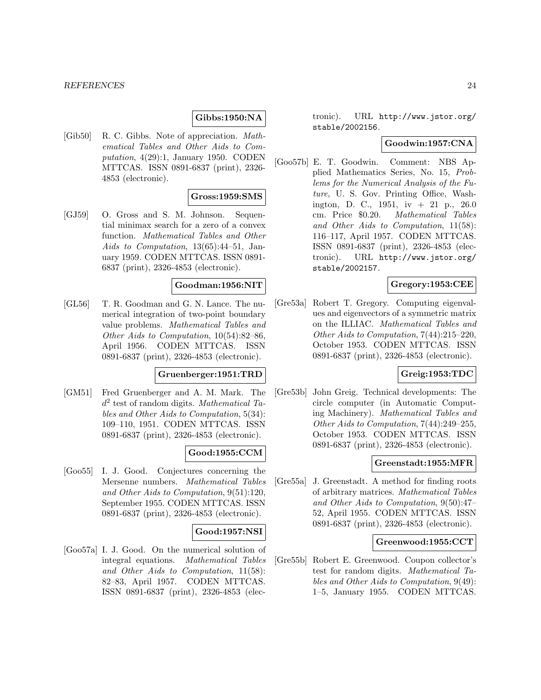### **Gibbs:1950:NA**

[Gib50] R. C. Gibbs. Note of appreciation. Mathematical Tables and Other Aids to Computation, 4(29):1, January 1950. CODEN MTTCAS. ISSN 0891-6837 (print), 2326- 4853 (electronic).

#### **Gross:1959:SMS**

[GJ59] O. Gross and S. M. Johnson. Sequential minimax search for a zero of a convex function. Mathematical Tables and Other Aids to Computation, 13(65):44–51, January 1959. CODEN MTTCAS. ISSN 0891- 6837 (print), 2326-4853 (electronic).

#### **Goodman:1956:NIT**

[GL56] T. R. Goodman and G. N. Lance. The numerical integration of two-point boundary value problems. Mathematical Tables and Other Aids to Computation, 10(54):82–86, April 1956. CODEN MTTCAS. ISSN 0891-6837 (print), 2326-4853 (electronic).

#### **Gruenberger:1951:TRD**

[GM51] Fred Gruenberger and A. M. Mark. The  $d^2$  test of random digits. Mathematical Tables and Other Aids to Computation, 5(34): 109–110, 1951. CODEN MTTCAS. ISSN 0891-6837 (print), 2326-4853 (electronic).

### **Good:1955:CCM**

[Goo55] I. J. Good. Conjectures concerning the Mersenne numbers. Mathematical Tables and Other Aids to Computation, 9(51):120, September 1955. CODEN MTTCAS. ISSN 0891-6837 (print), 2326-4853 (electronic).

#### **Good:1957:NSI**

[Goo57a] I. J. Good. On the numerical solution of integral equations. Mathematical Tables and Other Aids to Computation, 11(58): 82–83, April 1957. CODEN MTTCAS. ISSN 0891-6837 (print), 2326-4853 (electronic). URL http://www.jstor.org/ stable/2002156.

#### **Goodwin:1957:CNA**

[Goo57b] E. T. Goodwin. Comment: NBS Applied Mathematics Series, No. 15, Problems for the Numerical Analysis of the Future, U. S. Gov. Printing Office, Washington, D. C., 1951, iv + 21 p., 26.0 cm. Price \$0.20. Mathematical Tables and Other Aids to Computation, 11(58): 116–117, April 1957. CODEN MTTCAS. ISSN 0891-6837 (print), 2326-4853 (electronic). URL http://www.jstor.org/ stable/2002157.

#### **Gregory:1953:CEE**

[Gre53a] Robert T. Gregory. Computing eigenvalues and eigenvectors of a symmetric matrix on the ILLIAC. Mathematical Tables and Other Aids to Computation, 7(44):215–220, October 1953. CODEN MTTCAS. ISSN 0891-6837 (print), 2326-4853 (electronic).

# **Greig:1953:TDC**

[Gre53b] John Greig. Technical developments: The circle computer (in Automatic Computing Machinery). Mathematical Tables and Other Aids to Computation, 7(44):249–255, October 1953. CODEN MTTCAS. ISSN 0891-6837 (print), 2326-4853 (electronic).

#### **Greenstadt:1955:MFR**

[Gre55a] J. Greenstadt. A method for finding roots of arbitrary matrices. Mathematical Tables and Other Aids to Computation, 9(50):47– 52, April 1955. CODEN MTTCAS. ISSN 0891-6837 (print), 2326-4853 (electronic).

### **Greenwood:1955:CCT**

[Gre55b] Robert E. Greenwood. Coupon collector's test for random digits. Mathematical Tables and Other Aids to Computation, 9(49): 1–5, January 1955. CODEN MTTCAS.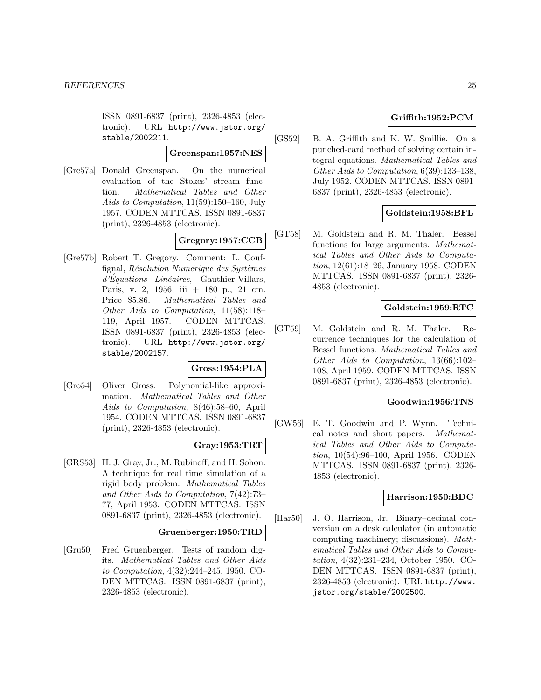ISSN 0891-6837 (print), 2326-4853 (electronic). URL http://www.jstor.org/ stable/2002211.

#### **Greenspan:1957:NES**

[Gre57a] Donald Greenspan. On the numerical evaluation of the Stokes' stream function. Mathematical Tables and Other Aids to Computation, 11(59):150–160, July 1957. CODEN MTTCAS. ISSN 0891-6837 (print), 2326-4853 (electronic).

# **Gregory:1957:CCB**

[Gre57b] Robert T. Gregory. Comment: L. Couffignal,  $R$ ésolution Numérique des Systèmes  $d'Equations$  Linéaires, Gauthier-Villars, Paris, v. 2, 1956, iii + 180 p., 21 cm. Price \$5.86. Mathematical Tables and Other Aids to Computation, 11(58):118– 119, April 1957. CODEN MTTCAS. ISSN 0891-6837 (print), 2326-4853 (electronic). URL http://www.jstor.org/ stable/2002157.

#### **Gross:1954:PLA**

[Gro54] Oliver Gross. Polynomial-like approximation. Mathematical Tables and Other Aids to Computation, 8(46):58–60, April 1954. CODEN MTTCAS. ISSN 0891-6837 (print), 2326-4853 (electronic).

#### **Gray:1953:TRT**

[GRS53] H. J. Gray, Jr., M. Rubinoff, and H. Sohon. A technique for real time simulation of a rigid body problem. Mathematical Tables and Other Aids to Computation, 7(42):73– 77, April 1953. CODEN MTTCAS. ISSN 0891-6837 (print), 2326-4853 (electronic).

### **Gruenberger:1950:TRD**

[Gru50] Fred Gruenberger. Tests of random digits. Mathematical Tables and Other Aids to Computation, 4(32):244–245, 1950. CO-DEN MTTCAS. ISSN 0891-6837 (print), 2326-4853 (electronic).

# **Griffith:1952:PCM**

[GS52] B. A. Griffith and K. W. Smillie. On a punched-card method of solving certain integral equations. Mathematical Tables and Other Aids to Computation, 6(39):133–138, July 1952. CODEN MTTCAS. ISSN 0891- 6837 (print), 2326-4853 (electronic).

### **Goldstein:1958:BFL**

[GT58] M. Goldstein and R. M. Thaler. Bessel functions for large arguments. Mathematical Tables and Other Aids to Computation, 12(61):18–26, January 1958. CODEN MTTCAS. ISSN 0891-6837 (print), 2326- 4853 (electronic).

### **Goldstein:1959:RTC**

[GT59] M. Goldstein and R. M. Thaler. Recurrence techniques for the calculation of Bessel functions. Mathematical Tables and Other Aids to Computation, 13(66):102– 108, April 1959. CODEN MTTCAS. ISSN 0891-6837 (print), 2326-4853 (electronic).

#### **Goodwin:1956:TNS**

[GW56] E. T. Goodwin and P. Wynn. Technical notes and short papers. Mathematical Tables and Other Aids to Computation, 10(54):96–100, April 1956. CODEN MTTCAS. ISSN 0891-6837 (print), 2326- 4853 (electronic).

# **Harrison:1950:BDC**

[Har50] J. O. Harrison, Jr. Binary–decimal conversion on a desk calculator (in automatic computing machinery; discussions). Mathematical Tables and Other Aids to Computation, 4(32):231–234, October 1950. CO-DEN MTTCAS. ISSN 0891-6837 (print), 2326-4853 (electronic). URL http://www. jstor.org/stable/2002500.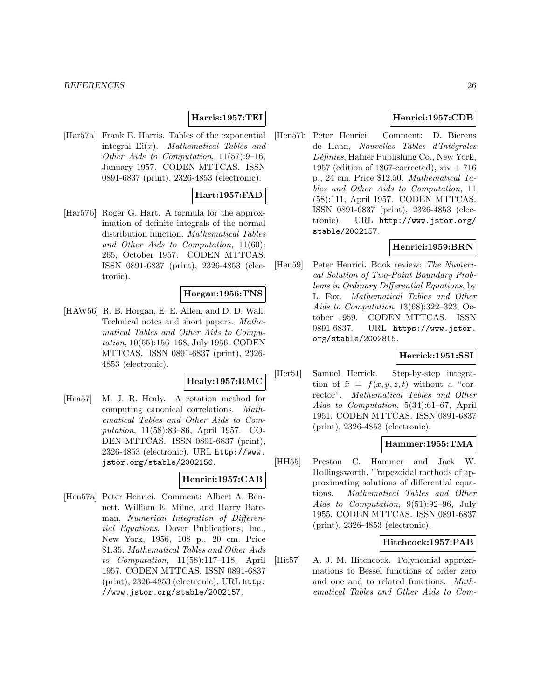#### **Harris:1957:TEI**

[Har57a] Frank E. Harris. Tables of the exponential integral  $Ei(x)$ . Mathematical Tables and Other Aids to Computation, 11(57):9–16, January 1957. CODEN MTTCAS. ISSN 0891-6837 (print), 2326-4853 (electronic).

#### **Hart:1957:FAD**

[Har57b] Roger G. Hart. A formula for the approximation of definite integrals of the normal distribution function. Mathematical Tables and Other Aids to Computation, 11(60): 265, October 1957. CODEN MTTCAS. ISSN 0891-6837 (print), 2326-4853 (electronic).

### **Horgan:1956:TNS**

[HAW56] R. B. Horgan, E. E. Allen, and D. D. Wall. Technical notes and short papers. Mathematical Tables and Other Aids to Computation, 10(55):156–168, July 1956. CODEN MTTCAS. ISSN 0891-6837 (print), 2326- 4853 (electronic).

#### **Healy:1957:RMC**

[Hea57] M. J. R. Healy. A rotation method for computing canonical correlations. Mathematical Tables and Other Aids to Computation, 11(58):83–86, April 1957. CO-DEN MTTCAS. ISSN 0891-6837 (print), 2326-4853 (electronic). URL http://www. jstor.org/stable/2002156.

### **Henrici:1957:CAB**

[Hen57a] Peter Henrici. Comment: Albert A. Bennett, William E. Milne, and Harry Bateman, Numerical Integration of Differential Equations, Dover Publications, Inc., New York, 1956, 108 p., 20 cm. Price \$1.35. Mathematical Tables and Other Aids to Computation, 11(58):117–118, April 1957. CODEN MTTCAS. ISSN 0891-6837 (print), 2326-4853 (electronic). URL http: //www.jstor.org/stable/2002157.

# **Henrici:1957:CDB**

[Hen57b] Peter Henrici. Comment: D. Bierens de Haan, Nouvelles Tables d'Intégrales  $D\acute{e}f\acute{e}nies$ , Hafner Publishing Co., New York, 1957 (edition of 1867-corrected),  $xiv + 716$ p., 24 cm. Price \$12.50. Mathematical Tables and Other Aids to Computation, 11 (58):111, April 1957. CODEN MTTCAS. ISSN 0891-6837 (print), 2326-4853 (electronic). URL http://www.jstor.org/ stable/2002157.

# **Henrici:1959:BRN**

[Hen59] Peter Henrici. Book review: The Numerical Solution of Two-Point Boundary Problems in Ordinary Differential Equations, by L. Fox. Mathematical Tables and Other Aids to Computation, 13(68):322–323, October 1959. CODEN MTTCAS. ISSN 0891-6837. URL https://www.jstor. org/stable/2002815.

### **Herrick:1951:SSI**

[Her51] Samuel Herrick. Step-by-step integration of  $\ddot{x} = f(x, y, z, t)$  without a "corrector". Mathematical Tables and Other Aids to Computation, 5(34):61–67, April 1951. CODEN MTTCAS. ISSN 0891-6837 (print), 2326-4853 (electronic).

#### **Hammer:1955:TMA**

[HH55] Preston C. Hammer and Jack W. Hollingsworth. Trapezoidal methods of approximating solutions of differential equations. Mathematical Tables and Other Aids to Computation, 9(51):92–96, July 1955. CODEN MTTCAS. ISSN 0891-6837 (print), 2326-4853 (electronic).

### **Hitchcock:1957:PAB**

[Hit57] A. J. M. Hitchcock. Polynomial approximations to Bessel functions of order zero and one and to related functions. Mathematical Tables and Other Aids to Com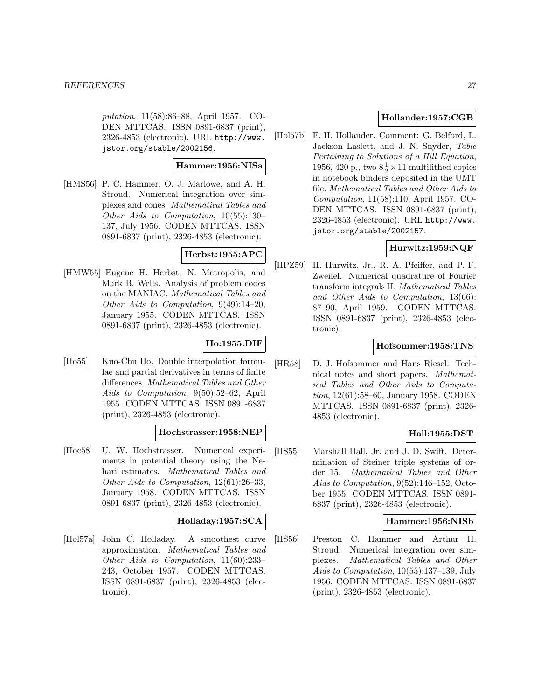putation, 11(58):86–88, April 1957. CO-DEN MTTCAS. ISSN 0891-6837 (print), 2326-4853 (electronic). URL http://www. jstor.org/stable/2002156.

# **Hammer:1956:NISa**

[HMS56] P. C. Hammer, O. J. Marlowe, and A. H. Stroud. Numerical integration over simplexes and cones. Mathematical Tables and Other Aids to Computation, 10(55):130– 137, July 1956. CODEN MTTCAS. ISSN 0891-6837 (print), 2326-4853 (electronic).

# **Herbst:1955:APC**

[HMW55] Eugene H. Herbst, N. Metropolis, and Mark B. Wells. Analysis of problem codes on the MANIAC. Mathematical Tables and Other Aids to Computation, 9(49):14–20, January 1955. CODEN MTTCAS. ISSN 0891-6837 (print), 2326-4853 (electronic).

# **Ho:1955:DIF**

[Ho55] Kuo-Chu Ho. Double interpolation formulae and partial derivatives in terms of finite differences. Mathematical Tables and Other Aids to Computation, 9(50):52–62, April 1955. CODEN MTTCAS. ISSN 0891-6837 (print), 2326-4853 (electronic).

#### **Hochstrasser:1958:NEP**

[Hoc58] U. W. Hochstrasser. Numerical experiments in potential theory using the Nehari estimates. Mathematical Tables and Other Aids to Computation, 12(61):26–33, January 1958. CODEN MTTCAS. ISSN 0891-6837 (print), 2326-4853 (electronic).

### **Holladay:1957:SCA**

[Hol57a] John C. Holladay. A smoothest curve approximation. Mathematical Tables and Other Aids to Computation, 11(60):233– 243, October 1957. CODEN MTTCAS. ISSN 0891-6837 (print), 2326-4853 (electronic).

### **Hollander:1957:CGB**

[Hol57b] F. H. Hollander. Comment: G. Belford, L. Jackson Laslett, and J. N. Snyder, Table Pertaining to Solutions of a Hill Equation, 1956, 420 p., two  $8\frac{1}{2} \times 11$  multilithed copies in notebook binders deposited in the UMT file. Mathematical Tables and Other Aids to Computation, 11(58):110, April 1957. CO-DEN MTTCAS. ISSN 0891-6837 (print), 2326-4853 (electronic). URL http://www. jstor.org/stable/2002157.

# **Hurwitz:1959:NQF**

[HPZ59] H. Hurwitz, Jr., R. A. Pfeiffer, and P. F. Zweifel. Numerical quadrature of Fourier transform integrals II. Mathematical Tables and Other Aids to Computation, 13(66): 87–90, April 1959. CODEN MTTCAS. ISSN 0891-6837 (print), 2326-4853 (electronic).

### **Hofsommer:1958:TNS**

[HR58] D. J. Hofsommer and Hans Riesel. Technical notes and short papers. Mathematical Tables and Other Aids to Computation, 12(61):58–60, January 1958. CODEN MTTCAS. ISSN 0891-6837 (print), 2326- 4853 (electronic).

### **Hall:1955:DST**

[HS55] Marshall Hall, Jr. and J. D. Swift. Determination of Steiner triple systems of order 15. Mathematical Tables and Other Aids to Computation, 9(52):146–152, October 1955. CODEN MTTCAS. ISSN 0891- 6837 (print), 2326-4853 (electronic).

### **Hammer:1956:NISb**

[HS56] Preston C. Hammer and Arthur H. Stroud. Numerical integration over simplexes. Mathematical Tables and Other Aids to Computation, 10(55):137–139, July 1956. CODEN MTTCAS. ISSN 0891-6837 (print), 2326-4853 (electronic).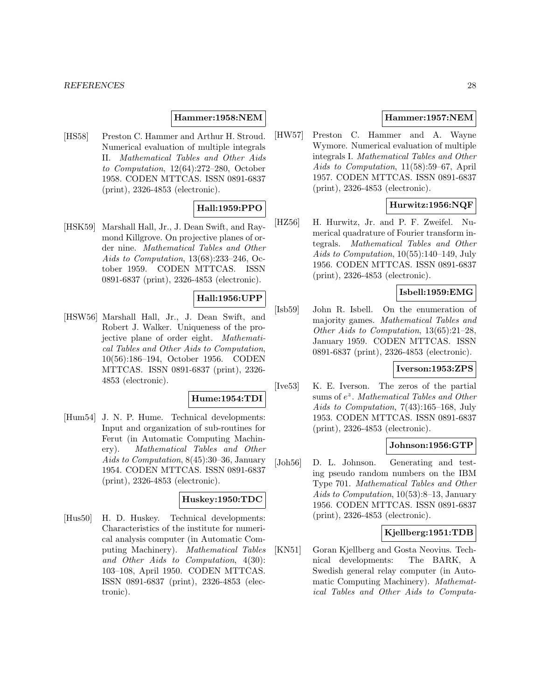### **Hammer:1958:NEM**

[HS58] Preston C. Hammer and Arthur H. Stroud. Numerical evaluation of multiple integrals II. Mathematical Tables and Other Aids to Computation, 12(64):272–280, October 1958. CODEN MTTCAS. ISSN 0891-6837 (print), 2326-4853 (electronic).

# **Hall:1959:PPO**

[HSK59] Marshall Hall, Jr., J. Dean Swift, and Raymond Killgrove. On projective planes of order nine. Mathematical Tables and Other Aids to Computation, 13(68):233–246, October 1959. CODEN MTTCAS. ISSN 0891-6837 (print), 2326-4853 (electronic).

# **Hall:1956:UPP**

[HSW56] Marshall Hall, Jr., J. Dean Swift, and Robert J. Walker. Uniqueness of the projective plane of order eight. Mathematical Tables and Other Aids to Computation, 10(56):186–194, October 1956. CODEN MTTCAS. ISSN 0891-6837 (print), 2326- 4853 (electronic).

### **Hume:1954:TDI**

[Hum54] J. N. P. Hume. Technical developments: Input and organization of sub-routines for Ferut (in Automatic Computing Machinery). Mathematical Tables and Other Aids to Computation, 8(45):30–36, January 1954. CODEN MTTCAS. ISSN 0891-6837 (print), 2326-4853 (electronic).

#### **Huskey:1950:TDC**

[Hus50] H. D. Huskey. Technical developments: Characteristics of the institute for numerical analysis computer (in Automatic Computing Machinery). Mathematical Tables and Other Aids to Computation, 4(30): 103–108, April 1950. CODEN MTTCAS. ISSN 0891-6837 (print), 2326-4853 (electronic).

# **Hammer:1957:NEM**

[HW57] Preston C. Hammer and A. Wayne Wymore. Numerical evaluation of multiple integrals I. Mathematical Tables and Other Aids to Computation, 11(58):59–67, April 1957. CODEN MTTCAS. ISSN 0891-6837 (print), 2326-4853 (electronic).

# **Hurwitz:1956:NQF**

[HZ56] H. Hurwitz, Jr. and P. F. Zweifel. Numerical quadrature of Fourier transform integrals. Mathematical Tables and Other Aids to Computation, 10(55):140–149, July 1956. CODEN MTTCAS. ISSN 0891-6837 (print), 2326-4853 (electronic).

# **Isbell:1959:EMG**

[Isb59] John R. Isbell. On the enumeration of majority games. Mathematical Tables and Other Aids to Computation, 13(65):21–28, January 1959. CODEN MTTCAS. ISSN 0891-6837 (print), 2326-4853 (electronic).

#### **Iverson:1953:ZPS**

[Ive53] K. E. Iverson. The zeros of the partial sums of  $e^z$ . Mathematical Tables and Other Aids to Computation, 7(43):165–168, July 1953. CODEN MTTCAS. ISSN 0891-6837 (print), 2326-4853 (electronic).

### **Johnson:1956:GTP**

[Joh56] D. L. Johnson. Generating and testing pseudo random numbers on the IBM Type 701. Mathematical Tables and Other Aids to Computation, 10(53):8–13, January 1956. CODEN MTTCAS. ISSN 0891-6837 (print), 2326-4853 (electronic).

# **Kjellberg:1951:TDB**

[KN51] Goran Kjellberg and Gosta Neovius. Technical developments: The BARK, A Swedish general relay computer (in Automatic Computing Machinery). Mathematical Tables and Other Aids to Computa-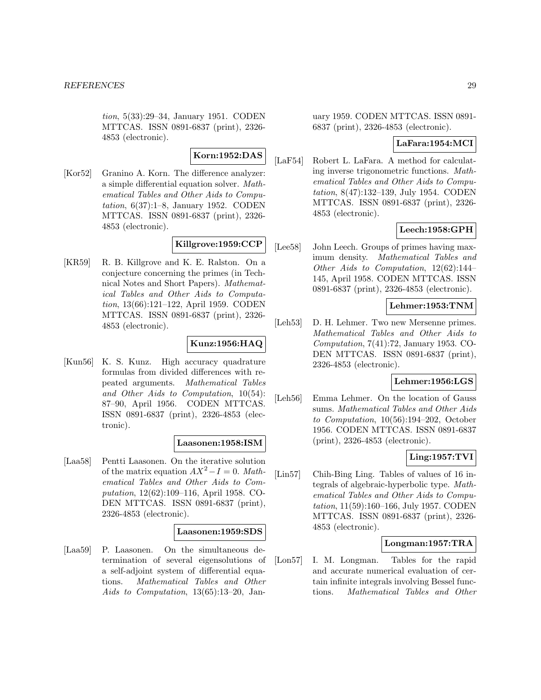tion, 5(33):29–34, January 1951. CODEN MTTCAS. ISSN 0891-6837 (print), 2326- 4853 (electronic).

# **Korn:1952:DAS**

[Kor52] Granino A. Korn. The difference analyzer: a simple differential equation solver. Mathematical Tables and Other Aids to Computation, 6(37):1–8, January 1952. CODEN MTTCAS. ISSN 0891-6837 (print), 2326- 4853 (electronic).

# **Killgrove:1959:CCP**

[KR59] R. B. Killgrove and K. E. Ralston. On a conjecture concerning the primes (in Technical Notes and Short Papers). Mathematical Tables and Other Aids to Computation, 13(66):121–122, April 1959. CODEN MTTCAS. ISSN 0891-6837 (print), 2326- 4853 (electronic).

# **Kunz:1956:HAQ**

[Kun56] K. S. Kunz. High accuracy quadrature formulas from divided differences with repeated arguments. Mathematical Tables and Other Aids to Computation, 10(54): 87–90, April 1956. CODEN MTTCAS. ISSN 0891-6837 (print), 2326-4853 (electronic).

### **Laasonen:1958:ISM**

[Laa58] Pentti Laasonen. On the iterative solution of the matrix equation  $AX^2-I=0$ . Mathematical Tables and Other Aids to Computation, 12(62):109–116, April 1958. CO-DEN MTTCAS. ISSN 0891-6837 (print), 2326-4853 (electronic).

#### **Laasonen:1959:SDS**

[Laa59] P. Laasonen. On the simultaneous determination of several eigensolutions of a self-adjoint system of differential equations. Mathematical Tables and Other Aids to Computation, 13(65):13–20, Jan-

uary 1959. CODEN MTTCAS. ISSN 0891- 6837 (print), 2326-4853 (electronic).

#### **LaFara:1954:MCI**

[LaF54] Robert L. LaFara. A method for calculating inverse trigonometric functions. Mathematical Tables and Other Aids to Computation, 8(47):132–139, July 1954. CODEN MTTCAS. ISSN 0891-6837 (print), 2326- 4853 (electronic).

### **Leech:1958:GPH**

[Lee58] John Leech. Groups of primes having maximum density. Mathematical Tables and Other Aids to Computation, 12(62):144– 145, April 1958. CODEN MTTCAS. ISSN 0891-6837 (print), 2326-4853 (electronic).

### **Lehmer:1953:TNM**

[Leh53] D. H. Lehmer. Two new Mersenne primes. Mathematical Tables and Other Aids to Computation, 7(41):72, January 1953. CO-DEN MTTCAS. ISSN 0891-6837 (print), 2326-4853 (electronic).

#### **Lehmer:1956:LGS**

[Leh56] Emma Lehmer. On the location of Gauss sums. Mathematical Tables and Other Aids to Computation, 10(56):194–202, October 1956. CODEN MTTCAS. ISSN 0891-6837 (print), 2326-4853 (electronic).

### **Ling:1957:TVI**

[Lin57] Chih-Bing Ling. Tables of values of 16 integrals of algebraic-hyperbolic type. Mathematical Tables and Other Aids to Computation, 11(59):160–166, July 1957. CODEN MTTCAS. ISSN 0891-6837 (print), 2326- 4853 (electronic).

# **Longman:1957:TRA**

[Lon57] I. M. Longman. Tables for the rapid and accurate numerical evaluation of certain infinite integrals involving Bessel functions. Mathematical Tables and Other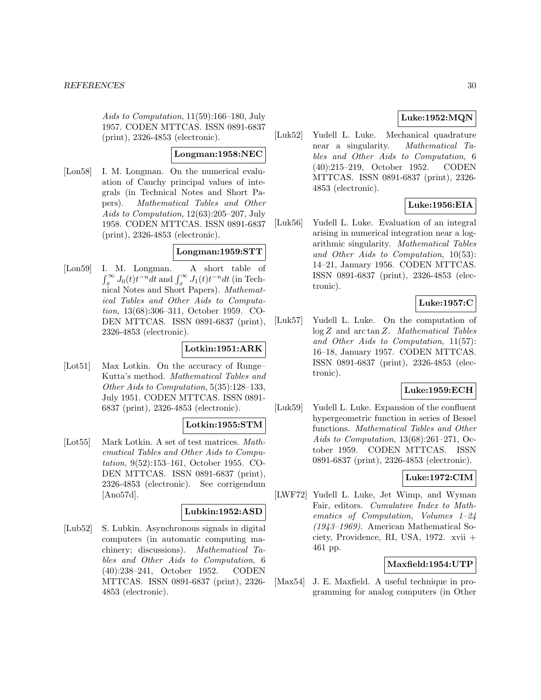Aids to Computation, 11(59):166–180, July 1957. CODEN MTTCAS. ISSN 0891-6837 (print), 2326-4853 (electronic).

#### **Longman:1958:NEC**

[Lon58] I. M. Longman. On the numerical evaluation of Cauchy principal values of integrals (in Technical Notes and Short Papers). Mathematical Tables and Other Aids to Computation, 12(63):205–207, July 1958. CODEN MTTCAS. ISSN 0891-6837 (print), 2326-4853 (electronic).

# **Longman:1959:STT**

[Lon59] I. M. Longman. A short table of  $\int_x^{\infty} J_0(t)t^{-n}dt$  and  $\int_x^{\infty} J_1(t)t^{-n}dt$  (in Technical Notes and Short Papers). Mathematical Tables and Other Aids to Computation, 13(68):306–311, October 1959. CO-DEN MTTCAS. ISSN 0891-6837 (print), 2326-4853 (electronic).

# **Lotkin:1951:ARK**

[Lot51] Max Lotkin. On the accuracy of Runge– Kutta's method. Mathematical Tables and Other Aids to Computation, 5(35):128–133, July 1951. CODEN MTTCAS. ISSN 0891- 6837 (print), 2326-4853 (electronic).

### **Lotkin:1955:STM**

[Lot55] Mark Lotkin. A set of test matrices. *Math*ematical Tables and Other Aids to Computation, 9(52):153–161, October 1955. CO-DEN MTTCAS. ISSN 0891-6837 (print), 2326-4853 (electronic). See corrigendum [Ano57d].

### **Lubkin:1952:ASD**

[Lub52] S. Lubkin. Asynchronous signals in digital computers (in automatic computing machinery; discussions). Mathematical Tables and Other Aids to Computation, 6 (40):238–241, October 1952. CODEN MTTCAS. ISSN 0891-6837 (print), 2326- 4853 (electronic).

# **Luke:1952:MQN**

[Luk52] Yudell L. Luke. Mechanical quadrature near a singularity. Mathematical Tables and Other Aids to Computation, 6 (40):215–219, October 1952. CODEN MTTCAS. ISSN 0891-6837 (print), 2326- 4853 (electronic).

# **Luke:1956:EIA**

[Luk56] Yudell L. Luke. Evaluation of an integral arising in numerical integration near a logarithmic singularity. Mathematical Tables and Other Aids to Computation, 10(53): 14–21, January 1956. CODEN MTTCAS. ISSN 0891-6837 (print), 2326-4853 (electronic).

# **Luke:1957:C**

[Luk57] Yudell L. Luke. On the computation of  $log Z$  and  $arctan Z$ . Mathematical Tables and Other Aids to Computation, 11(57): 16–18, January 1957. CODEN MTTCAS. ISSN 0891-6837 (print), 2326-4853 (electronic).

# **Luke:1959:ECH**

[Luk59] Yudell L. Luke. Expansion of the confluent hypergeometric function in series of Bessel functions. Mathematical Tables and Other Aids to Computation, 13(68):261–271, October 1959. CODEN MTTCAS. ISSN 0891-6837 (print), 2326-4853 (electronic).

# **Luke:1972:CIM**

[LWF72] Yudell L. Luke, Jet Wimp, and Wyman Fair, editors. Cumulative Index to Mathematics of Computation, Volumes 1–24 (1943–1969). American Mathematical Society, Providence, RI, USA, 1972. xvii + 461 pp.

#### **Maxfield:1954:UTP**

[Max54] J. E. Maxfield. A useful technique in programming for analog computers (in Other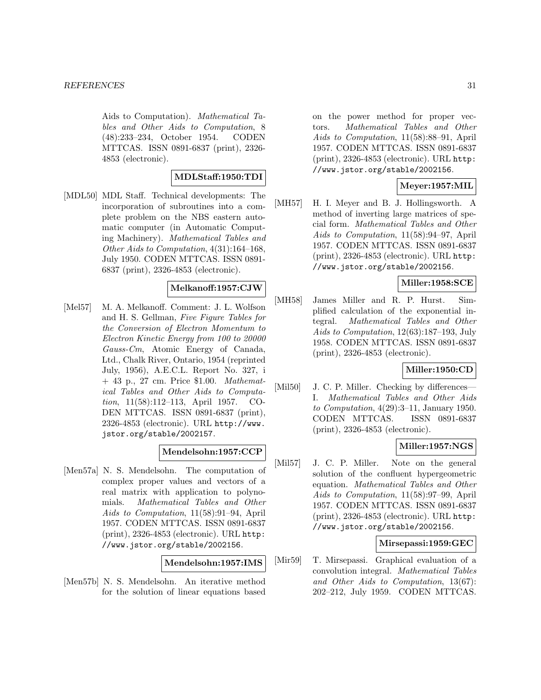Aids to Computation). Mathematical Tables and Other Aids to Computation, 8 (48):233–234, October 1954. CODEN MTTCAS. ISSN 0891-6837 (print), 2326- 4853 (electronic).

# **MDLStaff:1950:TDI**

[MDL50] MDL Staff. Technical developments: The incorporation of subroutines into a complete problem on the NBS eastern automatic computer (in Automatic Computing Machinery). Mathematical Tables and Other Aids to Computation, 4(31):164–168, July 1950. CODEN MTTCAS. ISSN 0891- 6837 (print), 2326-4853 (electronic).

### **Melkanoff:1957:CJW**

[Mel57] M. A. Melkanoff. Comment: J. L. Wolfson and H. S. Gellman, Five Figure Tables for the Conversion of Electron Momentum to Electron Kinetic Energy from 100 to 20000 Gauss-Cm, Atomic Energy of Canada, Ltd., Chalk River, Ontario, 1954 (reprinted July, 1956), A.E.C.L. Report No. 327, i + 43 p., 27 cm. Price \$1.00. Mathematical Tables and Other Aids to Computation, 11(58):112–113, April 1957. CO-DEN MTTCAS. ISSN 0891-6837 (print), 2326-4853 (electronic). URL http://www. jstor.org/stable/2002157.

# **Mendelsohn:1957:CCP**

[Men57a] N. S. Mendelsohn. The computation of complex proper values and vectors of a real matrix with application to polynomials. Mathematical Tables and Other Aids to Computation, 11(58):91–94, April 1957. CODEN MTTCAS. ISSN 0891-6837 (print), 2326-4853 (electronic). URL http: //www.jstor.org/stable/2002156.

#### **Mendelsohn:1957:IMS**

[Men57b] N. S. Mendelsohn. An iterative method for the solution of linear equations based on the power method for proper vectors. Mathematical Tables and Other Aids to Computation, 11(58):88–91, April 1957. CODEN MTTCAS. ISSN 0891-6837 (print), 2326-4853 (electronic). URL http: //www.jstor.org/stable/2002156.

# **Meyer:1957:MIL**

[MH57] H. I. Meyer and B. J. Hollingsworth. A method of inverting large matrices of special form. Mathematical Tables and Other Aids to Computation, 11(58):94–97, April 1957. CODEN MTTCAS. ISSN 0891-6837 (print), 2326-4853 (electronic). URL http: //www.jstor.org/stable/2002156.

# **Miller:1958:SCE**

[MH58] James Miller and R. P. Hurst. Simplified calculation of the exponential integral. Mathematical Tables and Other Aids to Computation, 12(63):187–193, July 1958. CODEN MTTCAS. ISSN 0891-6837 (print), 2326-4853 (electronic).

# **Miller:1950:CD**

[Mil50] J. C. P. Miller. Checking by differences— I. Mathematical Tables and Other Aids to Computation, 4(29):3–11, January 1950. CODEN MTTCAS. ISSN 0891-6837 (print), 2326-4853 (electronic).

### **Miller:1957:NGS**

[Mil57] J. C. P. Miller. Note on the general solution of the confluent hypergeometric equation. Mathematical Tables and Other Aids to Computation, 11(58):97–99, April 1957. CODEN MTTCAS. ISSN 0891-6837 (print), 2326-4853 (electronic). URL http: //www.jstor.org/stable/2002156.

### **Mirsepassi:1959:GEC**

[Mir59] T. Mirsepassi. Graphical evaluation of a convolution integral. Mathematical Tables and Other Aids to Computation, 13(67): 202–212, July 1959. CODEN MTTCAS.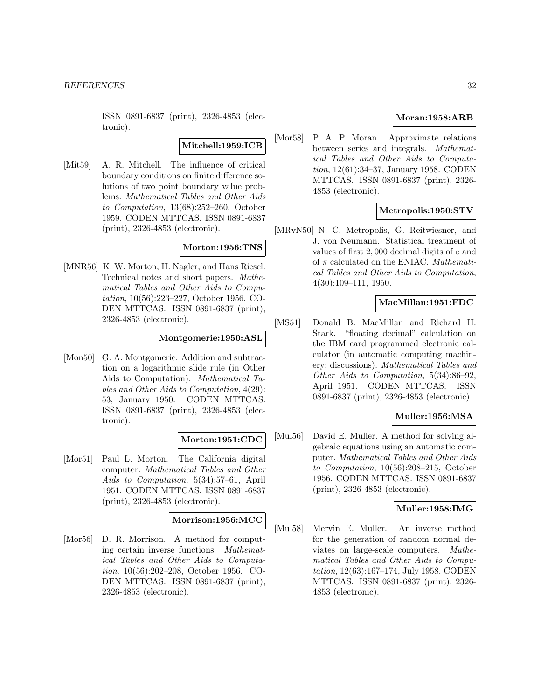ISSN 0891-6837 (print), 2326-4853 (electronic).

### **Mitchell:1959:ICB**

[Mit59] A. R. Mitchell. The influence of critical boundary conditions on finite difference solutions of two point boundary value problems. Mathematical Tables and Other Aids to Computation, 13(68):252–260, October 1959. CODEN MTTCAS. ISSN 0891-6837 (print), 2326-4853 (electronic).

#### **Morton:1956:TNS**

[MNR56] K. W. Morton, H. Nagler, and Hans Riesel. Technical notes and short papers. Mathematical Tables and Other Aids to Computation, 10(56):223–227, October 1956. CO-DEN MTTCAS. ISSN 0891-6837 (print), 2326-4853 (electronic).

#### **Montgomerie:1950:ASL**

[Mon50] G. A. Montgomerie. Addition and subtraction on a logarithmic slide rule (in Other Aids to Computation). Mathematical Tables and Other Aids to Computation, 4(29): 53, January 1950. CODEN MTTCAS. ISSN 0891-6837 (print), 2326-4853 (electronic).

### **Morton:1951:CDC**

[Mor51] Paul L. Morton. The California digital computer. Mathematical Tables and Other Aids to Computation, 5(34):57–61, April 1951. CODEN MTTCAS. ISSN 0891-6837 (print), 2326-4853 (electronic).

#### **Morrison:1956:MCC**

[Mor56] D. R. Morrison. A method for computing certain inverse functions. Mathematical Tables and Other Aids to Computation, 10(56):202–208, October 1956. CO-DEN MTTCAS. ISSN 0891-6837 (print), 2326-4853 (electronic).

### **Moran:1958:ARB**

[Mor58] P. A. P. Moran. Approximate relations between series and integrals. Mathematical Tables and Other Aids to Computation, 12(61):34–37, January 1958. CODEN MTTCAS. ISSN 0891-6837 (print), 2326- 4853 (electronic).

### **Metropolis:1950:STV**

[MRvN50] N. C. Metropolis, G. Reitwiesner, and J. von Neumann. Statistical treatment of values of first 2, 000 decimal digits of e and of  $\pi$  calculated on the ENIAC. Mathematical Tables and Other Aids to Computation, 4(30):109–111, 1950.

# **MacMillan:1951:FDC**

[MS51] Donald B. MacMillan and Richard H. Stark. "floating decimal" calculation on the IBM card programmed electronic calculator (in automatic computing machinery; discussions). Mathematical Tables and Other Aids to Computation, 5(34):86–92, April 1951. CODEN MTTCAS. ISSN 0891-6837 (print), 2326-4853 (electronic).

### **Muller:1956:MSA**

[Mul56] David E. Muller. A method for solving algebraic equations using an automatic computer. Mathematical Tables and Other Aids to Computation, 10(56):208–215, October 1956. CODEN MTTCAS. ISSN 0891-6837 (print), 2326-4853 (electronic).

#### **Muller:1958:IMG**

[Mul58] Mervin E. Muller. An inverse method for the generation of random normal deviates on large-scale computers. Mathematical Tables and Other Aids to Computation, 12(63):167–174, July 1958. CODEN MTTCAS. ISSN 0891-6837 (print), 2326- 4853 (electronic).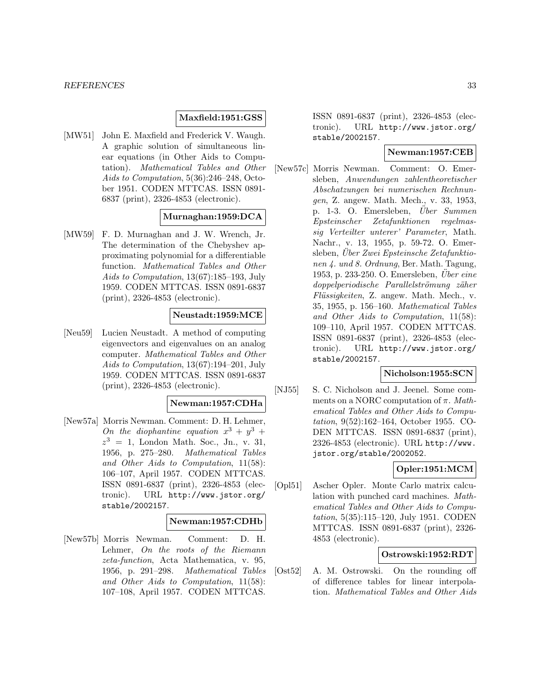### **Maxfield:1951:GSS**

[MW51] John E. Maxfield and Frederick V. Waugh. A graphic solution of simultaneous linear equations (in Other Aids to Computation). Mathematical Tables and Other Aids to Computation, 5(36):246–248, October 1951. CODEN MTTCAS. ISSN 0891- 6837 (print), 2326-4853 (electronic).

### **Murnaghan:1959:DCA**

[MW59] F. D. Murnaghan and J. W. Wrench, Jr. The determination of the Chebyshev approximating polynomial for a differentiable function. Mathematical Tables and Other Aids to Computation, 13(67):185–193, July 1959. CODEN MTTCAS. ISSN 0891-6837 (print), 2326-4853 (electronic).

### **Neustadt:1959:MCE**

[Neu59] Lucien Neustadt. A method of computing eigenvectors and eigenvalues on an analog computer. Mathematical Tables and Other Aids to Computation, 13(67):194–201, July 1959. CODEN MTTCAS. ISSN 0891-6837 (print), 2326-4853 (electronic).

#### **Newman:1957:CDHa**

[New57a] Morris Newman. Comment: D. H. Lehmer, On the diophantine equation  $x^3 + y^3 +$  $z^3 = 1$ , London Math. Soc., Jn., v. 31, 1956, p. 275–280. Mathematical Tables and Other Aids to Computation, 11(58): 106–107, April 1957. CODEN MTTCAS. ISSN 0891-6837 (print), 2326-4853 (electronic). URL http://www.jstor.org/ stable/2002157.

#### **Newman:1957:CDHb**

[New57b] Morris Newman. Comment: D. H. Lehmer, On the roots of the Riemann zeta-function, Acta Mathematica, v. 95, 1956, p. 291–298. Mathematical Tables and Other Aids to Computation, 11(58): 107–108, April 1957. CODEN MTTCAS.

ISSN 0891-6837 (print), 2326-4853 (electronic). URL http://www.jstor.org/ stable/2002157.

# **Newman:1957:CEB**

[New57c] Morris Newman. Comment: O. Emersleben, Anwendungen zahlentheoretischer Abschatzungen bei numerischen Rechnungen, Z. angew. Math. Mech., v. 33, 1953, p. 1-3. O. Emersleben, Uber Summen Epsteinscher Zetafunktionen regelmassig Verteilter unterer' Parameter, Math. Nachr., v. 13, 1955, p. 59-72. O. Emersleben, Über Zwei Epsteinsche Zetafunktionen 4. und 8. Ordnung, Ber. Math. Tagung, 1953, p. 233-250. O. Emersleben, Uber eine doppelperiodische Parallelströmung zäher Flüssigkeiten, Z. angew. Math. Mech., v. 35, 1955, p. 156–160. Mathematical Tables and Other Aids to Computation, 11(58): 109–110, April 1957. CODEN MTTCAS. ISSN 0891-6837 (print), 2326-4853 (electronic). URL http://www.jstor.org/ stable/2002157.

#### **Nicholson:1955:SCN**

[NJ55] S. C. Nicholson and J. Jeenel. Some comments on a NORC computation of  $\pi$ . Mathematical Tables and Other Aids to Computation, 9(52):162–164, October 1955. CO-DEN MTTCAS. ISSN 0891-6837 (print), 2326-4853 (electronic). URL http://www. jstor.org/stable/2002052.

### **Opler:1951:MCM**

[Opl51] Ascher Opler. Monte Carlo matrix calculation with punched card machines. Mathematical Tables and Other Aids to Computation, 5(35):115–120, July 1951. CODEN MTTCAS. ISSN 0891-6837 (print), 2326- 4853 (electronic).

#### **Ostrowski:1952:RDT**

[Ost52] A. M. Ostrowski. On the rounding off of difference tables for linear interpolation. Mathematical Tables and Other Aids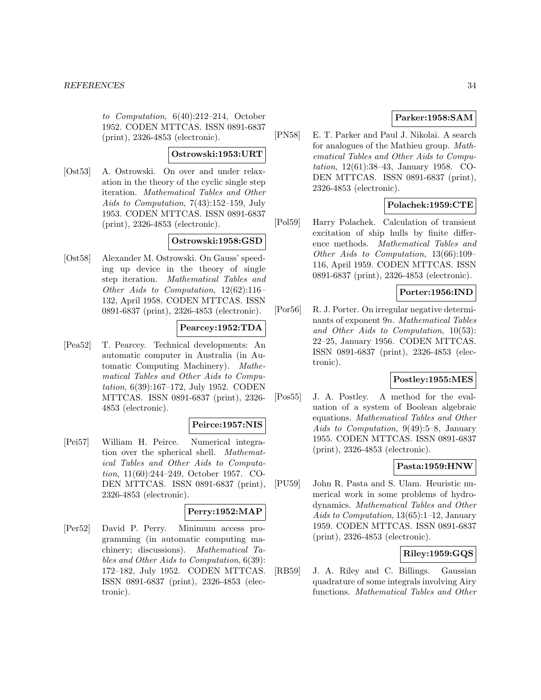to Computation, 6(40):212–214, October 1952. CODEN MTTCAS. ISSN 0891-6837 (print), 2326-4853 (electronic).

#### **Ostrowski:1953:URT**

[Ost53] A. Ostrowski. On over and under relaxation in the theory of the cyclic single step iteration. Mathematical Tables and Other Aids to Computation, 7(43):152–159, July 1953. CODEN MTTCAS. ISSN 0891-6837 (print), 2326-4853 (electronic).

### **Ostrowski:1958:GSD**

[Ost58] Alexander M. Ostrowski. On Gauss' speeding up device in the theory of single step iteration. Mathematical Tables and Other Aids to Computation, 12(62):116– 132, April 1958. CODEN MTTCAS. ISSN 0891-6837 (print), 2326-4853 (electronic).

### **Pearcey:1952:TDA**

[Pea52] T. Pearcey. Technical developments: An automatic computer in Australia (in Automatic Computing Machinery). Mathematical Tables and Other Aids to Computation, 6(39):167–172, July 1952. CODEN MTTCAS. ISSN 0891-6837 (print), 2326- 4853 (electronic).

### **Peirce:1957:NIS**

[Pei57] William H. Peirce. Numerical integration over the spherical shell. Mathematical Tables and Other Aids to Computation, 11(60):244–249, October 1957. CO-DEN MTTCAS. ISSN 0891-6837 (print), 2326-4853 (electronic).

# **Perry:1952:MAP**

[Per52] David P. Perry. Minimum access programming (in automatic computing machinery; discussions). Mathematical Tables and Other Aids to Computation, 6(39): 172–182, July 1952. CODEN MTTCAS. ISSN 0891-6837 (print), 2326-4853 (electronic).

# **Parker:1958:SAM**

[PN58] E. T. Parker and Paul J. Nikolai. A search for analogues of the Mathieu group. Mathematical Tables and Other Aids to Computation, 12(61):38–43, January 1958. CO-DEN MTTCAS. ISSN 0891-6837 (print), 2326-4853 (electronic).

# **Polachek:1959:CTE**

[Pol59] Harry Polachek. Calculation of transient excitation of ship hulls by finite difference methods. Mathematical Tables and Other Aids to Computation, 13(66):109– 116, April 1959. CODEN MTTCAS. ISSN 0891-6837 (print), 2326-4853 (electronic).

# **Porter:1956:IND**

[Por56] R. J. Porter. On irregular negative determinants of exponent 9n. Mathematical Tables and Other Aids to Computation, 10(53): 22–25, January 1956. CODEN MTTCAS. ISSN 0891-6837 (print), 2326-4853 (electronic).

# **Postley:1955:MES**

[Pos55] J. A. Postley. A method for the evaluation of a system of Boolean algebraic equations. Mathematical Tables and Other Aids to Computation, 9(49):5–8, January 1955. CODEN MTTCAS. ISSN 0891-6837 (print), 2326-4853 (electronic).

### **Pasta:1959:HNW**

[PU59] John R. Pasta and S. Ulam. Heuristic numerical work in some problems of hydrodynamics. Mathematical Tables and Other Aids to Computation, 13(65):1–12, January 1959. CODEN MTTCAS. ISSN 0891-6837 (print), 2326-4853 (electronic).

# **Riley:1959:GQS**

[RB59] J. A. Riley and C. Billings. Gaussian quadrature of some integrals involving Airy functions. Mathematical Tables and Other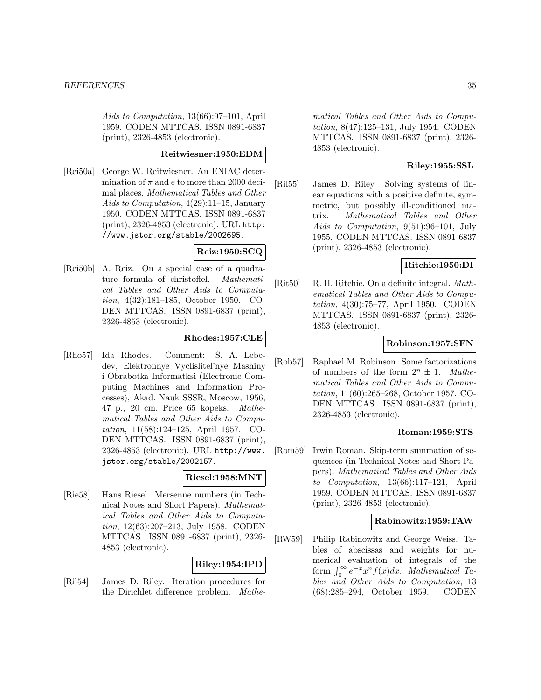Aids to Computation, 13(66):97–101, April 1959. CODEN MTTCAS. ISSN 0891-6837 (print), 2326-4853 (electronic).

#### **Reitwiesner:1950:EDM**

[Rei50a] George W. Reitwiesner. An ENIAC determination of  $\pi$  and e to more than 2000 decimal places. Mathematical Tables and Other Aids to Computation, 4(29):11–15, January 1950. CODEN MTTCAS. ISSN 0891-6837 (print), 2326-4853 (electronic). URL http: //www.jstor.org/stable/2002695.

# **Reiz:1950:SCQ**

[Rei50b] A. Reiz. On a special case of a quadrature formula of christoffel. Mathematical Tables and Other Aids to Computation, 4(32):181–185, October 1950. CO-DEN MTTCAS. ISSN 0891-6837 (print), 2326-4853 (electronic).

# **Rhodes:1957:CLE**

[Rho57] Ida Rhodes. Comment: S. A. Lebedev, Elektronnye Vyclislitel'nye Mashiny i Obrabotka Informatksi (Electronic Computing Machines and Information Processes), Akad. Nauk SSSR, Moscow, 1956, 47 p., 20 cm. Price 65 kopeks. Mathematical Tables and Other Aids to Computation, 11(58):124–125, April 1957. CO-DEN MTTCAS. ISSN 0891-6837 (print), 2326-4853 (electronic). URL http://www. jstor.org/stable/2002157.

### **Riesel:1958:MNT**

[Rie58] Hans Riesel. Mersenne numbers (in Technical Notes and Short Papers). Mathematical Tables and Other Aids to Computation, 12(63):207–213, July 1958. CODEN MTTCAS. ISSN 0891-6837 (print), 2326- 4853 (electronic).

### **Riley:1954:IPD**

[Ril54] James D. Riley. Iteration procedures for the Dirichlet difference problem. Mathe-

matical Tables and Other Aids to Computation, 8(47):125–131, July 1954. CODEN MTTCAS. ISSN 0891-6837 (print), 2326- 4853 (electronic).

# **Riley:1955:SSL**

[Ril55] James D. Riley. Solving systems of linear equations with a positive definite, symmetric, but possibly ill-conditioned matrix. Mathematical Tables and Other Aids to Computation, 9(51):96–101, July 1955. CODEN MTTCAS. ISSN 0891-6837 (print), 2326-4853 (electronic).

#### **Ritchie:1950:DI**

[Rit50] R. H. Ritchie. On a definite integral. Mathematical Tables and Other Aids to Computation, 4(30):75–77, April 1950. CODEN MTTCAS. ISSN 0891-6837 (print), 2326- 4853 (electronic).

### **Robinson:1957:SFN**

[Rob57] Raphael M. Robinson. Some factorizations of numbers of the form  $2^n \pm 1$ . Mathematical Tables and Other Aids to Computation, 11(60):265–268, October 1957. CO-DEN MTTCAS. ISSN 0891-6837 (print), 2326-4853 (electronic).

# **Roman:1959:STS**

[Rom59] Irwin Roman. Skip-term summation of sequences (in Technical Notes and Short Papers). Mathematical Tables and Other Aids to *Computation*,  $13(66):117-121$ , April 1959. CODEN MTTCAS. ISSN 0891-6837 (print), 2326-4853 (electronic).

#### **Rabinowitz:1959:TAW**

[RW59] Philip Rabinowitz and George Weiss. Tables of abscissas and weights for numerical evaluation of integrals of the form  $\int_0^\infty e^{-x}x^n f(x)dx$ . Mathematical Tables and Other Aids to Computation, 13 (68):285–294, October 1959. CODEN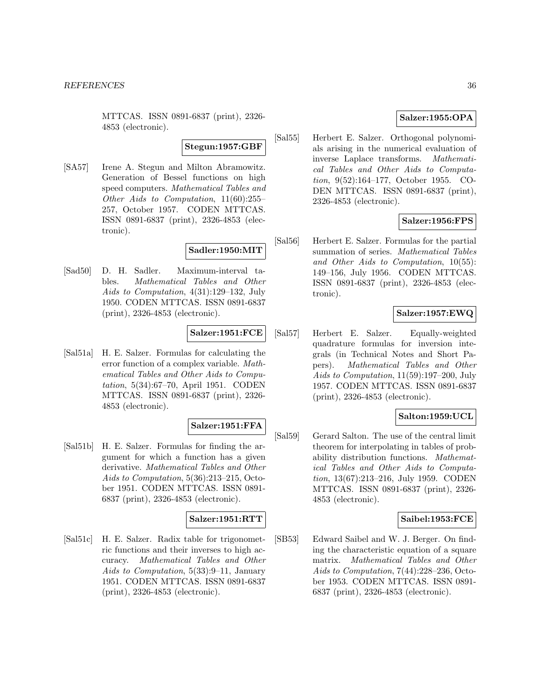MTTCAS. ISSN 0891-6837 (print), 2326- 4853 (electronic).

### **Stegun:1957:GBF**

[SA57] Irene A. Stegun and Milton Abramowitz. Generation of Bessel functions on high speed computers. Mathematical Tables and Other Aids to Computation, 11(60):255– 257, October 1957. CODEN MTTCAS. ISSN 0891-6837 (print), 2326-4853 (electronic).

### **Sadler:1950:MIT**

[Sad50] D. H. Sadler. Maximum-interval tables. Mathematical Tables and Other Aids to Computation, 4(31):129–132, July 1950. CODEN MTTCAS. ISSN 0891-6837 (print), 2326-4853 (electronic).

#### **Salzer:1951:FCE**

[Sal51a] H. E. Salzer. Formulas for calculating the error function of a complex variable. Mathematical Tables and Other Aids to Computation, 5(34):67–70, April 1951. CODEN MTTCAS. ISSN 0891-6837 (print), 2326- 4853 (electronic).

# **Salzer:1951:FFA**

[Sal51b] H. E. Salzer. Formulas for finding the argument for which a function has a given derivative. Mathematical Tables and Other Aids to Computation, 5(36):213–215, October 1951. CODEN MTTCAS. ISSN 0891- 6837 (print), 2326-4853 (electronic).

#### **Salzer:1951:RTT**

[Sal51c] H. E. Salzer. Radix table for trigonometric functions and their inverses to high accuracy. Mathematical Tables and Other Aids to Computation, 5(33):9–11, January 1951. CODEN MTTCAS. ISSN 0891-6837 (print), 2326-4853 (electronic).

### **Salzer:1955:OPA**

[Sal55] Herbert E. Salzer. Orthogonal polynomials arising in the numerical evaluation of inverse Laplace transforms. Mathematical Tables and Other Aids to Computation, 9(52):164–177, October 1955. CO-DEN MTTCAS. ISSN 0891-6837 (print), 2326-4853 (electronic).

### **Salzer:1956:FPS**

[Sal56] Herbert E. Salzer. Formulas for the partial summation of series. Mathematical Tables and Other Aids to Computation, 10(55): 149–156, July 1956. CODEN MTTCAS. ISSN 0891-6837 (print), 2326-4853 (electronic).

### **Salzer:1957:EWQ**

[Sal57] Herbert E. Salzer. Equally-weighted quadrature formulas for inversion integrals (in Technical Notes and Short Papers). Mathematical Tables and Other Aids to Computation, 11(59):197–200, July 1957. CODEN MTTCAS. ISSN 0891-6837 (print), 2326-4853 (electronic).

### **Salton:1959:UCL**

[Sal59] Gerard Salton. The use of the central limit theorem for interpolating in tables of probability distribution functions. Mathematical Tables and Other Aids to Computation, 13(67):213–216, July 1959. CODEN MTTCAS. ISSN 0891-6837 (print), 2326- 4853 (electronic).

#### **Saibel:1953:FCE**

[SB53] Edward Saibel and W. J. Berger. On finding the characteristic equation of a square matrix. Mathematical Tables and Other Aids to Computation, 7(44):228–236, October 1953. CODEN MTTCAS. ISSN 0891- 6837 (print), 2326-4853 (electronic).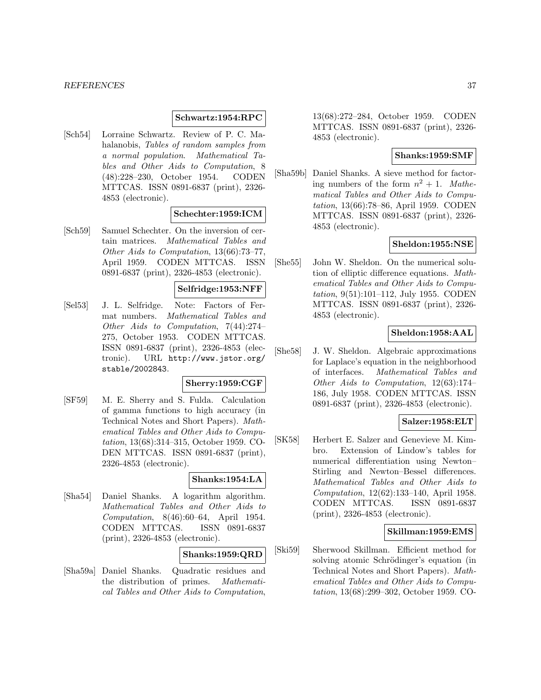#### **Schwartz:1954:RPC**

[Sch54] Lorraine Schwartz. Review of P. C. Mahalanobis, Tables of random samples from a normal population. Mathematical Tables and Other Aids to Computation, 8 (48):228–230, October 1954. CODEN MTTCAS. ISSN 0891-6837 (print), 2326- 4853 (electronic).

### **Schechter:1959:ICM**

[Sch59] Samuel Schechter. On the inversion of certain matrices. Mathematical Tables and Other Aids to Computation, 13(66):73–77, April 1959. CODEN MTTCAS. ISSN 0891-6837 (print), 2326-4853 (electronic).

#### **Selfridge:1953:NFF**

[Sel53] J. L. Selfridge. Note: Factors of Fermat numbers. Mathematical Tables and Other Aids to Computation, 7(44):274– 275, October 1953. CODEN MTTCAS. ISSN 0891-6837 (print), 2326-4853 (electronic). URL http://www.jstor.org/ stable/2002843.

#### **Sherry:1959:CGF**

[SF59] M. E. Sherry and S. Fulda. Calculation of gamma functions to high accuracy (in Technical Notes and Short Papers). Mathematical Tables and Other Aids to Computation, 13(68):314–315, October 1959. CO-DEN MTTCAS. ISSN 0891-6837 (print), 2326-4853 (electronic).

#### **Shanks:1954:LA**

[Sha54] Daniel Shanks. A logarithm algorithm. Mathematical Tables and Other Aids to Computation, 8(46):60–64, April 1954. CODEN MTTCAS. ISSN 0891-6837 (print), 2326-4853 (electronic).

#### **Shanks:1959:QRD**

[Sha59a] Daniel Shanks. Quadratic residues and the distribution of primes. Mathematical Tables and Other Aids to Computation,

13(68):272–284, October 1959. CODEN MTTCAS. ISSN 0891-6837 (print), 2326- 4853 (electronic).

#### **Shanks:1959:SMF**

[Sha59b] Daniel Shanks. A sieve method for factoring numbers of the form  $n^2 + 1$ . Mathematical Tables and Other Aids to Computation, 13(66):78–86, April 1959. CODEN MTTCAS. ISSN 0891-6837 (print), 2326- 4853 (electronic).

#### **Sheldon:1955:NSE**

[She55] John W. Sheldon. On the numerical solution of elliptic difference equations. Mathematical Tables and Other Aids to Computation, 9(51):101–112, July 1955. CODEN MTTCAS. ISSN 0891-6837 (print), 2326- 4853 (electronic).

#### **Sheldon:1958:AAL**

[She58] J. W. Sheldon. Algebraic approximations for Laplace's equation in the neighborhood of interfaces. Mathematical Tables and Other Aids to Computation, 12(63):174– 186, July 1958. CODEN MTTCAS. ISSN 0891-6837 (print), 2326-4853 (electronic).

### **Salzer:1958:ELT**

[SK58] Herbert E. Salzer and Genevieve M. Kimbro. Extension of Lindow's tables for numerical differentiation using Newton– Stirling and Newton–Bessel differences. Mathematical Tables and Other Aids to Computation, 12(62):133–140, April 1958. CODEN MTTCAS. ISSN 0891-6837 (print), 2326-4853 (electronic).

### **Skillman:1959:EMS**

[Ski59] Sherwood Skillman. Efficient method for solving atomic Schrödinger's equation (in Technical Notes and Short Papers). Mathematical Tables and Other Aids to Computation, 13(68):299–302, October 1959. CO-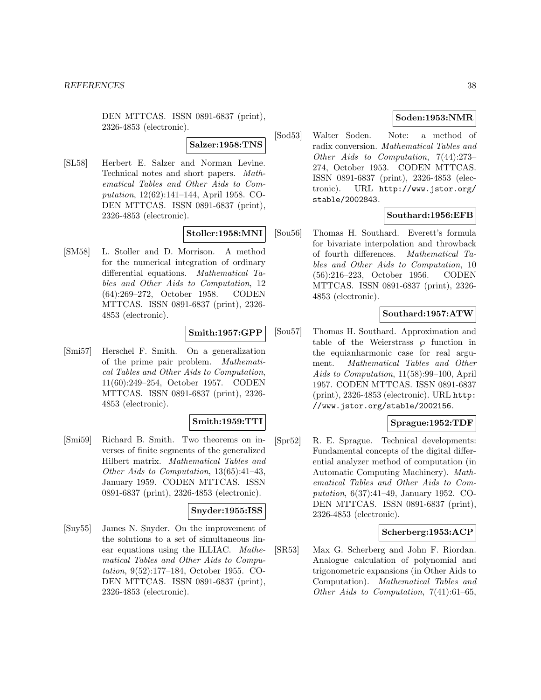DEN MTTCAS. ISSN 0891-6837 (print), 2326-4853 (electronic).

#### **Salzer:1958:TNS**

[SL58] Herbert E. Salzer and Norman Levine. Technical notes and short papers. Mathematical Tables and Other Aids to Computation, 12(62):141–144, April 1958. CO-DEN MTTCAS. ISSN 0891-6837 (print), 2326-4853 (electronic).

#### **Stoller:1958:MNI**

[SM58] L. Stoller and D. Morrison. A method for the numerical integration of ordinary differential equations. Mathematical Tables and Other Aids to Computation, 12 (64):269–272, October 1958. CODEN MTTCAS. ISSN 0891-6837 (print), 2326- 4853 (electronic).

### **Smith:1957:GPP**

[Smi57] Herschel F. Smith. On a generalization of the prime pair problem. Mathematical Tables and Other Aids to Computation, 11(60):249–254, October 1957. CODEN MTTCAS. ISSN 0891-6837 (print), 2326- 4853 (electronic).

### **Smith:1959:TTI**

[Smi59] Richard B. Smith. Two theorems on inverses of finite segments of the generalized Hilbert matrix. Mathematical Tables and Other Aids to Computation, 13(65):41–43, January 1959. CODEN MTTCAS. ISSN 0891-6837 (print), 2326-4853 (electronic).

### **Snyder:1955:ISS**

[Sny55] James N. Snyder. On the improvement of the solutions to a set of simultaneous linear equations using the ILLIAC. Mathematical Tables and Other Aids to Computation, 9(52):177–184, October 1955. CO-DEN MTTCAS. ISSN 0891-6837 (print), 2326-4853 (electronic).

# **Soden:1953:NMR**

[Sod53] Walter Soden. Note: a method of radix conversion. Mathematical Tables and Other Aids to Computation, 7(44):273– 274, October 1953. CODEN MTTCAS. ISSN 0891-6837 (print), 2326-4853 (electronic). URL http://www.jstor.org/ stable/2002843.

#### **Southard:1956:EFB**

[Sou56] Thomas H. Southard. Everett's formula for bivariate interpolation and throwback of fourth differences. Mathematical Tables and Other Aids to Computation, 10 (56):216–223, October 1956. CODEN MTTCAS. ISSN 0891-6837 (print), 2326- 4853 (electronic).

# **Southard:1957:ATW**

[Sou57] Thomas H. Southard. Approximation and table of the Weierstrass  $\wp$  function in the equianharmonic case for real argument. Mathematical Tables and Other Aids to Computation, 11(58):99–100, April 1957. CODEN MTTCAS. ISSN 0891-6837 (print), 2326-4853 (electronic). URL http: //www.jstor.org/stable/2002156.

#### **Sprague:1952:TDF**

[Spr52] R. E. Sprague. Technical developments: Fundamental concepts of the digital differential analyzer method of computation (in Automatic Computing Machinery). Mathematical Tables and Other Aids to Computation, 6(37):41–49, January 1952. CO-DEN MTTCAS. ISSN 0891-6837 (print), 2326-4853 (electronic).

### **Scherberg:1953:ACP**

[SR53] Max G. Scherberg and John F. Riordan. Analogue calculation of polynomial and trigonometric expansions (in Other Aids to Computation). Mathematical Tables and Other Aids to Computation, 7(41):61–65,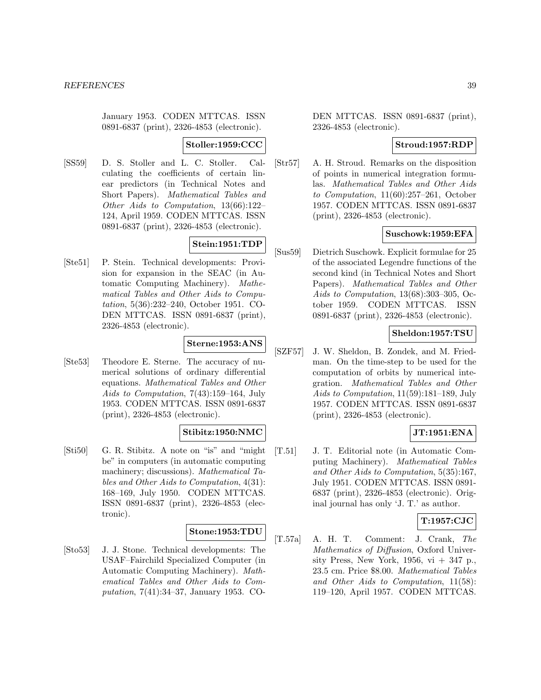January 1953. CODEN MTTCAS. ISSN 0891-6837 (print), 2326-4853 (electronic).

### **Stoller:1959:CCC**

[SS59] D. S. Stoller and L. C. Stoller. Calculating the coefficients of certain linear predictors (in Technical Notes and Short Papers). Mathematical Tables and Other Aids to Computation, 13(66):122– 124, April 1959. CODEN MTTCAS. ISSN 0891-6837 (print), 2326-4853 (electronic).

# **Stein:1951:TDP**

[Ste51] P. Stein. Technical developments: Provision for expansion in the SEAC (in Automatic Computing Machinery). Mathematical Tables and Other Aids to Computation, 5(36):232–240, October 1951. CO-DEN MTTCAS. ISSN 0891-6837 (print), 2326-4853 (electronic).

# **Sterne:1953:ANS**

[Ste53] Theodore E. Sterne. The accuracy of numerical solutions of ordinary differential equations. Mathematical Tables and Other Aids to Computation, 7(43):159–164, July 1953. CODEN MTTCAS. ISSN 0891-6837 (print), 2326-4853 (electronic).

# **Stibitz:1950:NMC**

[Sti50] G. R. Stibitz. A note on "is" and "might be" in computers (in automatic computing machinery; discussions). Mathematical Tables and Other Aids to Computation, 4(31): 168–169, July 1950. CODEN MTTCAS. ISSN 0891-6837 (print), 2326-4853 (electronic).

#### **Stone:1953:TDU**

[Sto53] J. J. Stone. Technical developments: The USAF–Fairchild Specialized Computer (in Automatic Computing Machinery). Mathematical Tables and Other Aids to Computation, 7(41):34–37, January 1953. CO-

DEN MTTCAS. ISSN 0891-6837 (print), 2326-4853 (electronic).

# **Stroud:1957:RDP**

[Str57] A. H. Stroud. Remarks on the disposition of points in numerical integration formulas. Mathematical Tables and Other Aids to Computation, 11(60):257–261, October 1957. CODEN MTTCAS. ISSN 0891-6837 (print), 2326-4853 (electronic).

# **Suschowk:1959:EFA**

[Sus59] Dietrich Suschowk. Explicit formulae for 25 of the associated Legendre functions of the second kind (in Technical Notes and Short Papers). Mathematical Tables and Other Aids to Computation, 13(68):303–305, October 1959. CODEN MTTCAS. ISSN 0891-6837 (print), 2326-4853 (electronic).

# **Sheldon:1957:TSU**

[SZF57] J. W. Sheldon, B. Zondek, and M. Friedman. On the time-step to be used for the computation of orbits by numerical integration. Mathematical Tables and Other Aids to Computation, 11(59):181–189, July 1957. CODEN MTTCAS. ISSN 0891-6837 (print), 2326-4853 (electronic).

# **JT:1951:ENA**

[T.51] J. T. Editorial note (in Automatic Computing Machinery). Mathematical Tables and Other Aids to Computation, 5(35):167, July 1951. CODEN MTTCAS. ISSN 0891- 6837 (print), 2326-4853 (electronic). Original journal has only 'J. T.' as author.

# **T:1957:CJC**

[T.57a] A. H. T. Comment: J. Crank, The Mathematics of Diffusion, Oxford University Press, New York, 1956,  $vi + 347$  p. 23.5 cm. Price \$8.00. Mathematical Tables and Other Aids to Computation, 11(58): 119–120, April 1957. CODEN MTTCAS.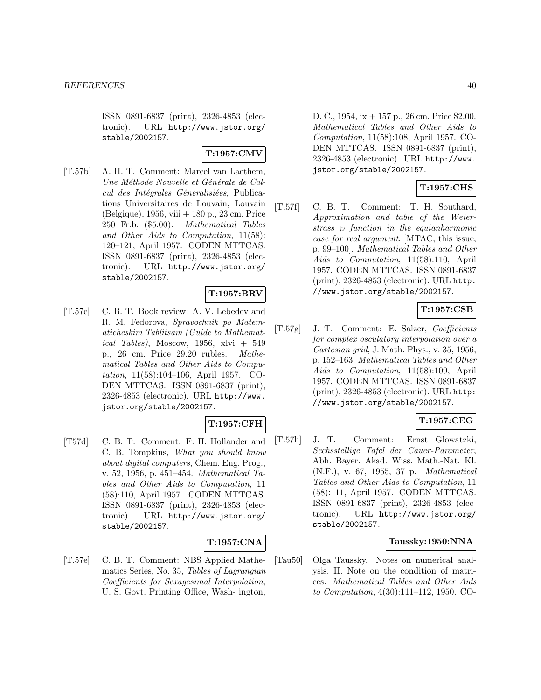ISSN 0891-6837 (print), 2326-4853 (electronic). URL http://www.jstor.org/ stable/2002157.

### **T:1957:CMV**

[T.57b] A. H. T. Comment: Marcel van Laethem, Une Méthode Nouvelle et Générale de Calcul des Intégrales Géneralisiées, Publications Universitaires de Louvain, Louvain (Belgique), 1956, viii + 180 p., 23 cm. Price 250 Fr.b. (\$5.00). Mathematical Tables and Other Aids to Computation, 11(58): 120–121, April 1957. CODEN MTTCAS. ISSN 0891-6837 (print), 2326-4853 (electronic). URL http://www.jstor.org/ stable/2002157.

# **T:1957:BRV**

[T.57c] C. B. T. Book review: A. V. Lebedev and R. M. Fedorova, Spravochnik po Matematicheskim Tablitsam (Guide to Mathematical Tables), Moscow, 1956, xlvi + 549 p., 26 cm. Price 29.20 rubles. Mathematical Tables and Other Aids to Computation, 11(58):104–106, April 1957. CO-DEN MTTCAS. ISSN 0891-6837 (print), 2326-4853 (electronic). URL http://www. jstor.org/stable/2002157.

# **T:1957:CFH**

[T57d] C. B. T. Comment: F. H. Hollander and C. B. Tompkins, What you should know about digital computers, Chem. Eng. Prog., v. 52, 1956, p. 451–454. Mathematical Tables and Other Aids to Computation, 11 (58):110, April 1957. CODEN MTTCAS. ISSN 0891-6837 (print), 2326-4853 (electronic). URL http://www.jstor.org/ stable/2002157.

### **T:1957:CNA**

[T.57e] C. B. T. Comment: NBS Applied Mathematics Series, No. 35, Tables of Lagrangian Coefficients for Sexagesimal Interpolation, U. S. Govt. Printing Office, Wash- ington,

D. C., 1954, ix + 157 p., 26 cm. Price \$2.00. Mathematical Tables and Other Aids to Computation, 11(58):108, April 1957. CO-DEN MTTCAS. ISSN 0891-6837 (print), 2326-4853 (electronic). URL http://www. jstor.org/stable/2002157.

# **T:1957:CHS**

[T.57f] C. B. T. Comment: T. H. Southard, Approximation and table of the Weierstrass  $\wp$  function in the equianharmonic case for real argument. [MTAC, this issue, p. 99–100]. Mathematical Tables and Other Aids to Computation, 11(58):110, April 1957. CODEN MTTCAS. ISSN 0891-6837 (print), 2326-4853 (electronic). URL http: //www.jstor.org/stable/2002157.

# **T:1957:CSB**

[T.57g] J. T. Comment: E. Salzer, Coefficients for complex osculatory interpolation over a Cartesian grid, J. Math. Phys., v. 35, 1956, p. 152–163. Mathematical Tables and Other Aids to Computation, 11(58):109, April 1957. CODEN MTTCAS. ISSN 0891-6837 (print), 2326-4853 (electronic). URL http: //www.jstor.org/stable/2002157.

# **T:1957:CEG**

[T.57h] J. T. Comment: Ernst Glowatzki, Sechsstellige Tafel der Cauer-Parameter, Abh. Bayer. Akad. Wiss. Math.-Nat. Kl. (N.F.), v. 67, 1955, 37 p. Mathematical Tables and Other Aids to Computation, 11 (58):111, April 1957. CODEN MTTCAS. ISSN 0891-6837 (print), 2326-4853 (electronic). URL http://www.jstor.org/ stable/2002157.

# **Taussky:1950:NNA**

[Tau50] Olga Taussky. Notes on numerical analysis. II. Note on the condition of matrices. Mathematical Tables and Other Aids to Computation, 4(30):111–112, 1950. CO-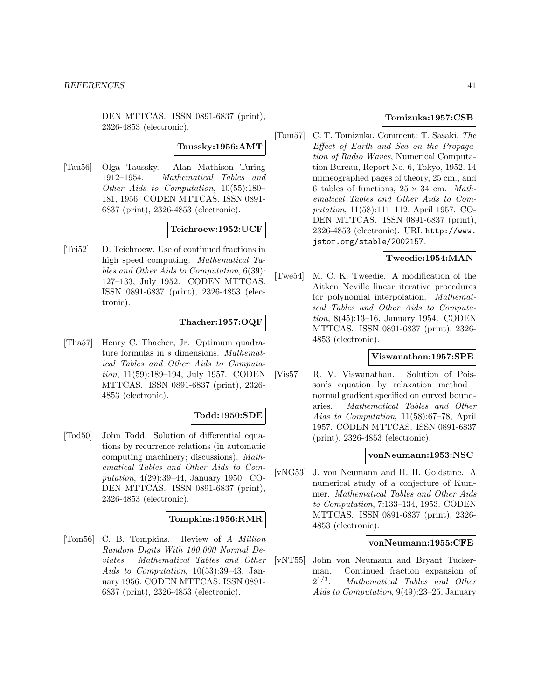DEN MTTCAS. ISSN 0891-6837 (print), 2326-4853 (electronic).

#### **Taussky:1956:AMT**

[Tau56] Olga Taussky. Alan Mathison Turing 1912–1954. Mathematical Tables and Other Aids to Computation, 10(55):180– 181, 1956. CODEN MTTCAS. ISSN 0891- 6837 (print), 2326-4853 (electronic).

### **Teichroew:1952:UCF**

[Tei52] D. Teichroew. Use of continued fractions in high speed computing. Mathematical Tables and Other Aids to Computation, 6(39): 127–133, July 1952. CODEN MTTCAS. ISSN 0891-6837 (print), 2326-4853 (electronic).

# **Thacher:1957:OQF**

[Tha57] Henry C. Thacher, Jr. Optimum quadrature formulas in s dimensions. Mathematical Tables and Other Aids to Computation, 11(59):189–194, July 1957. CODEN MTTCAS. ISSN 0891-6837 (print), 2326- 4853 (electronic).

#### **Todd:1950:SDE**

[Tod50] John Todd. Solution of differential equations by recurrence relations (in automatic computing machinery; discussions). Mathematical Tables and Other Aids to Computation, 4(29):39–44, January 1950. CO-DEN MTTCAS. ISSN 0891-6837 (print), 2326-4853 (electronic).

# **Tompkins:1956:RMR**

[Tom56] C. B. Tompkins. Review of A Million Random Digits With 100,000 Normal Deviates. Mathematical Tables and Other Aids to Computation, 10(53):39–43, January 1956. CODEN MTTCAS. ISSN 0891- 6837 (print), 2326-4853 (electronic).

# **Tomizuka:1957:CSB**

[Tom57] C. T. Tomizuka. Comment: T. Sasaki, The Effect of Earth and Sea on the Propagation of Radio Waves, Numerical Computation Bureau, Report No. 6, Tokyo, 1952. 14 mimeographed pages of theory, 25 cm., and 6 tables of functions,  $25 \times 34$  cm. Mathematical Tables and Other Aids to Computation, 11(58):111–112, April 1957. CO-DEN MTTCAS. ISSN 0891-6837 (print), 2326-4853 (electronic). URL http://www. jstor.org/stable/2002157.

### **Tweedie:1954:MAN**

[Twe54] M. C. K. Tweedie. A modification of the Aitken–Neville linear iterative procedures for polynomial interpolation. Mathematical Tables and Other Aids to Computation, 8(45):13–16, January 1954. CODEN MTTCAS. ISSN 0891-6837 (print), 2326- 4853 (electronic).

### **Viswanathan:1957:SPE**

[Vis57] R. V. Viswanathan. Solution of Poisson's equation by relaxation method normal gradient specified on curved boundaries. Mathematical Tables and Other Aids to Computation, 11(58):67–78, April 1957. CODEN MTTCAS. ISSN 0891-6837 (print), 2326-4853 (electronic).

#### **vonNeumann:1953:NSC**

[vNG53] J. von Neumann and H. H. Goldstine. A numerical study of a conjecture of Kummer. Mathematical Tables and Other Aids to Computation, 7:133–134, 1953. CODEN MTTCAS. ISSN 0891-6837 (print), 2326- 4853 (electronic).

#### **vonNeumann:1955:CFE**

[vNT55] John von Neumann and Bryant Tuckerman. Continued fraction expansion of  $2^{1/3}$ . Mathematical Tables and Other Aids to Computation, 9(49):23–25, January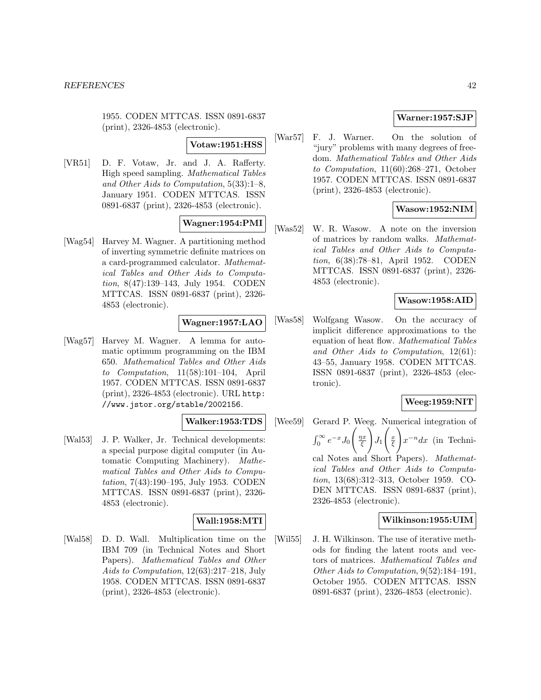1955. CODEN MTTCAS. ISSN 0891-6837 (print), 2326-4853 (electronic).

### **Votaw:1951:HSS**

[VR51] D. F. Votaw, Jr. and J. A. Rafferty. High speed sampling. Mathematical Tables and Other Aids to Computation, 5(33):1–8, January 1951. CODEN MTTCAS. ISSN 0891-6837 (print), 2326-4853 (electronic).

# **Wagner:1954:PMI**

[Wag54] Harvey M. Wagner. A partitioning method of inverting symmetric definite matrices on a card-programmed calculator. Mathematical Tables and Other Aids to Computation, 8(47):139–143, July 1954. CODEN MTTCAS. ISSN 0891-6837 (print), 2326- 4853 (electronic).

### **Wagner:1957:LAO**

[Wag57] Harvey M. Wagner. A lemma for automatic optimum programming on the IBM 650. Mathematical Tables and Other Aids to Computation, 11(58):101–104, April 1957. CODEN MTTCAS. ISSN 0891-6837 (print), 2326-4853 (electronic). URL http: //www.jstor.org/stable/2002156.

### **Walker:1953:TDS**

[Wal53] J. P. Walker, Jr. Technical developments: a special purpose digital computer (in Automatic Computing Machinery). Mathematical Tables and Other Aids to Computation, 7(43):190–195, July 1953. CODEN MTTCAS. ISSN 0891-6837 (print), 2326- 4853 (electronic).

### **Wall:1958:MTI**

[Wal58] D. D. Wall. Multiplication time on the IBM 709 (in Technical Notes and Short Papers). Mathematical Tables and Other Aids to Computation, 12(63):217–218, July 1958. CODEN MTTCAS. ISSN 0891-6837 (print), 2326-4853 (electronic).

### **Warner:1957:SJP**

[War57] F. J. Warner. On the solution of "jury" problems with many degrees of freedom. Mathematical Tables and Other Aids to Computation, 11(60):268–271, October 1957. CODEN MTTCAS. ISSN 0891-6837 (print), 2326-4853 (electronic).

### **Wasow:1952:NIM**

[Was52] W. R. Wasow. A note on the inversion of matrices by random walks. Mathematical Tables and Other Aids to Computation, 6(38):78–81, April 1952. CODEN MTTCAS. ISSN 0891-6837 (print), 2326- 4853 (electronic).

#### **Wasow:1958:AID**

[Was58] Wolfgang Wasow. On the accuracy of implicit difference approximations to the equation of heat flow. Mathematical Tables and Other Aids to Computation, 12(61): 43–55, January 1958. CODEN MTTCAS. ISSN 0891-6837 (print), 2326-4853 (electronic).

### **Weeg:1959:NIT**

[Wee59] Gerard P. Weeg. Numerical integration of  $\int_0^\infty e^{-x} J_0$  $\left(\frac{\eta x}{\xi}\right)$  $\sqrt{ }$  $J_1$  $\left(\frac{x}{\xi}\right)$ !  $x^{-n}dx$  (in Technical Notes and Short Papers). Mathematical Tables and Other Aids to Computation, 13(68):312–313, October 1959. CO-DEN MTTCAS. ISSN 0891-6837 (print), 2326-4853 (electronic).

# **Wilkinson:1955:UIM**

[Wil55] J. H. Wilkinson. The use of iterative methods for finding the latent roots and vectors of matrices. Mathematical Tables and Other Aids to Computation, 9(52):184–191, October 1955. CODEN MTTCAS. ISSN 0891-6837 (print), 2326-4853 (electronic).